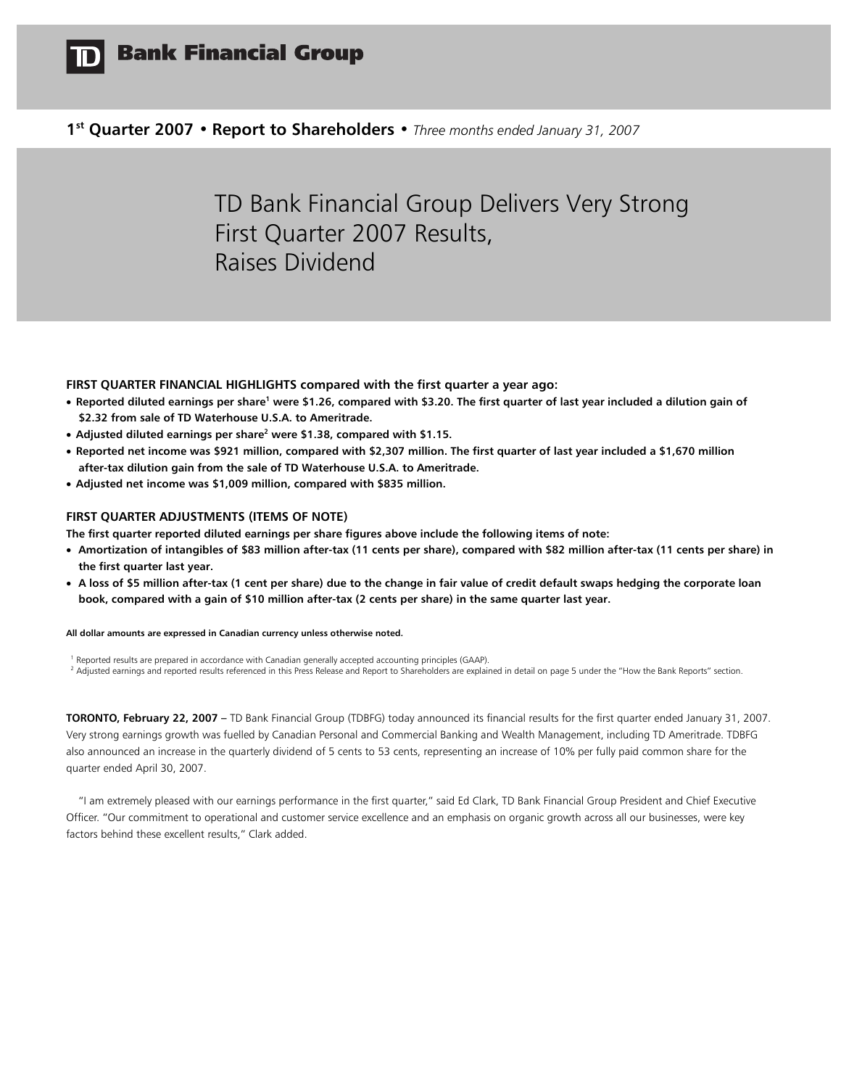

# **1st Quarter 2007 • Report to Shareholders •** *Three months ended January 31, 2007*

# TD Bank Financial Group Delivers Very Strong First Quarter 2007 Results, Raises Dividend

**FIRST QUARTER FINANCIAL HIGHLIGHTS compared with the first quarter a year ago:** 

- Reported diluted earnings per share<sup>1</sup> were \$1.26, compared with \$3.20. The first quarter of last year included a dilution gain of **\$2.32 from sale of TD Waterhouse U.S.A. to Ameritrade.**
- **Adjusted diluted earnings per share<sup>2</sup> were \$1.38, compared with \$1.15.**
- **Reported net income was \$921 million, compared with \$2,307 million. The first quarter of last year included a \$1,670 million after-tax dilution gain from the sale of TD Waterhouse U.S.A. to Ameritrade.**
- **Adjusted net income was \$1,009 million, compared with \$835 million.**

### **FIRST QUARTER ADJUSTMENTS (ITEMS OF NOTE)**

**The first quarter reported diluted earnings per share figures above include the following items of note:** 

- **Amortization of intangibles of \$83 million after-tax (11 cents per share), compared with \$82 million after-tax (11 cents per share) in the first quarter last year.**
- **A loss of \$5 million after-tax (1 cent per share) due to the change in fair value of credit default swaps hedging the corporate loan book, compared with a gain of \$10 million after-tax (2 cents per share) in the same quarter last year.**

**All dollar amounts are expressed in Canadian currency unless otherwise noted.**

<sup>1</sup> Reported results are prepared in accordance with Canadian generally accepted accounting principles (GAAP).<br><sup>2</sup> Adjusted earnings and reported results referenced in this Press Release and Report to Shareholders are expl

**TORONTO, February 22, 2007 –** TD Bank Financial Group (TDBFG) today announced its financial results for the first quarter ended January 31, 2007. Very strong earnings growth was fuelled by Canadian Personal and Commercial Banking and Wealth Management, including TD Ameritrade. TDBFG also announced an increase in the quarterly dividend of 5 cents to 53 cents, representing an increase of 10% per fully paid common share for the quarter ended April 30, 2007.

 "I am extremely pleased with our earnings performance in the first quarter," said Ed Clark, TD Bank Financial Group President and Chief Executive Officer. "Our commitment to operational and customer service excellence and an emphasis on organic growth across all our businesses, were key factors behind these excellent results," Clark added.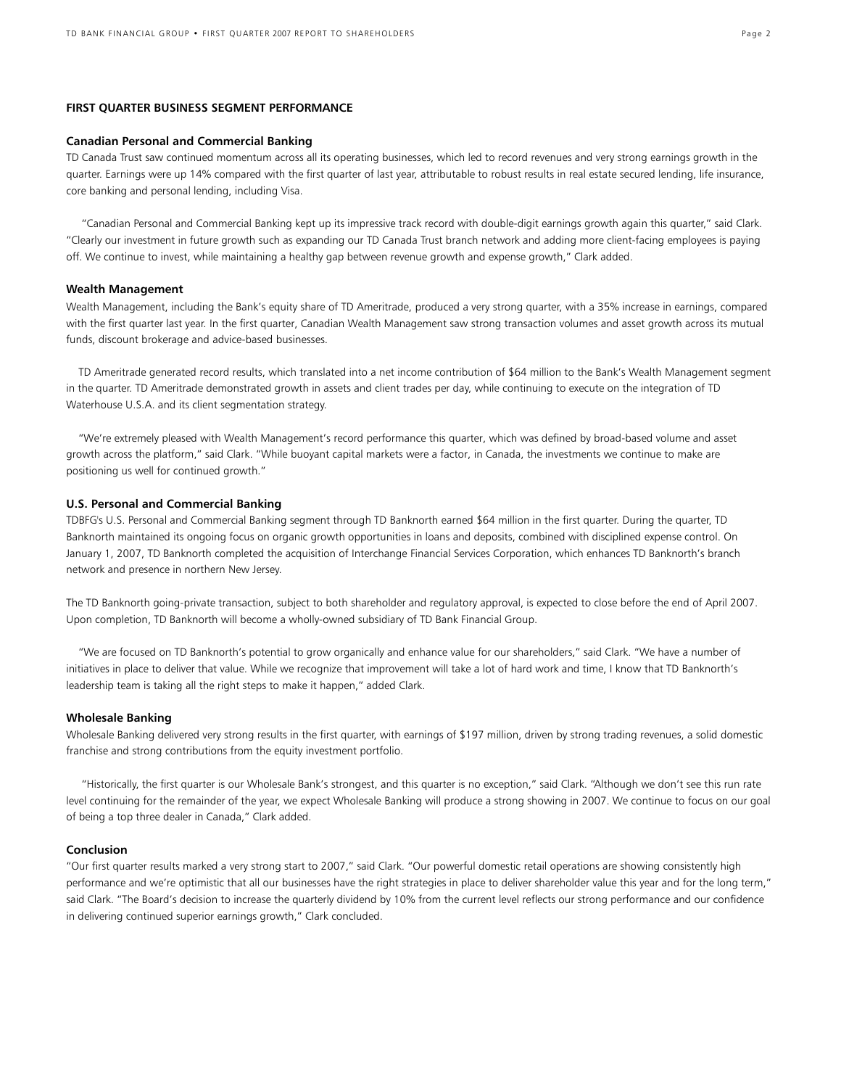#### **FIRST QUARTER BUSINESS SEGMENT PERFORMANCE**

### **Canadian Personal and Commercial Banking**

TD Canada Trust saw continued momentum across all its operating businesses, which led to record revenues and very strong earnings growth in the quarter. Earnings were up 14% compared with the first quarter of last year, attributable to robust results in real estate secured lending, life insurance, core banking and personal lending, including Visa.

 "Canadian Personal and Commercial Banking kept up its impressive track record with double-digit earnings growth again this quarter," said Clark. "Clearly our investment in future growth such as expanding our TD Canada Trust branch network and adding more client-facing employees is paying off. We continue to invest, while maintaining a healthy gap between revenue growth and expense growth," Clark added.

### **Wealth Management**

Wealth Management, including the Bank's equity share of TD Ameritrade, produced a very strong quarter, with a 35% increase in earnings, compared with the first quarter last year. In the first quarter, Canadian Wealth Management saw strong transaction volumes and asset growth across its mutual funds, discount brokerage and advice-based businesses.

 TD Ameritrade generated record results, which translated into a net income contribution of \$64 million to the Bank's Wealth Management segment in the quarter. TD Ameritrade demonstrated growth in assets and client trades per day, while continuing to execute on the integration of TD Waterhouse U.S.A. and its client segmentation strategy.

 "We're extremely pleased with Wealth Management's record performance this quarter, which was defined by broad-based volume and asset growth across the platform," said Clark. "While buoyant capital markets were a factor, in Canada, the investments we continue to make are positioning us well for continued growth."

### **U.S. Personal and Commercial Banking**

TDBFG's U.S. Personal and Commercial Banking segment through TD Banknorth earned \$64 million in the first quarter. During the quarter, TD Banknorth maintained its ongoing focus on organic growth opportunities in loans and deposits, combined with disciplined expense control. On January 1, 2007, TD Banknorth completed the acquisition of Interchange Financial Services Corporation, which enhances TD Banknorth's branch network and presence in northern New Jersey.

The TD Banknorth going-private transaction, subject to both shareholder and regulatory approval, is expected to close before the end of April 2007. Upon completion, TD Banknorth will become a wholly-owned subsidiary of TD Bank Financial Group.

 "We are focused on TD Banknorth's potential to grow organically and enhance value for our shareholders," said Clark. "We have a number of initiatives in place to deliver that value. While we recognize that improvement will take a lot of hard work and time, I know that TD Banknorth's leadership team is taking all the right steps to make it happen," added Clark.

#### **Wholesale Banking**

Wholesale Banking delivered very strong results in the first quarter, with earnings of \$197 million, driven by strong trading revenues, a solid domestic franchise and strong contributions from the equity investment portfolio.

 "Historically, the first quarter is our Wholesale Bank's strongest, and this quarter is no exception," said Clark. "Although we don't see this run rate level continuing for the remainder of the year, we expect Wholesale Banking will produce a strong showing in 2007. We continue to focus on our goal of being a top three dealer in Canada," Clark added.

# **Conclusion**

"Our first quarter results marked a very strong start to 2007," said Clark. "Our powerful domestic retail operations are showing consistently high performance and we're optimistic that all our businesses have the right strategies in place to deliver shareholder value this year and for the long term," said Clark. "The Board's decision to increase the quarterly dividend by 10% from the current level reflects our strong performance and our confidence in delivering continued superior earnings growth," Clark concluded.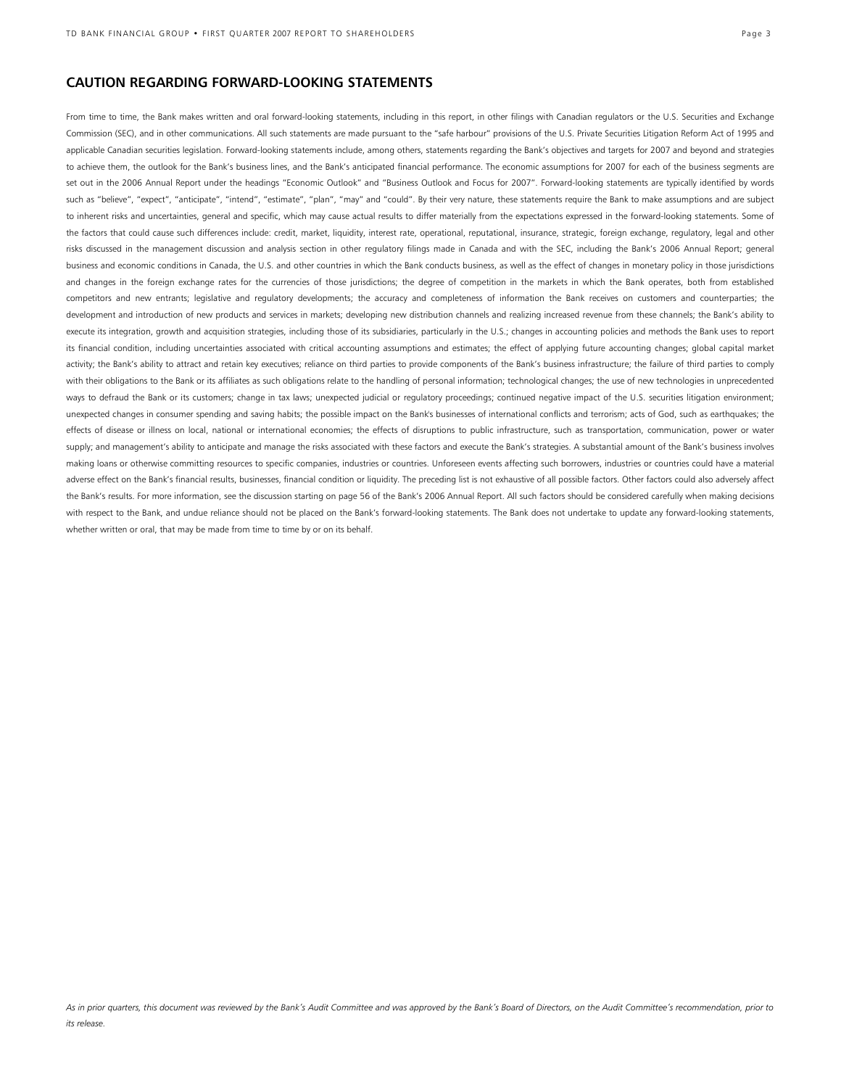# **CAUTION REGARDING FORWARD-LOOKING STATEMENTS**

From time to time, the Bank makes written and oral forward-looking statements, including in this report, in other filings with Canadian regulators or the U.S. Securities and Exchange Commission (SEC), and in other communications. All such statements are made pursuant to the "safe harbour" provisions of the U.S. Private Securities Litigation Reform Act of 1995 and applicable Canadian securities legislation. Forward-looking statements include, among others, statements regarding the Bank's objectives and targets for 2007 and beyond and strategies to achieve them, the outlook for the Bank's business lines, and the Bank's anticipated financial performance. The economic assumptions for 2007 for each of the business segments are set out in the 2006 Annual Report under the headings "Economic Outlook" and "Business Outlook and Focus for 2007". Forward-looking statements are typically identified by words such as "believe", "expect", "anticipate", "intend", "estimate", "plan", "may" and "could". By their very nature, these statements require the Bank to make assumptions and are subject to inherent risks and uncertainties, general and specific, which may cause actual results to differ materially from the expectations expressed in the forward-looking statements. Some of the factors that could cause such differences include: credit, market, liquidity, interest rate, operational, reputational, insurance, strategic, foreign exchange, regulatory, legal and other risks discussed in the management discussion and analysis section in other regulatory filings made in Canada and with the SEC, including the Bank's 2006 Annual Report; general business and economic conditions in Canada, the U.S. and other countries in which the Bank conducts business, as well as the effect of changes in monetary policy in those jurisdictions and changes in the foreign exchange rates for the currencies of those jurisdictions; the degree of competition in the markets in which the Bank operates, both from established competitors and new entrants; legislative and regulatory developments; the accuracy and completeness of information the Bank receives on customers and counterparties; the development and introduction of new products and services in markets; developing new distribution channels and realizing increased revenue from these channels; the Bank's ability to execute its integration, growth and acquisition strategies, including those of its subsidiaries, particularly in the U.S.; changes in accounting policies and methods the Bank uses to report its financial condition, including uncertainties associated with critical accounting assumptions and estimates; the effect of applying future accounting changes; global capital market activity; the Bank's ability to attract and retain key executives; reliance on third parties to provide components of the Bank's business infrastructure; the failure of third parties to comply with their obligations to the Bank or its affiliates as such obligations relate to the handling of personal information; technological changes; the use of new technologies in unprecedented ways to defraud the Bank or its customers; change in tax laws; unexpected judicial or regulatory proceedings; continued negative impact of the U.S. securities litigation environment; unexpected changes in consumer spending and saving habits; the possible impact on the Bank's businesses of international conflicts and terrorism; acts of God, such as earthquakes; the effects of disease or illness on local, national or international economies; the effects of disruptions to public infrastructure, such as transportation, communication, power or water supply; and management's ability to anticipate and manage the risks associated with these factors and execute the Bank's strategies. A substantial amount of the Bank's business involves making loans or otherwise committing resources to specific companies, industries or countries. Unforeseen events affecting such borrowers, industries or countries could have a material adverse effect on the Bank's financial results, businesses, financial condition or liquidity. The preceding list is not exhaustive of all possible factors. Other factors could also adversely affect the Bank's results. For more information, see the discussion starting on page 56 of the Bank's 2006 Annual Report. All such factors should be considered carefully when making decisions with respect to the Bank, and undue reliance should not be placed on the Bank's forward-looking statements. The Bank does not undertake to update any forward-looking statements, whether written or oral, that may be made from time to time by or on its behalf.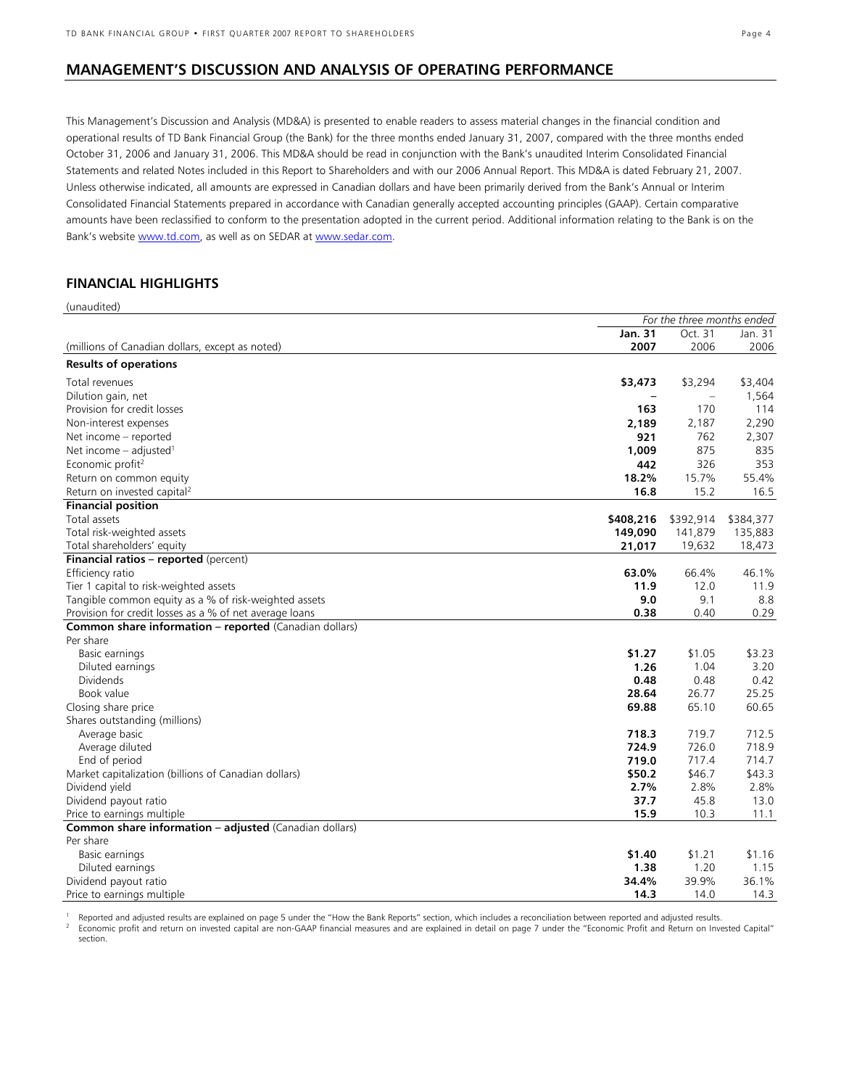# **MANAGEMENT'S DISCUSSION AND ANALYSIS OF OPERATING PERFORMANCE**

This Management's Discussion and Analysis (MD&A) is presented to enable readers to assess material changes in the financial condition and operational results of TD Bank Financial Group (the Bank) for the three months ended January 31, 2007, compared with the three months ended October 31, 2006 and January 31, 2006. This MD&A should be read in conjunction with the Bank's unaudited Interim Consolidated Financial Statements and related Notes included in this Report to Shareholders and with our 2006 Annual Report. This MD&A is dated February 21, 2007. Unless otherwise indicated, all amounts are expressed in Canadian dollars and have been primarily derived from the Bank's Annual or Interim Consolidated Financial Statements prepared in accordance with Canadian generally accepted accounting principles (GAAP). Certain comparative amounts have been reclassified to conform to the presentation adopted in the current period. Additional information relating to the Bank is on the Bank's website www.td.com, as well as on SEDAR at www.sedar.com.

# **FINANCIAL HIGHLIGHTS**

| (unaudited)                                             |           |                            |                |
|---------------------------------------------------------|-----------|----------------------------|----------------|
|                                                         |           | For the three months ended |                |
|                                                         | Jan. 31   | Oct. 31                    | Jan. 31        |
| (millions of Canadian dollars, except as noted)         | 2007      | 2006                       | 2006           |
| <b>Results of operations</b>                            |           |                            |                |
| Total revenues                                          | \$3,473   | \$3,294                    | \$3,404        |
| Dilution gain, net                                      |           |                            | 1,564          |
| Provision for credit losses                             | 163       | 170                        | 114            |
| Non-interest expenses                                   | 2,189     | 2,187                      | 2,290          |
| Net income – reported                                   | 921       | 762                        | 2,307          |
| Net income $-$ adjusted <sup>1</sup>                    | 1,009     | 875                        | 835            |
| Economic profit <sup>2</sup>                            | 442       | 326                        | 353            |
| Return on common equity                                 | 18.2%     | 15.7%                      | 55.4%          |
| Return on invested capital <sup>2</sup>                 | 16.8      | 15.2                       | 16.5           |
| <b>Financial position</b>                               |           |                            |                |
| Total assets                                            | \$408,216 | \$392,914                  | \$384,377      |
| Total risk-weighted assets                              | 149,090   | 141,879                    | 135,883        |
| Total shareholders' equity                              | 21,017    | 19,632                     | 18,473         |
| Financial ratios - reported (percent)                   |           |                            |                |
| Efficiency ratio                                        | 63.0%     | 66.4%                      | 46.1%          |
| Tier 1 capital to risk-weighted assets                  | 11.9      | 12.0                       | 11.9           |
| Tangible common equity as a % of risk-weighted assets   | 9.0       | 9.1                        | 8.8            |
| Provision for credit losses as a % of net average loans | 0.38      | 0.40                       | 0.29           |
| Common share information - reported (Canadian dollars)  |           |                            |                |
| Per share                                               |           |                            |                |
| Basic earnings                                          | \$1.27    | \$1.05                     | \$3.23         |
| Diluted earnings                                        | 1.26      | 1.04                       | 3.20           |
| <b>Dividends</b>                                        | 0.48      | 0.48                       | 0.42           |
| Book value                                              | 28.64     | 26.77                      | 25.25          |
| Closing share price                                     | 69.88     | 65.10                      | 60.65          |
| Shares outstanding (millions)                           |           |                            |                |
| Average basic                                           | 718.3     | 719.7                      | 712.5          |
| Average diluted                                         | 724.9     | 726.0                      | 718.9          |
| End of period                                           | 719.0     | 717.4                      | 714.7          |
| Market capitalization (billions of Canadian dollars)    | \$50.2    | \$46.7                     | \$43.3         |
| Dividend yield                                          | 2.7%      | 2.8%                       | 2.8%           |
| Dividend payout ratio                                   | 37.7      | 45.8                       | 13.0           |
| Price to earnings multiple                              | 15.9      | 10.3                       | 11.1           |
| Common share information - adjusted (Canadian dollars)  |           |                            |                |
| Per share                                               | \$1.40    | \$1.21                     |                |
| Basic earnings                                          | 1.38      | 1.20                       | \$1.16<br>1.15 |
| Diluted earnings<br>Dividend payout ratio               | 34.4%     | 39.9%                      | 36.1%          |
| Price to earnings multiple                              | 14.3      | 14.0                       | 14.3           |
|                                                         |           |                            |                |

<sup>1</sup> Reported and adjusted results are explained on page 5 under the "How the Bank Reports" section, which includes a reconciliation between reported and adjusted results.<br><sup>2</sup> Economic profit and return on invested capital section.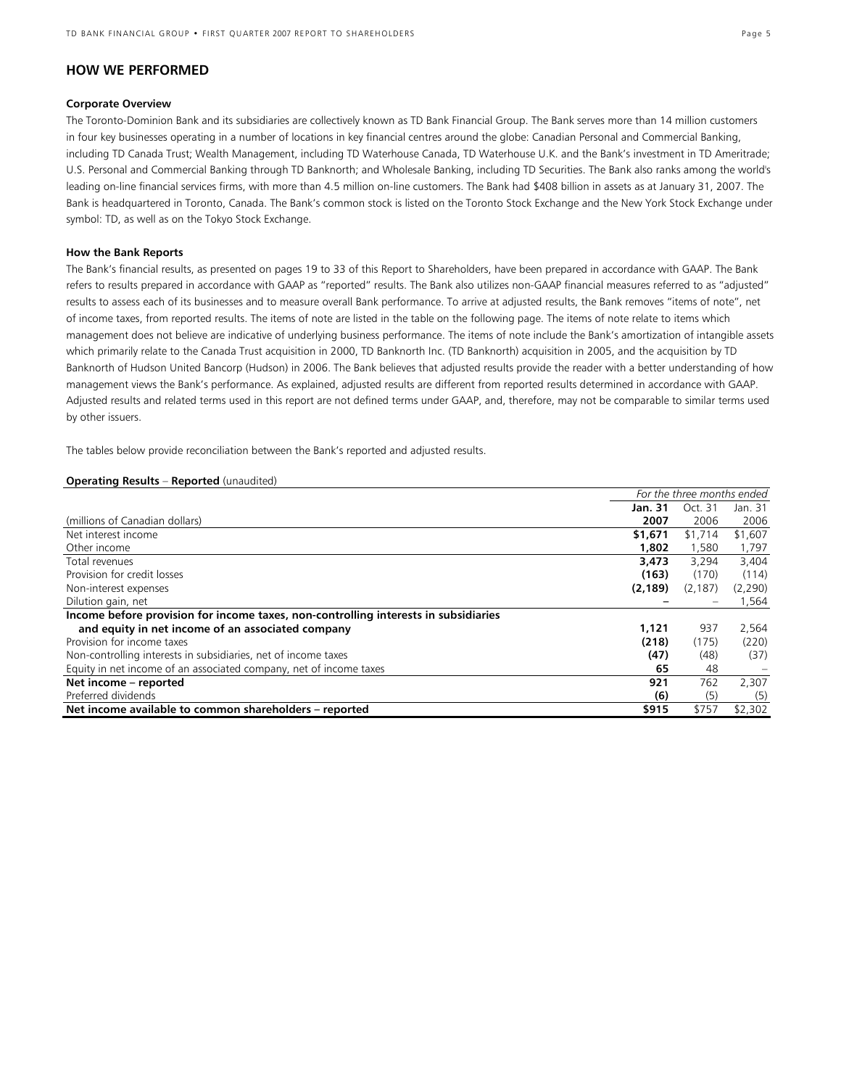# **HOW WE PERFORMED**

### **Corporate Overview**

The Toronto-Dominion Bank and its subsidiaries are collectively known as TD Bank Financial Group. The Bank serves more than 14 million customers in four key businesses operating in a number of locations in key financial centres around the globe: Canadian Personal and Commercial Banking, including TD Canada Trust; Wealth Management, including TD Waterhouse Canada, TD Waterhouse U.K. and the Bank's investment in TD Ameritrade; U.S. Personal and Commercial Banking through TD Banknorth; and Wholesale Banking, including TD Securities. The Bank also ranks among the world's leading on-line financial services firms, with more than 4.5 million on-line customers. The Bank had \$408 billion in assets as at January 31, 2007. The Bank is headquartered in Toronto, Canada. The Bank's common stock is listed on the Toronto Stock Exchange and the New York Stock Exchange under symbol: TD, as well as on the Tokyo Stock Exchange.

### **How the Bank Reports**

The Bank's financial results, as presented on pages 19 to 33 of this Report to Shareholders, have been prepared in accordance with GAAP. The Bank refers to results prepared in accordance with GAAP as "reported" results. The Bank also utilizes non-GAAP financial measures referred to as "adjusted" results to assess each of its businesses and to measure overall Bank performance. To arrive at adjusted results, the Bank removes "items of note", net of income taxes, from reported results. The items of note are listed in the table on the following page. The items of note relate to items which management does not believe are indicative of underlying business performance. The items of note include the Bank's amortization of intangible assets which primarily relate to the Canada Trust acquisition in 2000, TD Banknorth Inc. (TD Banknorth) acquisition in 2005, and the acquisition by TD Banknorth of Hudson United Bancorp (Hudson) in 2006. The Bank believes that adjusted results provide the reader with a better understanding of how management views the Bank's performance. As explained, adjusted results are different from reported results determined in accordance with GAAP. Adjusted results and related terms used in this report are not defined terms under GAAP, and, therefore, may not be comparable to similar terms used by other issuers.

The tables below provide reconciliation between the Bank's reported and adjusted results.

### **Operating Results** – **Reported** (unaudited)

|                                                                                     | For the three months ended |          |         |
|-------------------------------------------------------------------------------------|----------------------------|----------|---------|
|                                                                                     | <b>Jan. 31</b>             | Oct. 31  | Jan. 31 |
| (millions of Canadian dollars)                                                      | 2007                       | 2006     | 2006    |
| Net interest income                                                                 | \$1,671                    | \$1,714  | \$1,607 |
| Other income                                                                        | 1,802                      | 1,580    | 1,797   |
| Total revenues                                                                      | 3,473                      | 3,294    | 3,404   |
| Provision for credit losses                                                         | (163)                      | (170)    | (114)   |
| Non-interest expenses                                                               | (2, 189)                   | (2, 187) | (2,290) |
| Dilution gain, net                                                                  |                            |          | 1,564   |
| Income before provision for income taxes, non-controlling interests in subsidiaries |                            |          |         |
| and equity in net income of an associated company                                   | 1.121                      | 937      | 2,564   |
| Provision for income taxes                                                          | (218)                      | (175)    | (220)   |
| Non-controlling interests in subsidiaries, net of income taxes                      | (47)                       | (48)     | (37)    |
| Equity in net income of an associated company, net of income taxes                  | 65                         | 48       |         |
| Net income - reported                                                               | 921                        | 762      | 2,307   |
| Preferred dividends                                                                 | (6)                        | (5)      | (5)     |
| Net income available to common shareholders - reported                              | \$915                      | \$757    | \$2,302 |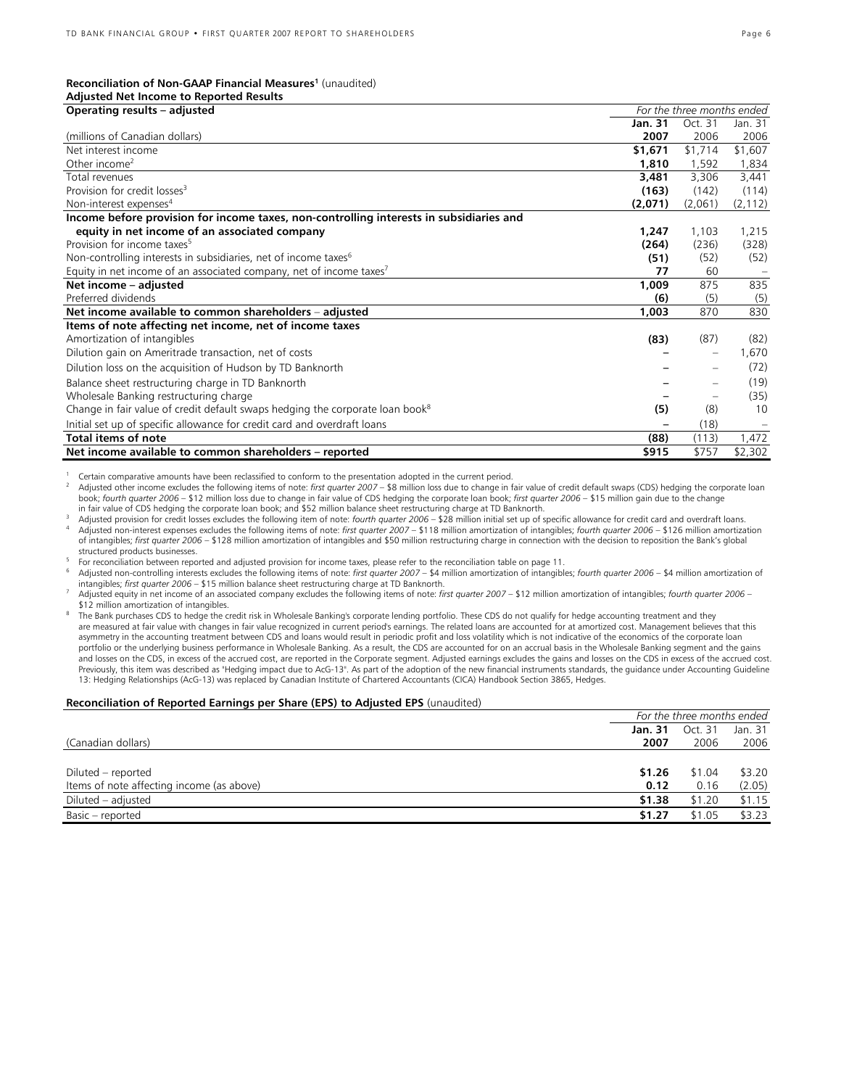# **Reconciliation of Non-GAAP Financial Measures1** (unaudited)

| <b>Adjusted Net Income to Reported Results</b>                                            |                            |                   |          |
|-------------------------------------------------------------------------------------------|----------------------------|-------------------|----------|
| Operating results - adjusted                                                              | For the three months ended |                   |          |
|                                                                                           | Jan. 31                    | Oct. 31           | Jan. 31  |
| (millions of Canadian dollars)                                                            | 2007                       | 2006              | 2006     |
| Net interest income                                                                       | \$1,671                    | \$1,714           | \$1,607  |
| Other income <sup>2</sup>                                                                 | 1,810                      | 1,592             | 1,834    |
| Total revenues                                                                            | 3,481                      | 3.306             | 3,441    |
| Provision for credit losses <sup>3</sup>                                                  | (163)                      | (142)             | (114)    |
| Non-interest expenses <sup>4</sup>                                                        | (2,071)                    | (2,061)           | (2, 112) |
| Income before provision for income taxes, non-controlling interests in subsidiaries and   |                            |                   |          |
| equity in net income of an associated company                                             | 1,247                      | 1,103             | 1,215    |
| Provision for income taxes <sup>5</sup>                                                   | (264)                      | (236)             | (328)    |
| Non-controlling interests in subsidiaries, net of income taxes <sup>6</sup>               | (51)                       | (52)              | (52)     |
| Equity in net income of an associated company, net of income taxes <sup>7</sup>           | 77                         | 60                |          |
| Net income - adjusted                                                                     | 1,009                      | 875               | 835      |
| Preferred dividends                                                                       | (6)                        | (5)               | (5)      |
| Net income available to common shareholders – adjusted                                    | 1,003                      | 870               | 830      |
| Items of note affecting net income, net of income taxes                                   |                            |                   |          |
| Amortization of intangibles                                                               | (83)                       | (87)              | (82)     |
| Dilution gain on Ameritrade transaction, net of costs                                     |                            | $\qquad \qquad -$ | .670 ا   |
| Dilution loss on the acquisition of Hudson by TD Banknorth                                |                            |                   | (72)     |
| Balance sheet restructuring charge in TD Banknorth                                        |                            |                   | (19)     |
| Wholesale Banking restructuring charge                                                    |                            |                   | (35)     |
| Change in fair value of credit default swaps hedging the corporate loan book <sup>8</sup> | (5)                        | (8)               | 10       |
| Initial set up of specific allowance for credit card and overdraft loans                  |                            | (18)              |          |
| <b>Total items of note</b>                                                                | (88)                       | (113)             | 1,472    |
| Net income available to common shareholders - reported                                    | \$915                      | \$757             | \$2,302  |

1 Certain comparative amounts have been reclassified to conform to the presentation adopted in the current period.<br><sup>2</sup> Adjusted other income excludes the following items of note: *first quarter 2007* − \$8 million loss due

in fair value of CDS hedging the corporate loan book; and \$52 million balance sheet restructuring charge at TD Banknorth.<br>Adjusted provision for credit losses excludes the following item of note: *fourth quarter 2006* – \$2 of intangibles; *first quarter 2006* – \$128 million amortization of intangibles and \$50 million restructuring charge in connection with the decision to reposition the Bank's global

For reconciliation between reported and adjusted provision for income taxes, please refer to the reconciliation table on page 11.<br>Adjusted non-controlling interests excludes the following items of note: first quarter 2007

Adjusted equity in net income of an associated company excludes the following items of note: first quarter 2007 - \$12 million amortization of intangibles; fourth quarter 2006 -<br>\$12 million amortization of intangibles.

The Bank purchases CDS to hedge the credit risk in Wholesale Banking's corporate lending portfolio. These CDS do not qualify for hedge accounting treatment and they are measured at fair value with changes in fair value recognized in current period's earnings. The related loans are accounted for at amortized cost. Management believes that this asymmetry in the accounting treatment between CDS and loans would result in periodic profit and loss volatility which is not indicative of the economics of the corporate loan portfolio or the underlying business performance in Wholesale Banking. As a result, the CDS are accounted for on an accrual basis in the Wholesale Banking segment and the gains and losses on the CDS, in excess of the accrued cost, are reported in the Corporate segment. Adjusted earnings excludes the gains and losses on the CDS in excess of the accrued cost. Previously, this item was described as "Hedging impact due to AcG-13". As part of the adoption of the new financial instruments standards, the guidance under Accounting Guideline 13: Hedging Relationships (AcG-13) was replaced by Canadian Institute of Chartered Accountants (CICA) Handbook Section 3865, Hedges.

#### **Reconciliation of Reported Earnings per Share (EPS) to Adjusted EPS** (unaudited)

|                                           | For the three months ended |         |         |
|-------------------------------------------|----------------------------|---------|---------|
|                                           | <b>Jan. 31</b>             | Oct. 31 | Jan. 31 |
| (Canadian dollars)                        | 2007                       | 2006    | 2006    |
|                                           |                            |         |         |
| Diluted – reported                        | \$1.26                     | \$1.04  | \$3.20  |
| Items of note affecting income (as above) | 0.12                       | 0.16    | (2.05)  |
| Diluted – adjusted                        | \$1.38                     | \$1.20  | \$1.15  |
| Basic - reported                          | \$1.27                     | \$1.05  | \$3.23  |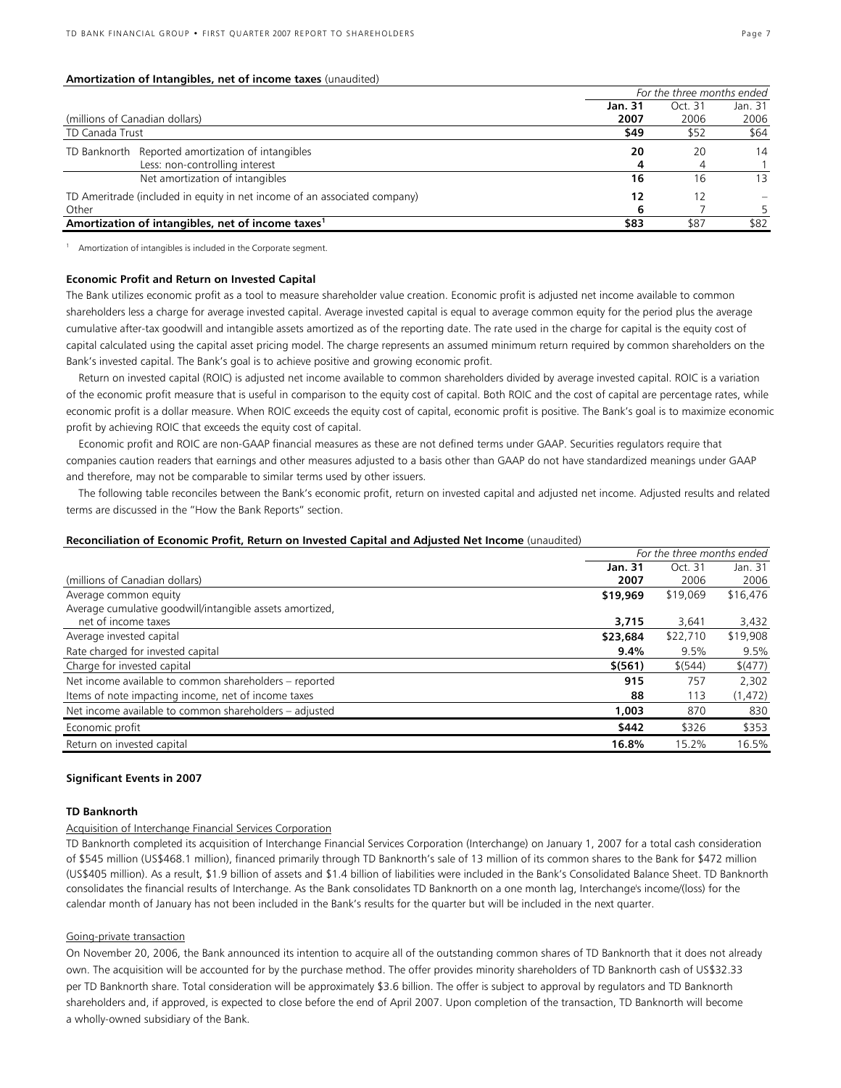### **Amortization of Intangibles, net of income taxes** (unaudited)

|                                                                           | For the three months ended |         |         |
|---------------------------------------------------------------------------|----------------------------|---------|---------|
|                                                                           | Jan. 31                    | Oct. 31 | Jan. 31 |
| (millions of Canadian dollars)                                            | 2007                       | 2006    | 2006    |
| TD Canada Trust                                                           | \$49                       | \$52    | \$64    |
| TD Banknorth Reported amortization of intangibles                         | 20                         | 20      | 14      |
| Less: non-controlling interest                                            |                            |         |         |
| Net amortization of intangibles                                           | 16                         | 16      | 13      |
| TD Ameritrade (included in equity in net income of an associated company) | 12                         | 12      |         |
| Other                                                                     | b                          |         |         |
| Amortization of intangibles, net of income taxes <sup>1</sup>             | \$83                       | \$87    | \$82    |

<sup>1</sup> Amortization of intangibles is included in the Corporate segment.

### **Economic Profit and Return on Invested Capital**

The Bank utilizes economic profit as a tool to measure shareholder value creation. Economic profit is adjusted net income available to common shareholders less a charge for average invested capital. Average invested capital is equal to average common equity for the period plus the average cumulative after-tax goodwill and intangible assets amortized as of the reporting date. The rate used in the charge for capital is the equity cost of capital calculated using the capital asset pricing model. The charge represents an assumed minimum return required by common shareholders on the Bank's invested capital. The Bank's goal is to achieve positive and growing economic profit.

Return on invested capital (ROIC) is adjusted net income available to common shareholders divided by average invested capital. ROIC is a variation of the economic profit measure that is useful in comparison to the equity cost of capital. Both ROIC and the cost of capital are percentage rates, while economic profit is a dollar measure. When ROIC exceeds the equity cost of capital, economic profit is positive. The Bank's goal is to maximize economic profit by achieving ROIC that exceeds the equity cost of capital.

Economic profit and ROIC are non-GAAP financial measures as these are not defined terms under GAAP. Securities regulators require that companies caution readers that earnings and other measures adjusted to a basis other than GAAP do not have standardized meanings under GAAP and therefore, may not be comparable to similar terms used by other issuers.

The following table reconciles between the Bank's economic profit, return on invested capital and adjusted net income. Adjusted results and related terms are discussed in the "How the Bank Reports" section.

#### **Reconciliation of Economic Profit, Return on Invested Capital and Adjusted Net Income** (unaudited)

|                                                          |          | For the three months ended |          |  |
|----------------------------------------------------------|----------|----------------------------|----------|--|
|                                                          | Jan. 31  | Oct. 31                    | Jan. 31  |  |
| (millions of Canadian dollars)                           | 2007     | 2006                       | 2006     |  |
| Average common equity                                    | \$19,969 | \$19,069                   | \$16,476 |  |
| Average cumulative goodwill/intangible assets amortized, |          |                            |          |  |
| net of income taxes                                      | 3,715    | 3,641                      | 3,432    |  |
| Average invested capital                                 | \$23,684 | \$22,710                   | \$19,908 |  |
| Rate charged for invested capital                        | 9.4%     | 9.5%                       | 9.5%     |  |
| Charge for invested capital                              | \$ (561) | \$ (544)                   | \$(477)  |  |
| Net income available to common shareholders - reported   | 915      | 757                        | 2,302    |  |
| Items of note impacting income, net of income taxes      | 88       | 113                        | (1, 472) |  |
| Net income available to common shareholders – adjusted   | 1,003    | 870                        | 830      |  |
| Economic profit                                          | \$442    | \$326                      | \$353    |  |
| Return on invested capital                               | 16.8%    | 15.2%                      | 16.5%    |  |

# **Significant Events in 2007**

### **TD Banknorth**

# Acquisition of Interchange Financial Services Corporation

TD Banknorth completed its acquisition of Interchange Financial Services Corporation (Interchange) on January 1, 2007 for a total cash consideration of \$545 million (US\$468.1 million), financed primarily through TD Banknorth's sale of 13 million of its common shares to the Bank for \$472 million (US\$405 million). As a result, \$1.9 billion of assets and \$1.4 billion of liabilities were included in the Bank's Consolidated Balance Sheet. TD Banknorth consolidates the financial results of Interchange. As the Bank consolidates TD Banknorth on a one month lag, Interchange's income/(loss) for the calendar month of January has not been included in the Bank's results for the quarter but will be included in the next quarter.

# Going-private transaction

On November 20, 2006, the Bank announced its intention to acquire all of the outstanding common shares of TD Banknorth that it does not already own. The acquisition will be accounted for by the purchase method. The offer provides minority shareholders of TD Banknorth cash of US\$32.33 per TD Banknorth share. Total consideration will be approximately \$3.6 billion. The offer is subject to approval by regulators and TD Banknorth shareholders and, if approved, is expected to close before the end of April 2007. Upon completion of the transaction, TD Banknorth will become a wholly-owned subsidiary of the Bank.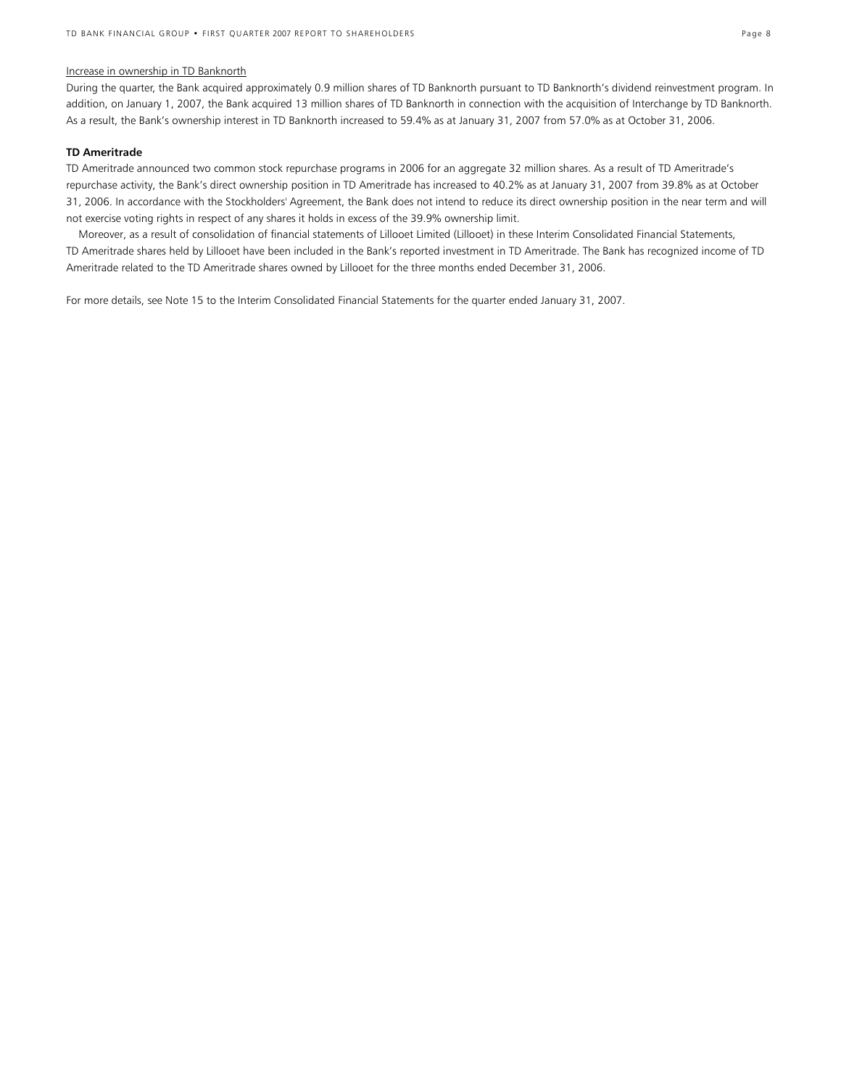# Increase in ownership in TD Banknorth

During the quarter, the Bank acquired approximately 0.9 million shares of TD Banknorth pursuant to TD Banknorth's dividend reinvestment program. In addition, on January 1, 2007, the Bank acquired 13 million shares of TD Banknorth in connection with the acquisition of Interchange by TD Banknorth. As a result, the Bank's ownership interest in TD Banknorth increased to 59.4% as at January 31, 2007 from 57.0% as at October 31, 2006.

# **TD Ameritrade**

TD Ameritrade announced two common stock repurchase programs in 2006 for an aggregate 32 million shares. As a result of TD Ameritrade's repurchase activity, the Bank's direct ownership position in TD Ameritrade has increased to 40.2% as at January 31, 2007 from 39.8% as at October 31, 2006. In accordance with the Stockholders' Agreement, the Bank does not intend to reduce its direct ownership position in the near term and will not exercise voting rights in respect of any shares it holds in excess of the 39.9% ownership limit.

 Moreover, as a result of consolidation of financial statements of Lillooet Limited (Lillooet) in these Interim Consolidated Financial Statements, TD Ameritrade shares held by Lillooet have been included in the Bank's reported investment in TD Ameritrade. The Bank has recognized income of TD Ameritrade related to the TD Ameritrade shares owned by Lillooet for the three months ended December 31, 2006.

For more details, see Note 15 to the Interim Consolidated Financial Statements for the quarter ended January 31, 2007.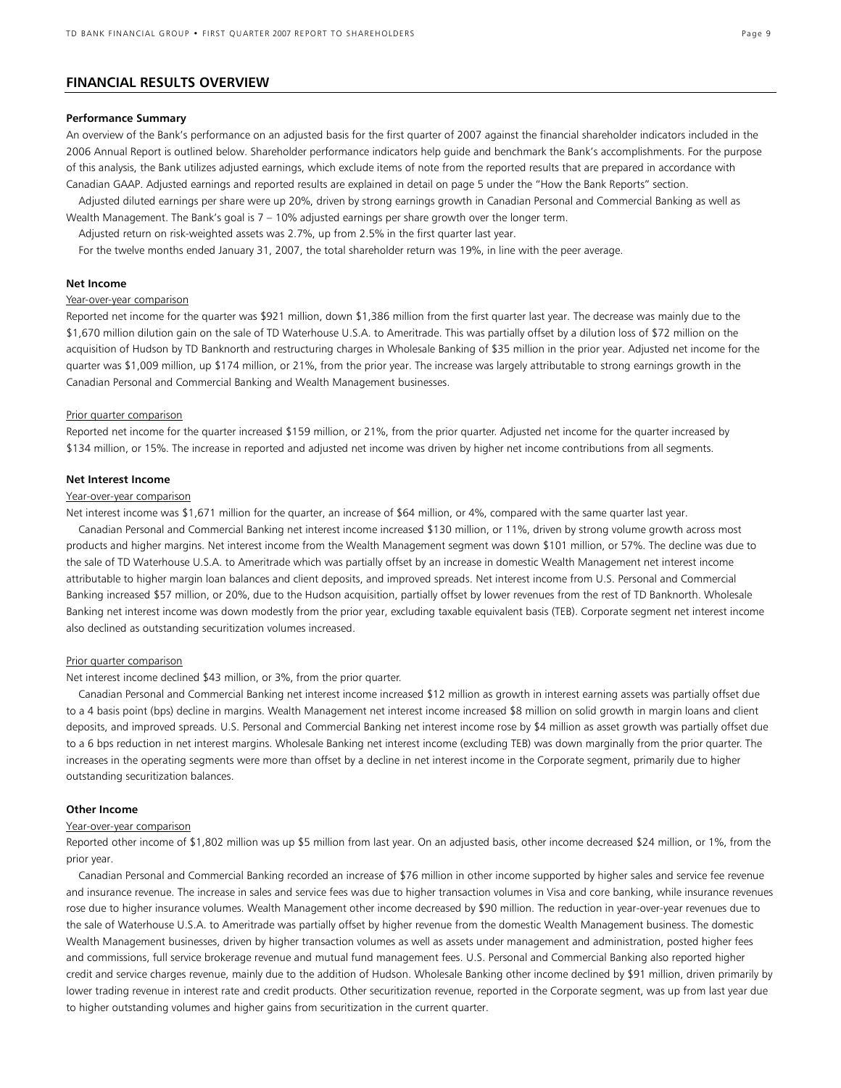# **FINANCIAL RESULTS OVERVIEW**

### **Performance Summary**

An overview of the Bank's performance on an adjusted basis for the first quarter of 2007 against the financial shareholder indicators included in the 2006 Annual Report is outlined below. Shareholder performance indicators help guide and benchmark the Bank's accomplishments. For the purpose of this analysis, the Bank utilizes adjusted earnings, which exclude items of note from the reported results that are prepared in accordance with Canadian GAAP. Adjusted earnings and reported results are explained in detail on page 5 under the "How the Bank Reports" section.

Adjusted diluted earnings per share were up 20%, driven by strong earnings growth in Canadian Personal and Commercial Banking as well as Wealth Management. The Bank's goal is 7 – 10% adjusted earnings per share growth over the longer term.

Adjusted return on risk-weighted assets was 2.7%, up from 2.5% in the first quarter last year.

For the twelve months ended January 31, 2007, the total shareholder return was 19%, in line with the peer average.

# **Net Income**

# Year-over-year comparison

Reported net income for the quarter was \$921 million, down \$1,386 million from the first quarter last year. The decrease was mainly due to the \$1,670 million dilution gain on the sale of TD Waterhouse U.S.A. to Ameritrade. This was partially offset by a dilution loss of \$72 million on the acquisition of Hudson by TD Banknorth and restructuring charges in Wholesale Banking of \$35 million in the prior year. Adjusted net income for the quarter was \$1,009 million, up \$174 million, or 21%, from the prior year. The increase was largely attributable to strong earnings growth in the Canadian Personal and Commercial Banking and Wealth Management businesses.

#### Prior quarter comparison

Reported net income for the quarter increased \$159 million, or 21%, from the prior quarter. Adjusted net income for the quarter increased by \$134 million, or 15%. The increase in reported and adjusted net income was driven by higher net income contributions from all segments.

### **Net Interest Income**

### Year-over-year comparison

Net interest income was \$1,671 million for the quarter, an increase of \$64 million, or 4%, compared with the same quarter last year.

Canadian Personal and Commercial Banking net interest income increased \$130 million, or 11%, driven by strong volume growth across most products and higher margins. Net interest income from the Wealth Management segment was down \$101 million, or 57%. The decline was due to the sale of TD Waterhouse U.S.A. to Ameritrade which was partially offset by an increase in domestic Wealth Management net interest income attributable to higher margin loan balances and client deposits, and improved spreads. Net interest income from U.S. Personal and Commercial Banking increased \$57 million, or 20%, due to the Hudson acquisition, partially offset by lower revenues from the rest of TD Banknorth. Wholesale Banking net interest income was down modestly from the prior year, excluding taxable equivalent basis (TEB). Corporate segment net interest income also declined as outstanding securitization volumes increased.

#### Prior quarter comparison

#### Net interest income declined \$43 million, or 3%, from the prior quarter.

Canadian Personal and Commercial Banking net interest income increased \$12 million as growth in interest earning assets was partially offset due to a 4 basis point (bps) decline in margins. Wealth Management net interest income increased \$8 million on solid growth in margin loans and client deposits, and improved spreads. U.S. Personal and Commercial Banking net interest income rose by \$4 million as asset growth was partially offset due to a 6 bps reduction in net interest margins. Wholesale Banking net interest income (excluding TEB) was down marginally from the prior quarter. The increases in the operating segments were more than offset by a decline in net interest income in the Corporate segment, primarily due to higher outstanding securitization balances.

### **Other Income**

#### Year-over-year comparison

Reported other income of \$1,802 million was up \$5 million from last year. On an adjusted basis, other income decreased \$24 million, or 1%, from the prior year.

Canadian Personal and Commercial Banking recorded an increase of \$76 million in other income supported by higher sales and service fee revenue and insurance revenue. The increase in sales and service fees was due to higher transaction volumes in Visa and core banking, while insurance revenues rose due to higher insurance volumes. Wealth Management other income decreased by \$90 million. The reduction in year-over-year revenues due to the sale of Waterhouse U.S.A. to Ameritrade was partially offset by higher revenue from the domestic Wealth Management business. The domestic Wealth Management businesses, driven by higher transaction volumes as well as assets under management and administration, posted higher fees and commissions, full service brokerage revenue and mutual fund management fees. U.S. Personal and Commercial Banking also reported higher credit and service charges revenue, mainly due to the addition of Hudson. Wholesale Banking other income declined by \$91 million, driven primarily by lower trading revenue in interest rate and credit products. Other securitization revenue, reported in the Corporate segment, was up from last year due to higher outstanding volumes and higher gains from securitization in the current quarter.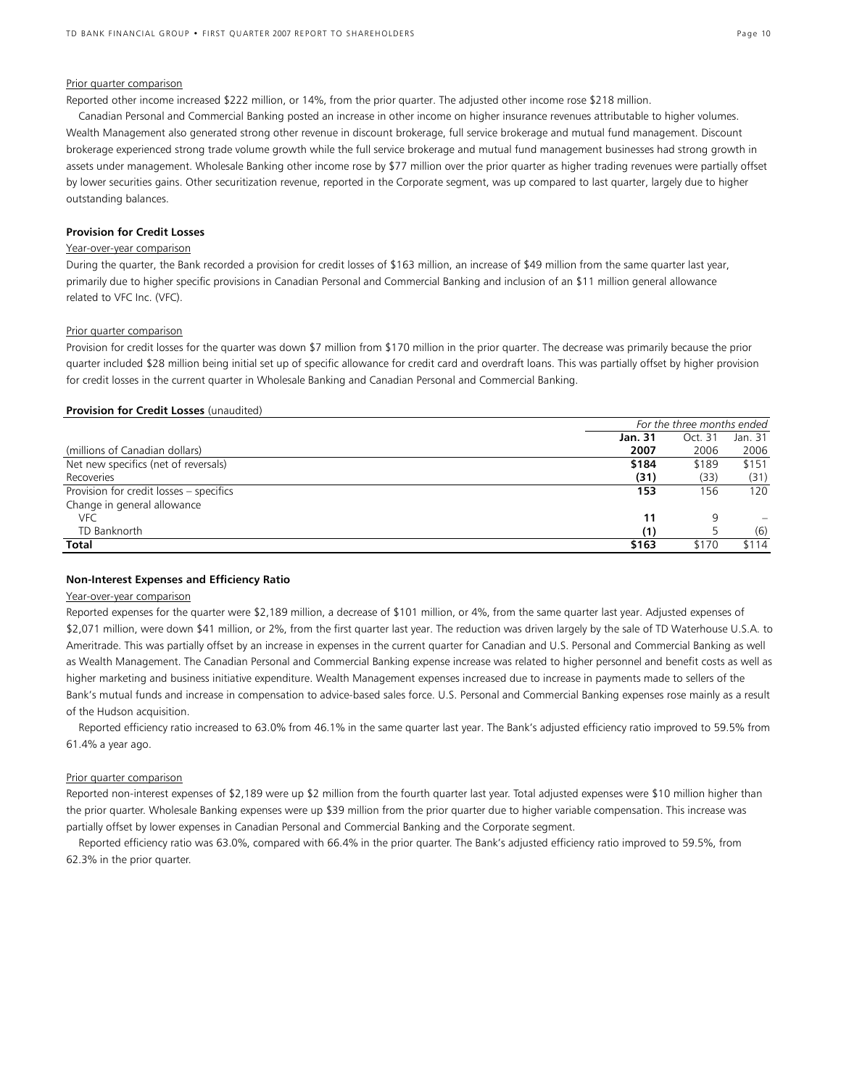# Prior quarter comparison

Reported other income increased \$222 million, or 14%, from the prior quarter. The adjusted other income rose \$218 million.

Canadian Personal and Commercial Banking posted an increase in other income on higher insurance revenues attributable to higher volumes. Wealth Management also generated strong other revenue in discount brokerage, full service brokerage and mutual fund management. Discount brokerage experienced strong trade volume growth while the full service brokerage and mutual fund management businesses had strong growth in assets under management. Wholesale Banking other income rose by \$77 million over the prior quarter as higher trading revenues were partially offset by lower securities gains. Other securitization revenue, reported in the Corporate segment, was up compared to last quarter, largely due to higher outstanding balances.

### **Provision for Credit Losses**

### Year-over-year comparison

During the quarter, the Bank recorded a provision for credit losses of \$163 million, an increase of \$49 million from the same quarter last year, primarily due to higher specific provisions in Canadian Personal and Commercial Banking and inclusion of an \$11 million general allowance related to VFC Inc. (VFC).

### Prior quarter comparison

Provision for credit losses for the quarter was down \$7 million from \$170 million in the prior quarter. The decrease was primarily because the prior quarter included \$28 million being initial set up of specific allowance for credit card and overdraft loans. This was partially offset by higher provision for credit losses in the current quarter in Wholesale Banking and Canadian Personal and Commercial Banking.

#### **Provision for Credit Losses** (unaudited)

|                                         | For the three months ended |         |         |
|-----------------------------------------|----------------------------|---------|---------|
|                                         | Jan. 31                    | Oct. 31 | Jan. 31 |
| (millions of Canadian dollars)          | 2007                       | 2006    | 2006    |
| Net new specifics (net of reversals)    | \$184                      | \$189   | \$151   |
| Recoveries                              | (31)                       | (33)    | (31)    |
| Provision for credit losses - specifics | 153                        | 156     | 120     |
| Change in general allowance             |                            |         |         |
| <b>VFC</b>                              | 11                         |         |         |
| TD Banknorth                            | (1)                        |         | (6)     |
| Total                                   | \$163                      | \$170   | \$114   |

### **Non-Interest Expenses and Efficiency Ratio**

### Year-over-year comparison

Reported expenses for the quarter were \$2,189 million, a decrease of \$101 million, or 4%, from the same quarter last year. Adjusted expenses of \$2,071 million, were down \$41 million, or 2%, from the first quarter last year. The reduction was driven largely by the sale of TD Waterhouse U.S.A. to Ameritrade. This was partially offset by an increase in expenses in the current quarter for Canadian and U.S. Personal and Commercial Banking as well as Wealth Management. The Canadian Personal and Commercial Banking expense increase was related to higher personnel and benefit costs as well as higher marketing and business initiative expenditure. Wealth Management expenses increased due to increase in payments made to sellers of the Bank's mutual funds and increase in compensation to advice-based sales force. U.S. Personal and Commercial Banking expenses rose mainly as a result of the Hudson acquisition.

Reported efficiency ratio increased to 63.0% from 46.1% in the same quarter last year. The Bank's adjusted efficiency ratio improved to 59.5% from 61.4% a year ago.

# Prior quarter comparison

Reported non-interest expenses of \$2,189 were up \$2 million from the fourth quarter last year. Total adjusted expenses were \$10 million higher than the prior quarter. Wholesale Banking expenses were up \$39 million from the prior quarter due to higher variable compensation. This increase was partially offset by lower expenses in Canadian Personal and Commercial Banking and the Corporate segment.

Reported efficiency ratio was 63.0%, compared with 66.4% in the prior quarter. The Bank's adjusted efficiency ratio improved to 59.5%, from 62.3% in the prior quarter.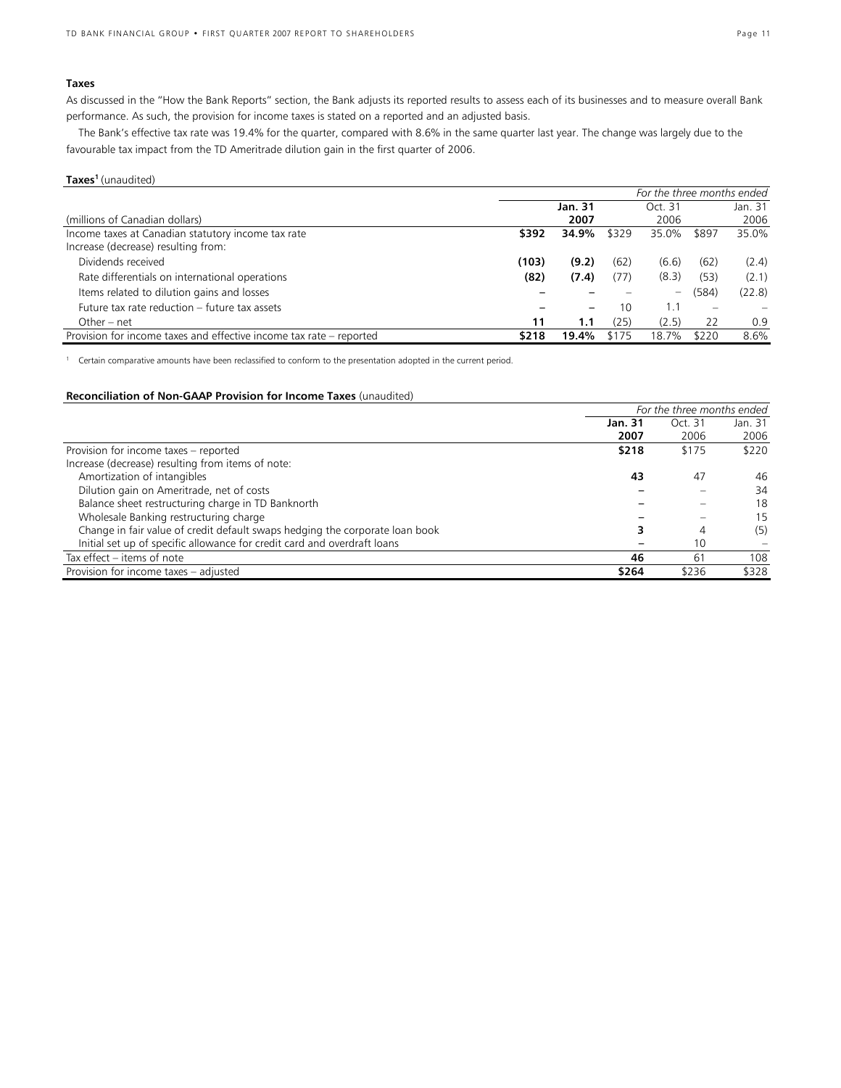# **Taxes**

As discussed in the "How the Bank Reports" section, the Bank adjusts its reported results to assess each of its businesses and to measure overall Bank performance. As such, the provision for income taxes is stated on a reported and an adjusted basis.

The Bank's effective tax rate was 19.4% for the quarter, compared with 8.6% in the same quarter last year. The change was largely due to the favourable tax impact from the TD Ameritrade dilution gain in the first quarter of 2006.

# **Taxes1** (unaudited)

|                                                                     | For the three months ended |         |       |         |       |         |
|---------------------------------------------------------------------|----------------------------|---------|-------|---------|-------|---------|
|                                                                     |                            | Jan. 31 |       | Oct. 31 |       | Jan. 31 |
| (millions of Canadian dollars)                                      |                            | 2007    |       | 2006    |       | 2006    |
| Income taxes at Canadian statutory income tax rate                  | \$392                      | 34.9%   | \$329 | 35.0%   | \$897 | 35.0%   |
| Increase (decrease) resulting from:                                 |                            |         |       |         |       |         |
| Dividends received                                                  | (103)                      | (9.2)   | (62)  | (6.6)   | (62)  | (2.4)   |
| Rate differentials on international operations                      | (82)                       | (7.4)   | (77)  | (8.3)   | (53)  | (2.1)   |
| Items related to dilution gains and losses                          |                            |         |       | -       | (584) | (22.8)  |
| Future tax rate reduction - future tax assets                       |                            | -       | 10    | 1.1     |       |         |
| Other – net                                                         | 11                         | 1.1     | (25)  | (2.5)   | 22    | 0.9     |
| Provision for income taxes and effective income tax rate – reported | \$218                      | 19.4%   | \$175 | 18.7%   | \$220 | 8.6%    |

<sup>1</sup> Certain comparative amounts have been reclassified to conform to the presentation adopted in the current period.

### **Reconciliation of Non-GAAP Provision for Income Taxes** (unaudited)

|                                                                              | For the three months ended |         |         |
|------------------------------------------------------------------------------|----------------------------|---------|---------|
|                                                                              | <b>Jan. 31</b>             | Oct. 31 | Jan. 31 |
|                                                                              | 2007                       | 2006    | 2006    |
| Provision for income taxes – reported                                        | \$218                      | \$175   | \$220   |
| Increase (decrease) resulting from items of note:                            |                            |         |         |
| Amortization of intangibles                                                  | 43                         | 47      | 46      |
| Dilution gain on Ameritrade, net of costs                                    |                            |         | 34      |
| Balance sheet restructuring charge in TD Banknorth                           |                            |         | 18      |
| Wholesale Banking restructuring charge                                       |                            |         | 15      |
| Change in fair value of credit default swaps hedging the corporate loan book |                            | 4       | (5)     |
| Initial set up of specific allowance for credit card and overdraft loans     |                            | 10      |         |
| Tax effect – items of note                                                   | 46                         | 61      | 108     |
| Provision for income taxes - adjusted                                        | \$264                      | \$236   | \$328   |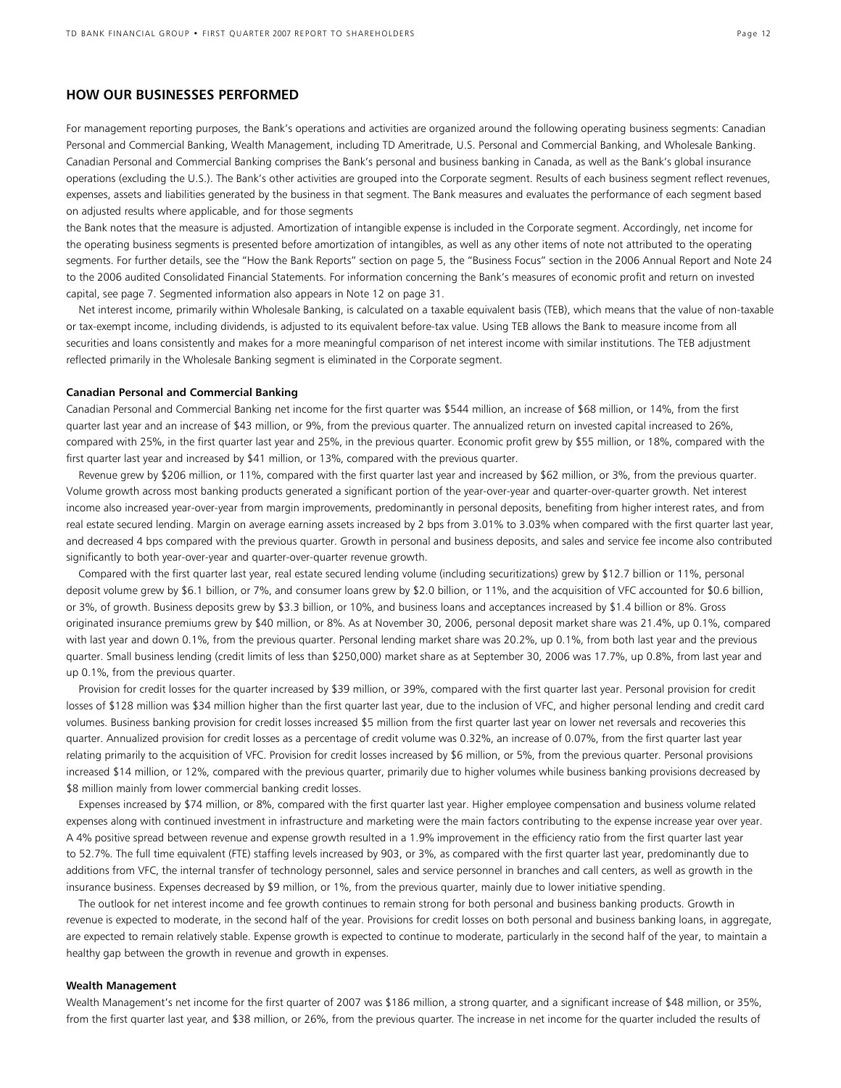# **HOW OUR BUSINESSES PERFORMED**

For management reporting purposes, the Bank's operations and activities are organized around the following operating business segments: Canadian Personal and Commercial Banking, Wealth Management, including TD Ameritrade, U.S. Personal and Commercial Banking, and Wholesale Banking. Canadian Personal and Commercial Banking comprises the Bank's personal and business banking in Canada, as well as the Bank's global insurance operations (excluding the U.S.). The Bank's other activities are grouped into the Corporate segment. Results of each business segment reflect revenues, expenses, assets and liabilities generated by the business in that segment. The Bank measures and evaluates the performance of each segment based on adjusted results where applicable, and for those segments

the Bank notes that the measure is adjusted. Amortization of intangible expense is included in the Corporate segment. Accordingly, net income for the operating business segments is presented before amortization of intangibles, as well as any other items of note not attributed to the operating segments. For further details, see the "How the Bank Reports" section on page 5, the "Business Focus" section in the 2006 Annual Report and Note 24 to the 2006 audited Consolidated Financial Statements. For information concerning the Bank's measures of economic profit and return on invested capital, see page 7. Segmented information also appears in Note 12 on page 31.

Net interest income, primarily within Wholesale Banking, is calculated on a taxable equivalent basis (TEB), which means that the value of non-taxable or tax-exempt income, including dividends, is adjusted to its equivalent before-tax value. Using TEB allows the Bank to measure income from all securities and loans consistently and makes for a more meaningful comparison of net interest income with similar institutions. The TEB adjustment reflected primarily in the Wholesale Banking segment is eliminated in the Corporate segment.

#### **Canadian Personal and Commercial Banking**

Canadian Personal and Commercial Banking net income for the first quarter was \$544 million, an increase of \$68 million, or 14%, from the first quarter last year and an increase of \$43 million, or 9%, from the previous quarter. The annualized return on invested capital increased to 26%, compared with 25%, in the first quarter last year and 25%, in the previous quarter. Economic profit grew by \$55 million, or 18%, compared with the first quarter last year and increased by \$41 million, or 13%, compared with the previous quarter.

Revenue grew by \$206 million, or 11%, compared with the first quarter last year and increased by \$62 million, or 3%, from the previous quarter. Volume growth across most banking products generated a significant portion of the year-over-year and quarter-over-quarter growth. Net interest income also increased year-over-year from margin improvements, predominantly in personal deposits, benefiting from higher interest rates, and from real estate secured lending. Margin on average earning assets increased by 2 bps from 3.01% to 3.03% when compared with the first quarter last year, and decreased 4 bps compared with the previous quarter. Growth in personal and business deposits, and sales and service fee income also contributed significantly to both year-over-year and quarter-over-quarter revenue growth.

Compared with the first quarter last year, real estate secured lending volume (including securitizations) grew by \$12.7 billion or 11%, personal deposit volume grew by \$6.1 billion, or 7%, and consumer loans grew by \$2.0 billion, or 11%, and the acquisition of VFC accounted for \$0.6 billion, or 3%, of growth. Business deposits grew by \$3.3 billion, or 10%, and business loans and acceptances increased by \$1.4 billion or 8%. Gross originated insurance premiums grew by \$40 million, or 8%. As at November 30, 2006, personal deposit market share was 21.4%, up 0.1%, compared with last year and down 0.1%, from the previous quarter. Personal lending market share was 20.2%, up 0.1%, from both last year and the previous quarter. Small business lending (credit limits of less than \$250,000) market share as at September 30, 2006 was 17.7%, up 0.8%, from last year and up 0.1%, from the previous quarter.

Provision for credit losses for the quarter increased by \$39 million, or 39%, compared with the first quarter last year. Personal provision for credit losses of \$128 million was \$34 million higher than the first quarter last year, due to the inclusion of VFC, and higher personal lending and credit card volumes. Business banking provision for credit losses increased \$5 million from the first quarter last year on lower net reversals and recoveries this quarter. Annualized provision for credit losses as a percentage of credit volume was 0.32%, an increase of 0.07%, from the first quarter last year relating primarily to the acquisition of VFC. Provision for credit losses increased by \$6 million, or 5%, from the previous quarter. Personal provisions increased \$14 million, or 12%, compared with the previous quarter, primarily due to higher volumes while business banking provisions decreased by \$8 million mainly from lower commercial banking credit losses.

Expenses increased by \$74 million, or 8%, compared with the first quarter last year. Higher employee compensation and business volume related expenses along with continued investment in infrastructure and marketing were the main factors contributing to the expense increase year over year. A 4% positive spread between revenue and expense growth resulted in a 1.9% improvement in the efficiency ratio from the first quarter last year to 52.7%. The full time equivalent (FTE) staffing levels increased by 903, or 3%, as compared with the first quarter last year, predominantly due to additions from VFC, the internal transfer of technology personnel, sales and service personnel in branches and call centers, as well as growth in the insurance business. Expenses decreased by \$9 million, or 1%, from the previous quarter, mainly due to lower initiative spending.

The outlook for net interest income and fee growth continues to remain strong for both personal and business banking products. Growth in revenue is expected to moderate, in the second half of the year. Provisions for credit losses on both personal and business banking loans, in aggregate, are expected to remain relatively stable. Expense growth is expected to continue to moderate, particularly in the second half of the year, to maintain a healthy gap between the growth in revenue and growth in expenses.

### **Wealth Management**

Wealth Management's net income for the first quarter of 2007 was \$186 million, a strong quarter, and a significant increase of \$48 million, or 35%, from the first quarter last year, and \$38 million, or 26%, from the previous quarter. The increase in net income for the quarter included the results of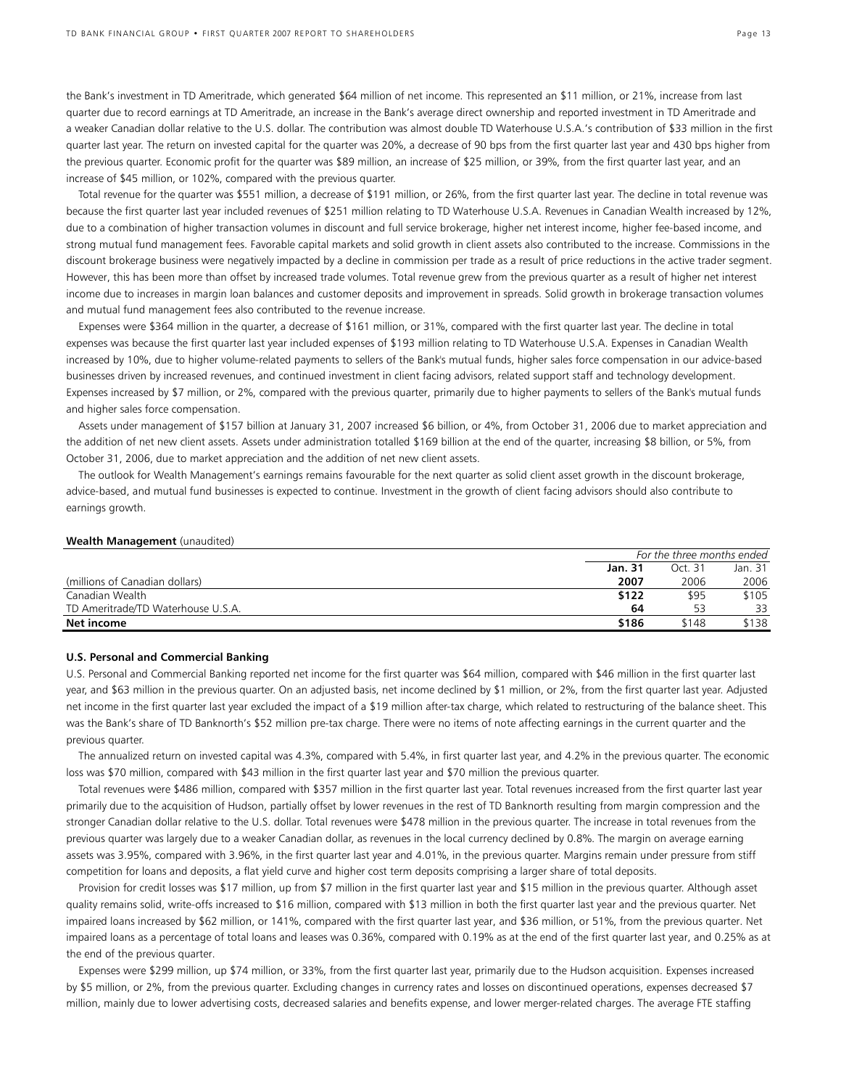the Bank's investment in TD Ameritrade, which generated \$64 million of net income. This represented an \$11 million, or 21%, increase from last quarter due to record earnings at TD Ameritrade, an increase in the Bank's average direct ownership and reported investment in TD Ameritrade and a weaker Canadian dollar relative to the U.S. dollar. The contribution was almost double TD Waterhouse U.S.A.'s contribution of \$33 million in the first quarter last year. The return on invested capital for the quarter was 20%, a decrease of 90 bps from the first quarter last year and 430 bps higher from the previous quarter. Economic profit for the quarter was \$89 million, an increase of \$25 million, or 39%, from the first quarter last year, and an increase of \$45 million, or 102%, compared with the previous quarter.

Total revenue for the quarter was \$551 million, a decrease of \$191 million, or 26%, from the first quarter last year. The decline in total revenue was because the first quarter last year included revenues of \$251 million relating to TD Waterhouse U.S.A. Revenues in Canadian Wealth increased by 12%, due to a combination of higher transaction volumes in discount and full service brokerage, higher net interest income, higher fee-based income, and strong mutual fund management fees. Favorable capital markets and solid growth in client assets also contributed to the increase. Commissions in the discount brokerage business were negatively impacted by a decline in commission per trade as a result of price reductions in the active trader segment. However, this has been more than offset by increased trade volumes. Total revenue grew from the previous quarter as a result of higher net interest income due to increases in margin loan balances and customer deposits and improvement in spreads. Solid growth in brokerage transaction volumes and mutual fund management fees also contributed to the revenue increase.

Expenses were \$364 million in the quarter, a decrease of \$161 million, or 31%, compared with the first quarter last year. The decline in total expenses was because the first quarter last year included expenses of \$193 million relating to TD Waterhouse U.S.A. Expenses in Canadian Wealth increased by 10%, due to higher volume-related payments to sellers of the Bank's mutual funds, higher sales force compensation in our advice-based businesses driven by increased revenues, and continued investment in client facing advisors, related support staff and technology development. Expenses increased by \$7 million, or 2%, compared with the previous quarter, primarily due to higher payments to sellers of the Bank's mutual funds and higher sales force compensation.

Assets under management of \$157 billion at January 31, 2007 increased \$6 billion, or 4%, from October 31, 2006 due to market appreciation and the addition of net new client assets. Assets under administration totalled \$169 billion at the end of the quarter, increasing \$8 billion, or 5%, from October 31, 2006, due to market appreciation and the addition of net new client assets.

The outlook for Wealth Management's earnings remains favourable for the next quarter as solid client asset growth in the discount brokerage, advice-based, and mutual fund businesses is expected to continue. Investment in the growth of client facing advisors should also contribute to earnings growth.

#### **Wealth Management** (unaudited)

|                                    |                | For the three months ended |         |  |
|------------------------------------|----------------|----------------------------|---------|--|
|                                    | <b>Jan. 31</b> | Oct. 31                    | Jan. 31 |  |
| (millions of Canadian dollars)     | 2007           | 2006                       | 2006    |  |
| Canadian Wealth                    | \$122          | \$95                       | \$105   |  |
| TD Ameritrade/TD Waterhouse U.S.A. | 64             | 53                         | 33      |  |
| Net income                         | \$186          | \$148                      | \$138   |  |

### **U.S. Personal and Commercial Banking**

U.S. Personal and Commercial Banking reported net income for the first quarter was \$64 million, compared with \$46 million in the first quarter last year, and \$63 million in the previous quarter. On an adjusted basis, net income declined by \$1 million, or 2%, from the first quarter last year. Adjusted net income in the first quarter last year excluded the impact of a \$19 million after-tax charge, which related to restructuring of the balance sheet. This was the Bank's share of TD Banknorth's \$52 million pre-tax charge. There were no items of note affecting earnings in the current quarter and the previous quarter.

The annualized return on invested capital was 4.3%, compared with 5.4%, in first quarter last year, and 4.2% in the previous quarter. The economic loss was \$70 million, compared with \$43 million in the first quarter last year and \$70 million the previous quarter.

Total revenues were \$486 million, compared with \$357 million in the first quarter last year. Total revenues increased from the first quarter last year primarily due to the acquisition of Hudson, partially offset by lower revenues in the rest of TD Banknorth resulting from margin compression and the stronger Canadian dollar relative to the U.S. dollar. Total revenues were \$478 million in the previous quarter. The increase in total revenues from the previous quarter was largely due to a weaker Canadian dollar, as revenues in the local currency declined by 0.8%. The margin on average earning assets was 3.95%, compared with 3.96%, in the first quarter last year and 4.01%, in the previous quarter. Margins remain under pressure from stiff competition for loans and deposits, a flat yield curve and higher cost term deposits comprising a larger share of total deposits.

Provision for credit losses was \$17 million, up from \$7 million in the first quarter last year and \$15 million in the previous quarter. Although asset quality remains solid, write-offs increased to \$16 million, compared with \$13 million in both the first quarter last year and the previous quarter. Net impaired loans increased by \$62 million, or 141%, compared with the first quarter last year, and \$36 million, or 51%, from the previous quarter. Net impaired loans as a percentage of total loans and leases was 0.36%, compared with 0.19% as at the end of the first quarter last year, and 0.25% as at the end of the previous quarter.

Expenses were \$299 million, up \$74 million, or 33%, from the first quarter last year, primarily due to the Hudson acquisition. Expenses increased by \$5 million, or 2%, from the previous quarter. Excluding changes in currency rates and losses on discontinued operations, expenses decreased \$7 million, mainly due to lower advertising costs, decreased salaries and benefits expense, and lower merger-related charges. The average FTE staffing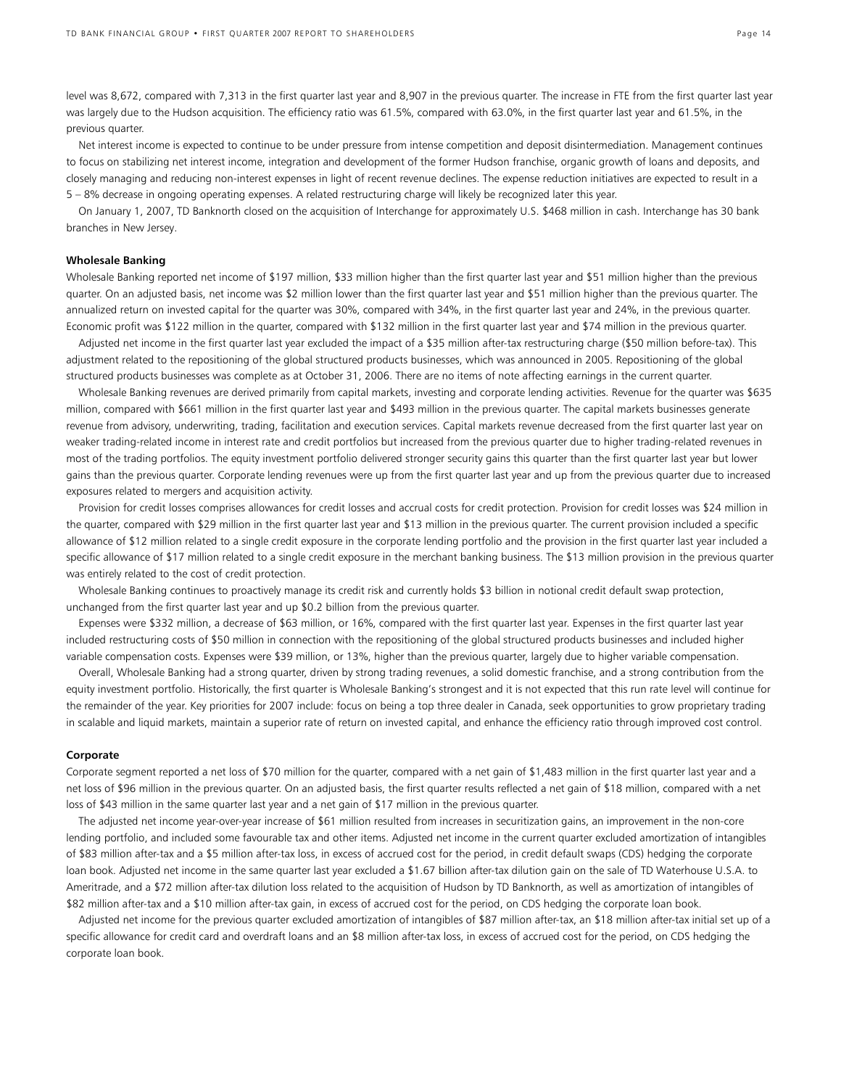level was 8,672, compared with 7,313 in the first quarter last year and 8,907 in the previous quarter. The increase in FTE from the first quarter last year was largely due to the Hudson acquisition. The efficiency ratio was 61.5%, compared with 63.0%, in the first quarter last year and 61.5%, in the previous quarter.

Net interest income is expected to continue to be under pressure from intense competition and deposit disintermediation. Management continues to focus on stabilizing net interest income, integration and development of the former Hudson franchise, organic growth of loans and deposits, and closely managing and reducing non-interest expenses in light of recent revenue declines. The expense reduction initiatives are expected to result in a 5 – 8% decrease in ongoing operating expenses. A related restructuring charge will likely be recognized later this year.

On January 1, 2007, TD Banknorth closed on the acquisition of Interchange for approximately U.S. \$468 million in cash. Interchange has 30 bank branches in New Jersey.

### **Wholesale Banking**

Wholesale Banking reported net income of \$197 million, \$33 million higher than the first quarter last year and \$51 million higher than the previous quarter. On an adjusted basis, net income was \$2 million lower than the first quarter last year and \$51 million higher than the previous quarter. The annualized return on invested capital for the quarter was 30%, compared with 34%, in the first quarter last year and 24%, in the previous quarter. Economic profit was \$122 million in the quarter, compared with \$132 million in the first quarter last year and \$74 million in the previous quarter.

Adjusted net income in the first quarter last year excluded the impact of a \$35 million after-tax restructuring charge (\$50 million before-tax). This adjustment related to the repositioning of the global structured products businesses, which was announced in 2005. Repositioning of the global structured products businesses was complete as at October 31, 2006. There are no items of note affecting earnings in the current quarter.

Wholesale Banking revenues are derived primarily from capital markets, investing and corporate lending activities. Revenue for the quarter was \$635 million, compared with \$661 million in the first quarter last year and \$493 million in the previous quarter. The capital markets businesses generate revenue from advisory, underwriting, trading, facilitation and execution services. Capital markets revenue decreased from the first quarter last year on weaker trading-related income in interest rate and credit portfolios but increased from the previous quarter due to higher trading-related revenues in most of the trading portfolios. The equity investment portfolio delivered stronger security gains this quarter than the first quarter last year but lower gains than the previous quarter. Corporate lending revenues were up from the first quarter last year and up from the previous quarter due to increased exposures related to mergers and acquisition activity.

Provision for credit losses comprises allowances for credit losses and accrual costs for credit protection. Provision for credit losses was \$24 million in the quarter, compared with \$29 million in the first quarter last year and \$13 million in the previous quarter. The current provision included a specific allowance of \$12 million related to a single credit exposure in the corporate lending portfolio and the provision in the first quarter last year included a specific allowance of \$17 million related to a single credit exposure in the merchant banking business. The \$13 million provision in the previous quarter was entirely related to the cost of credit protection.

Wholesale Banking continues to proactively manage its credit risk and currently holds \$3 billion in notional credit default swap protection, unchanged from the first quarter last year and up \$0.2 billion from the previous quarter.

Expenses were \$332 million, a decrease of \$63 million, or 16%, compared with the first quarter last year. Expenses in the first quarter last year included restructuring costs of \$50 million in connection with the repositioning of the global structured products businesses and included higher variable compensation costs. Expenses were \$39 million, or 13%, higher than the previous quarter, largely due to higher variable compensation.

Overall, Wholesale Banking had a strong quarter, driven by strong trading revenues, a solid domestic franchise, and a strong contribution from the equity investment portfolio. Historically, the first quarter is Wholesale Banking's strongest and it is not expected that this run rate level will continue for the remainder of the year. Key priorities for 2007 include: focus on being a top three dealer in Canada, seek opportunities to grow proprietary trading in scalable and liquid markets, maintain a superior rate of return on invested capital, and enhance the efficiency ratio through improved cost control.

#### **Corporate**

Corporate segment reported a net loss of \$70 million for the quarter, compared with a net gain of \$1,483 million in the first quarter last year and a net loss of \$96 million in the previous quarter. On an adjusted basis, the first quarter results reflected a net gain of \$18 million, compared with a net loss of \$43 million in the same quarter last year and a net gain of \$17 million in the previous quarter.

The adjusted net income year-over-year increase of \$61 million resulted from increases in securitization gains, an improvement in the non-core lending portfolio, and included some favourable tax and other items. Adjusted net income in the current quarter excluded amortization of intangibles of \$83 million after-tax and a \$5 million after-tax loss, in excess of accrued cost for the period, in credit default swaps (CDS) hedging the corporate loan book. Adjusted net income in the same quarter last year excluded a \$1.67 billion after-tax dilution gain on the sale of TD Waterhouse U.S.A. to Ameritrade, and a \$72 million after-tax dilution loss related to the acquisition of Hudson by TD Banknorth, as well as amortization of intangibles of \$82 million after-tax and a \$10 million after-tax gain, in excess of accrued cost for the period, on CDS hedging the corporate loan book.

Adjusted net income for the previous quarter excluded amortization of intangibles of \$87 million after-tax, an \$18 million after-tax initial set up of a specific allowance for credit card and overdraft loans and an \$8 million after-tax loss, in excess of accrued cost for the period, on CDS hedging the corporate loan book.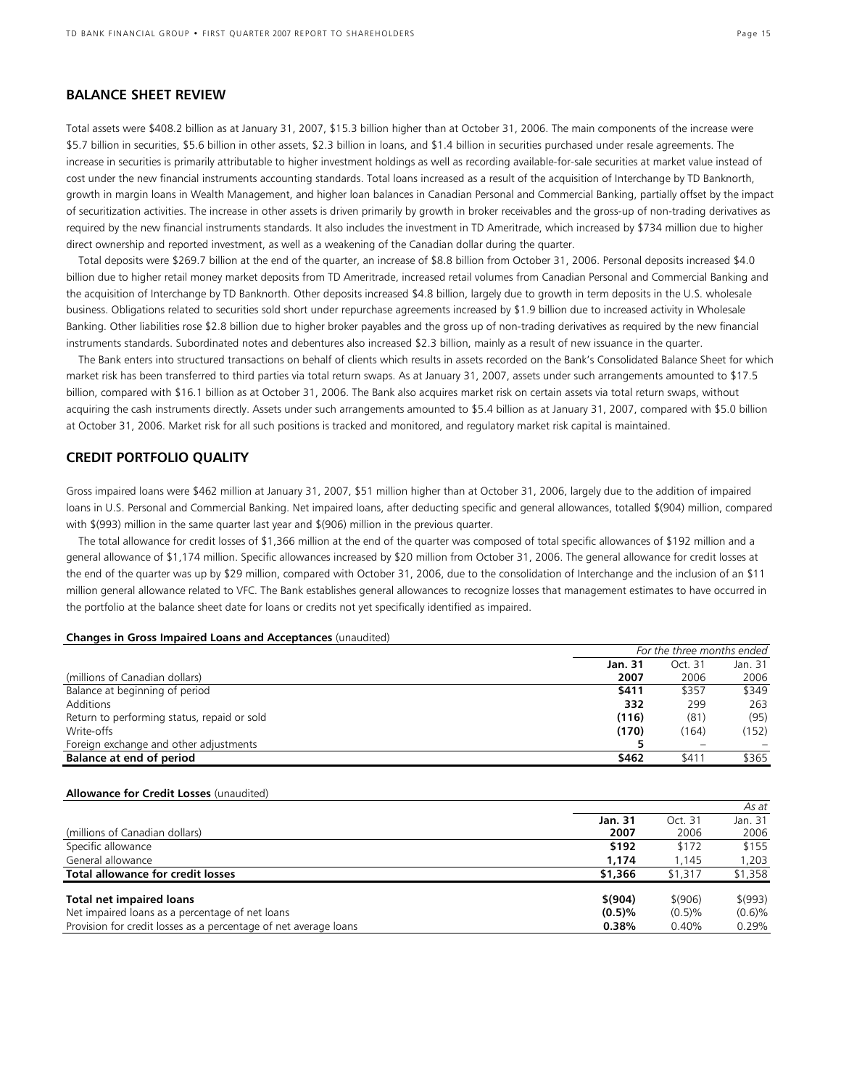# **BALANCE SHEET REVIEW**

Total assets were \$408.2 billion as at January 31, 2007, \$15.3 billion higher than at October 31, 2006. The main components of the increase were \$5.7 billion in securities, \$5.6 billion in other assets, \$2.3 billion in loans, and \$1.4 billion in securities purchased under resale agreements. The increase in securities is primarily attributable to higher investment holdings as well as recording available-for-sale securities at market value instead of cost under the new financial instruments accounting standards. Total loans increased as a result of the acquisition of Interchange by TD Banknorth, growth in margin loans in Wealth Management, and higher loan balances in Canadian Personal and Commercial Banking, partially offset by the impact of securitization activities. The increase in other assets is driven primarily by growth in broker receivables and the gross-up of non-trading derivatives as required by the new financial instruments standards. It also includes the investment in TD Ameritrade, which increased by \$734 million due to higher direct ownership and reported investment, as well as a weakening of the Canadian dollar during the quarter.

Total deposits were \$269.7 billion at the end of the quarter, an increase of \$8.8 billion from October 31, 2006. Personal deposits increased \$4.0 billion due to higher retail money market deposits from TD Ameritrade, increased retail volumes from Canadian Personal and Commercial Banking and the acquisition of Interchange by TD Banknorth. Other deposits increased \$4.8 billion, largely due to growth in term deposits in the U.S. wholesale business. Obligations related to securities sold short under repurchase agreements increased by \$1.9 billion due to increased activity in Wholesale Banking. Other liabilities rose \$2.8 billion due to higher broker payables and the gross up of non-trading derivatives as required by the new financial instruments standards. Subordinated notes and debentures also increased \$2.3 billion, mainly as a result of new issuance in the quarter.

The Bank enters into structured transactions on behalf of clients which results in assets recorded on the Bank's Consolidated Balance Sheet for which market risk has been transferred to third parties via total return swaps. As at January 31, 2007, assets under such arrangements amounted to \$17.5 billion, compared with \$16.1 billion as at October 31, 2006. The Bank also acquires market risk on certain assets via total return swaps, without acquiring the cash instruments directly. Assets under such arrangements amounted to \$5.4 billion as at January 31, 2007, compared with \$5.0 billion at October 31, 2006. Market risk for all such positions is tracked and monitored, and regulatory market risk capital is maintained.

# **CREDIT PORTFOLIO QUALITY**

Gross impaired loans were \$462 million at January 31, 2007, \$51 million higher than at October 31, 2006, largely due to the addition of impaired loans in U.S. Personal and Commercial Banking. Net impaired loans, after deducting specific and general allowances, totalled \$(904) million, compared with \$(993) million in the same quarter last year and \$(906) million in the previous quarter.

The total allowance for credit losses of \$1,366 million at the end of the quarter was composed of total specific allowances of \$192 million and a general allowance of \$1,174 million. Specific allowances increased by \$20 million from October 31, 2006. The general allowance for credit losses at the end of the quarter was up by \$29 million, compared with October 31, 2006, due to the consolidation of Interchange and the inclusion of an \$11 million general allowance related to VFC. The Bank establishes general allowances to recognize losses that management estimates to have occurred in the portfolio at the balance sheet date for loans or credits not yet specifically identified as impaired.

#### **Changes in Gross Impaired Loans and Acceptances** (unaudited)

|                                             | For the three months ended |         |         |
|---------------------------------------------|----------------------------|---------|---------|
|                                             | Jan. 31                    | Oct. 31 | Jan. 31 |
| (millions of Canadian dollars)              | 2007                       | 2006    | 2006    |
| Balance at beginning of period              | \$411                      | \$357   | \$349   |
| Additions                                   | 332                        | 299     | 263     |
| Return to performing status, repaid or sold | (116)                      | (81)    | (95)    |
| Write-offs                                  | (170)                      | (164)   | (152)   |
| Foreign exchange and other adjustments      |                            |         |         |
| Balance at end of period                    | \$462                      | \$411   | \$365   |

### **Allowance for Credit Losses** (unaudited)

|                                                                  |           |         | As at    |
|------------------------------------------------------------------|-----------|---------|----------|
|                                                                  | Jan. 31   |         | Jan. 31  |
| (millions of Canadian dollars)                                   | 2007      | 2006    | 2006     |
| Specific allowance                                               | \$192     | \$172   | \$155    |
| General allowance                                                | 1.174     | 1.145   | 1,203    |
| Total allowance for credit losses                                | \$1,366   | \$1,317 | \$1,358  |
| <b>Total net impaired loans</b>                                  | \$(904)   | \$(906) | \$ (993) |
| Net impaired loans as a percentage of net loans                  | $(0.5)\%$ | (0.5)%  | (0.6)%   |
| Provision for credit losses as a percentage of net average loans | 0.38%     | 0.40%   | 0.29%    |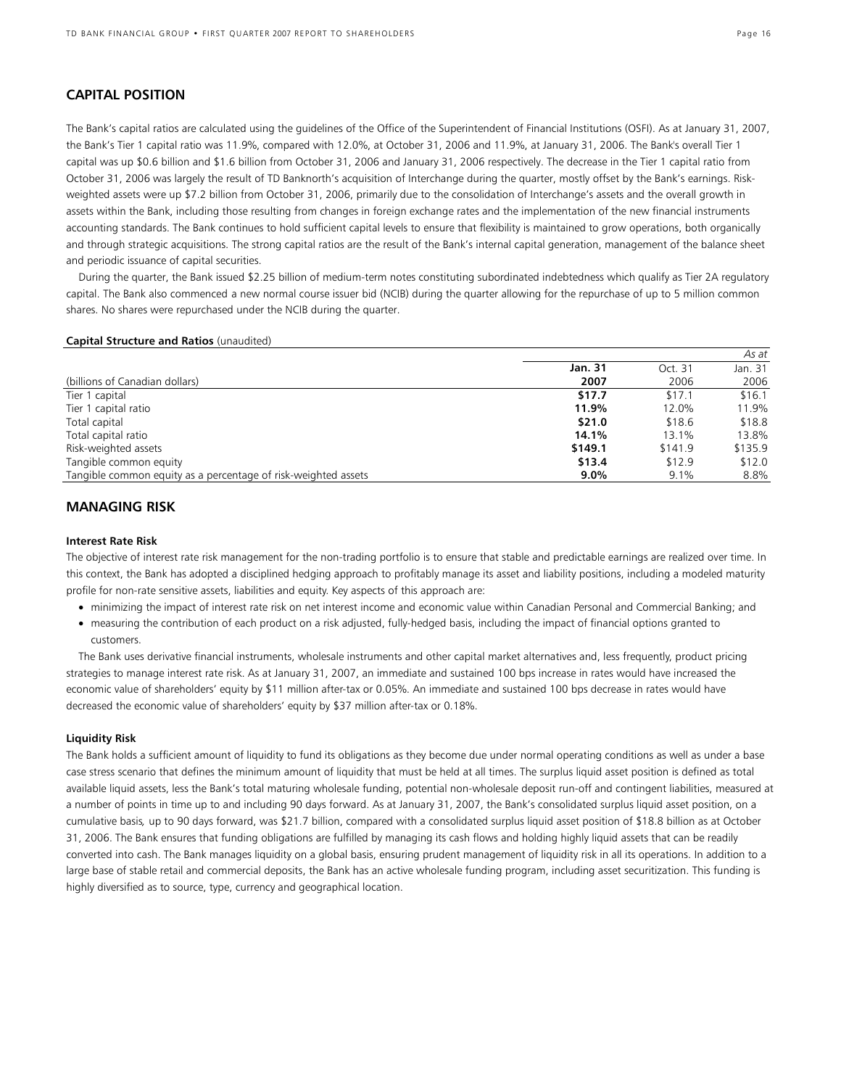# **CAPITAL POSITION**

The Bank's capital ratios are calculated using the guidelines of the Office of the Superintendent of Financial Institutions (OSFI). As at January 31, 2007, the Bank's Tier 1 capital ratio was 11.9%, compared with 12.0%, at October 31, 2006 and 11.9%, at January 31, 2006. The Bank's overall Tier 1 capital was up \$0.6 billion and \$1.6 billion from October 31, 2006 and January 31, 2006 respectively. The decrease in the Tier 1 capital ratio from October 31, 2006 was largely the result of TD Banknorth's acquisition of Interchange during the quarter, mostly offset by the Bank's earnings. Riskweighted assets were up \$7.2 billion from October 31, 2006, primarily due to the consolidation of Interchange's assets and the overall growth in assets within the Bank, including those resulting from changes in foreign exchange rates and the implementation of the new financial instruments accounting standards. The Bank continues to hold sufficient capital levels to ensure that flexibility is maintained to grow operations, both organically and through strategic acquisitions. The strong capital ratios are the result of the Bank's internal capital generation, management of the balance sheet and periodic issuance of capital securities.

During the quarter, the Bank issued \$2.25 billion of medium-term notes constituting subordinated indebtedness which qualify as Tier 2A regulatory capital. The Bank also commenced a new normal course issuer bid (NCIB) during the quarter allowing for the repurchase of up to 5 million common shares. No shares were repurchased under the NCIB during the quarter.

### **Capital Structure and Ratios** (unaudited)

|                                                                |         |         | As at   |
|----------------------------------------------------------------|---------|---------|---------|
|                                                                | Jan. 31 | Oct. 31 | Jan. 31 |
| (billions of Canadian dollars)                                 | 2007    | 2006    | 2006    |
| Tier 1 capital                                                 | \$17.7  | \$17.1  | \$16.1  |
| Tier 1 capital ratio                                           | 11.9%   | 12.0%   | 11.9%   |
| Total capital                                                  | \$21.0  | \$18.6  | \$18.8  |
| Total capital ratio                                            | 14.1%   | 13.1%   | 13.8%   |
| Risk-weighted assets                                           | \$149.1 | \$141.9 | \$135.9 |
| Tangible common equity                                         | \$13.4  | \$12.9  | \$12.0  |
| Tangible common equity as a percentage of risk-weighted assets | $9.0\%$ | 9.1%    | 8.8%    |

# **MANAGING RISK**

# **Interest Rate Risk**

The objective of interest rate risk management for the non-trading portfolio is to ensure that stable and predictable earnings are realized over time. In this context, the Bank has adopted a disciplined hedging approach to profitably manage its asset and liability positions, including a modeled maturity profile for non-rate sensitive assets, liabilities and equity. Key aspects of this approach are:

- minimizing the impact of interest rate risk on net interest income and economic value within Canadian Personal and Commercial Banking; and
- measuring the contribution of each product on a risk adjusted, fully-hedged basis, including the impact of financial options granted to customers.

The Bank uses derivative financial instruments, wholesale instruments and other capital market alternatives and, less frequently, product pricing strategies to manage interest rate risk. As at January 31, 2007, an immediate and sustained 100 bps increase in rates would have increased the economic value of shareholders' equity by \$11 million after-tax or 0.05%. An immediate and sustained 100 bps decrease in rates would have decreased the economic value of shareholders' equity by \$37 million after-tax or 0.18%.

# **Liquidity Risk**

The Bank holds a sufficient amount of liquidity to fund its obligations as they become due under normal operating conditions as well as under a base case stress scenario that defines the minimum amount of liquidity that must be held at all times. The surplus liquid asset position is defined as total available liquid assets, less the Bank's total maturing wholesale funding, potential non-wholesale deposit run-off and contingent liabilities, measured at a number of points in time up to and including 90 days forward. As at January 31, 2007, the Bank's consolidated surplus liquid asset position, on a cumulative basis*,* up to 90 days forward, was \$21.7 billion, compared with a consolidated surplus liquid asset position of \$18.8 billion as at October 31, 2006. The Bank ensures that funding obligations are fulfilled by managing its cash flows and holding highly liquid assets that can be readily converted into cash. The Bank manages liquidity on a global basis, ensuring prudent management of liquidity risk in all its operations. In addition to a large base of stable retail and commercial deposits, the Bank has an active wholesale funding program, including asset securitization. This funding is highly diversified as to source, type, currency and geographical location.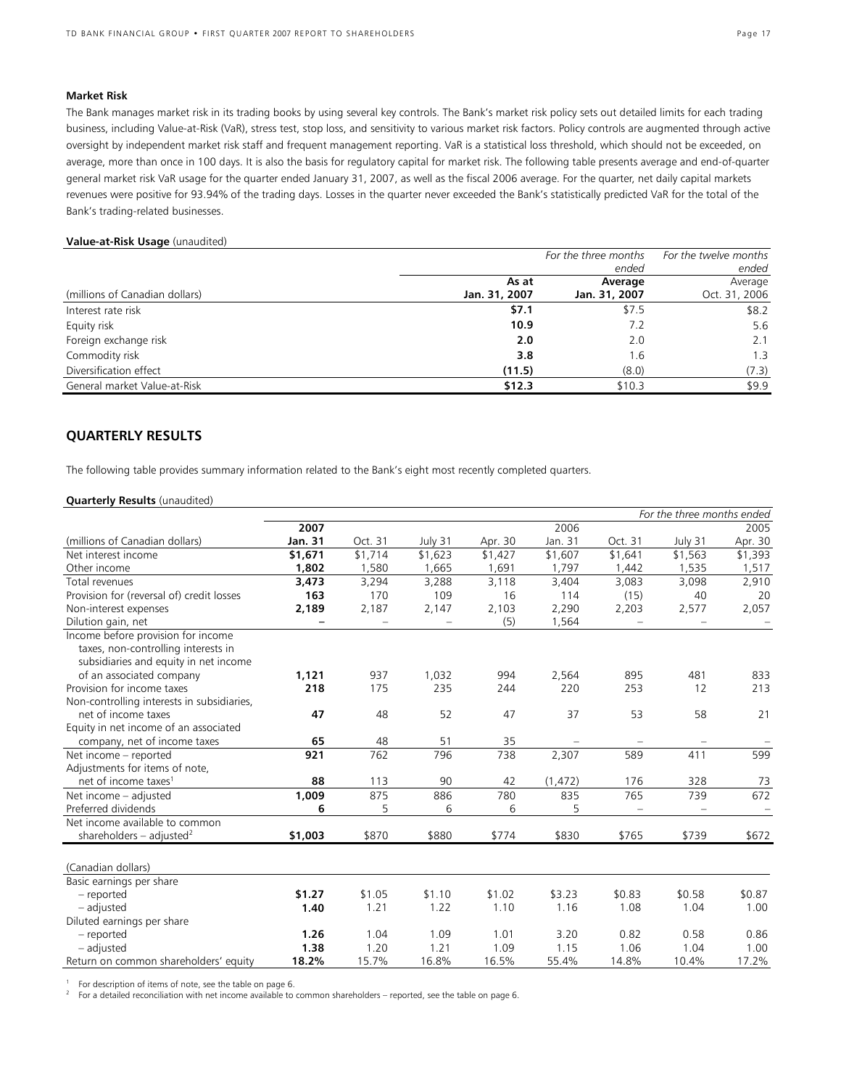# **Market Risk**

The Bank manages market risk in its trading books by using several key controls. The Bank's market risk policy sets out detailed limits for each trading business, including Value-at-Risk (VaR), stress test, stop loss, and sensitivity to various market risk factors. Policy controls are augmented through active oversight by independent market risk staff and frequent management reporting. VaR is a statistical loss threshold, which should not be exceeded, on average, more than once in 100 days. It is also the basis for regulatory capital for market risk. The following table presents average and end-of-quarter general market risk VaR usage for the quarter ended January 31, 2007, as well as the fiscal 2006 average. For the quarter, net daily capital markets revenues were positive for 93.94% of the trading days. Losses in the quarter never exceeded the Bank's statistically predicted VaR for the total of the Bank's trading-related businesses.

# **Value-at-Risk Usage** (unaudited)

|                                |               | For the three months | For the twelve months |
|--------------------------------|---------------|----------------------|-----------------------|
|                                |               | ended                | ended                 |
|                                | As at         | Average              | Average               |
| (millions of Canadian dollars) | Jan. 31, 2007 | Jan. 31, 2007        | Oct. 31, 2006         |
| Interest rate risk             | \$7.1         | \$7.5                | \$8.2                 |
| Equity risk                    | 10.9          | 7.2                  | 5.6                   |
| Foreign exchange risk          | 2.0           | 2.0                  | 2.1                   |
| Commodity risk                 | 3.8           | 1.6                  | 1.3                   |
| Diversification effect         | (11.5)        | (8.0)                | (7.3)                 |
| General market Value-at-Risk   | \$12.3        | \$10.3               | \$9.9                 |

# **QUARTERLY RESULTS**

The following table provides summary information related to the Bank's eight most recently completed quarters.

# **Quarterly Results** (unaudited)

|                                            |                          |                   |                   |         |          |                   | For the three months ended |         |
|--------------------------------------------|--------------------------|-------------------|-------------------|---------|----------|-------------------|----------------------------|---------|
|                                            | 2007                     |                   |                   |         | 2006     |                   |                            | 2005    |
| (millions of Canadian dollars)             | Jan. 31                  | Oct. 31           | July 31           | Apr. 30 | Jan. 31  | Oct. 31           | July 31                    | Apr. 30 |
| Net interest income                        | \$1,671                  | \$1,714           | \$1,623           | \$1,427 | \$1,607  | \$1,641           | \$1,563                    | \$1,393 |
| Other income                               | 1,802                    | 1,580             | 1,665             | 1,691   | 1.797    | 1,442             | 1.535                      | 1,517   |
| Total revenues                             | 3,473                    | 3,294             | 3,288             | 3,118   | 3,404    | 3,083             | 3,098                      | 2,910   |
| Provision for (reversal of) credit losses  | 163                      | 170               | 109               | 16      | 114      | (15)              | 40                         | 20      |
| Non-interest expenses                      | 2,189                    | 2,187             | 2,147             | 2,103   | 2,290    | 2,203             | 2,577                      | 2,057   |
| Dilution gain, net                         | $\overline{\phantom{m}}$ | $\qquad \qquad =$ | $\qquad \qquad -$ | (5)     | 1,564    | $\qquad \qquad -$ | $\qquad \qquad -$          |         |
| Income before provision for income         |                          |                   |                   |         |          |                   |                            |         |
| taxes, non-controlling interests in        |                          |                   |                   |         |          |                   |                            |         |
| subsidiaries and equity in net income      |                          |                   |                   |         |          |                   |                            |         |
| of an associated company                   | 1,121                    | 937               | 1,032             | 994     | 2,564    | 895               | 481                        | 833     |
| Provision for income taxes                 | 218                      | 175               | 235               | 244     | 220      | 253               | 12                         | 213     |
| Non-controlling interests in subsidiaries, |                          |                   |                   |         |          |                   |                            |         |
| net of income taxes                        | 47                       | 48                | 52                | 47      | 37       | 53                | 58                         | 21      |
| Equity in net income of an associated      |                          |                   |                   |         |          |                   |                            |         |
| company, net of income taxes               | 65                       | 48                | 51                | 35      |          |                   |                            |         |
| Net income - reported                      | 921                      | 762               | 796               | 738     | 2,307    | 589               | 411                        | 599     |
| Adjustments for items of note,             |                          |                   |                   |         |          |                   |                            |         |
| net of income taxes <sup>1</sup>           | 88                       | 113               | 90                | 42      | (1, 472) | 176               | 328                        | 73      |
| Net income - adjusted                      | 1,009                    | 875               | 886               | 780     | 835      | 765               | 739                        | 672     |
| Preferred dividends                        | 6                        | 5                 | 6                 | 6       | 5        |                   |                            |         |
| Net income available to common             |                          |                   |                   |         |          |                   |                            |         |
| shareholders - adjusted <sup>2</sup>       | \$1,003                  | \$870             | \$880             | \$774   | \$830    | \$765             | \$739                      | \$672   |
| (Canadian dollars)                         |                          |                   |                   |         |          |                   |                            |         |
| Basic earnings per share                   |                          |                   |                   |         |          |                   |                            |         |
| - reported                                 | \$1.27                   | \$1.05            | \$1.10            | \$1.02  | \$3.23   | \$0.83            | \$0.58                     | \$0.87  |
| $-$ adjusted                               | 1.40                     | 1.21              | 1.22              | 1.10    | 1.16     | 1.08              | 1.04                       | 1.00    |
| Diluted earnings per share                 |                          |                   |                   |         |          |                   |                            |         |
| - reported                                 | 1.26                     | 1.04              | 1.09              | 1.01    | 3.20     | 0.82              | 0.58                       | 0.86    |
| - adjusted                                 | 1.38                     | 1.20              | 1.21              | 1.09    | 1.15     | 1.06              | 1.04                       | 1.00    |
| Return on common shareholders' equity      | 18.2%                    | 15.7%             | 16.8%             | 16.5%   | 55.4%    | 14.8%             | 10.4%                      | 17.2%   |

For description of items of note, see the table on page 6.<br>For a detailed reconciliation with net income available to common shareholders – reported, see the table on page 6.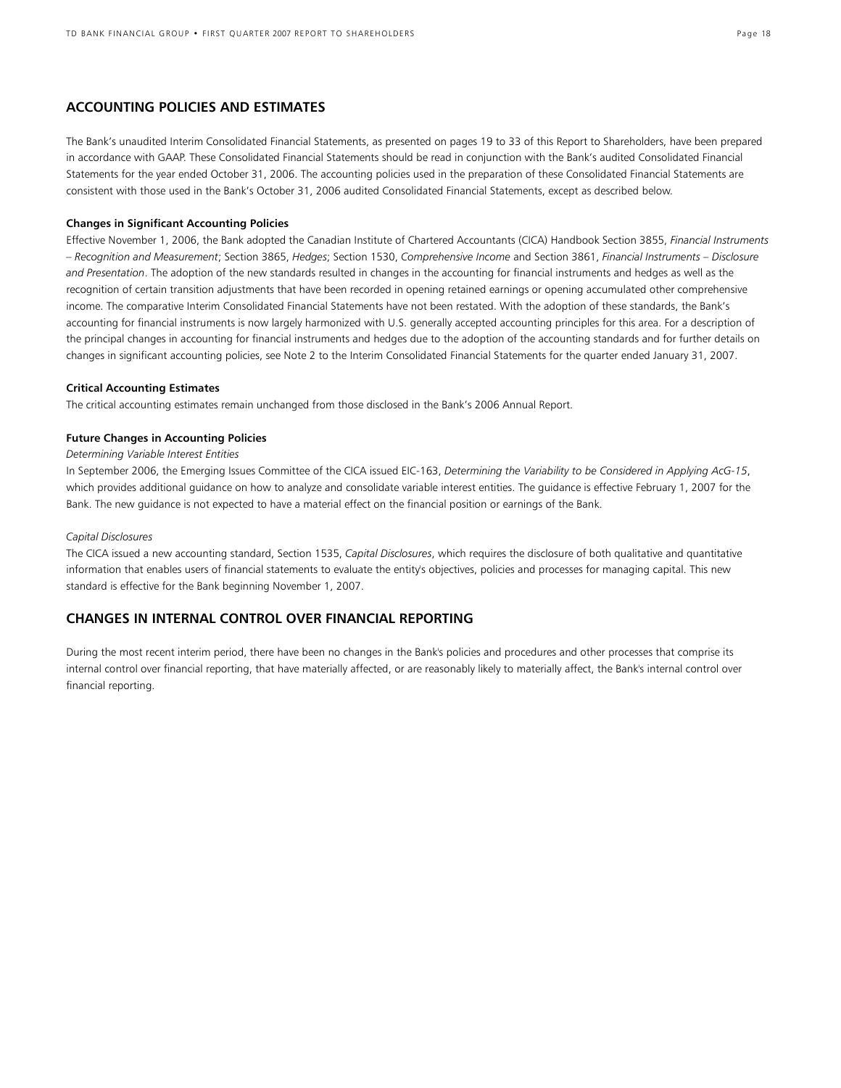# **ACCOUNTING POLICIES AND ESTIMATES**

The Bank's unaudited Interim Consolidated Financial Statements, as presented on pages 19 to 33 of this Report to Shareholders, have been prepared in accordance with GAAP. These Consolidated Financial Statements should be read in conjunction with the Bank's audited Consolidated Financial Statements for the year ended October 31, 2006. The accounting policies used in the preparation of these Consolidated Financial Statements are consistent with those used in the Bank's October 31, 2006 audited Consolidated Financial Statements, except as described below.

### **Changes in Significant Accounting Policies**

Effective November 1, 2006, the Bank adopted the Canadian Institute of Chartered Accountants (CICA) Handbook Section 3855, *Financial Instruments – Recognition and Measurement*; Section 3865, *Hedges*; Section 1530, *Comprehensive Income* and Section 3861, *Financial Instruments – Disclosure and Presentation*. The adoption of the new standards resulted in changes in the accounting for financial instruments and hedges as well as the recognition of certain transition adjustments that have been recorded in opening retained earnings or opening accumulated other comprehensive income. The comparative Interim Consolidated Financial Statements have not been restated. With the adoption of these standards, the Bank's accounting for financial instruments is now largely harmonized with U.S. generally accepted accounting principles for this area. For a description of the principal changes in accounting for financial instruments and hedges due to the adoption of the accounting standards and for further details on changes in significant accounting policies, see Note 2 to the Interim Consolidated Financial Statements for the quarter ended January 31, 2007.

### **Critical Accounting Estimates**

The critical accounting estimates remain unchanged from those disclosed in the Bank's 2006 Annual Report.

### **Future Changes in Accounting Policies**

### *Determining Variable Interest Entities*

In September 2006, the Emerging Issues Committee of the CICA issued EIC-163, *Determining the Variability to be Considered in Applying AcG-15*, which provides additional guidance on how to analyze and consolidate variable interest entities. The guidance is effective February 1, 2007 for the Bank. The new guidance is not expected to have a material effect on the financial position or earnings of the Bank.

### *Capital Disclosures*

The CICA issued a new accounting standard, Section 1535, *Capital Disclosures*, which requires the disclosure of both qualitative and quantitative information that enables users of financial statements to evaluate the entity's objectives, policies and processes for managing capital. This new standard is effective for the Bank beginning November 1, 2007.

# **CHANGES IN INTERNAL CONTROL OVER FINANCIAL REPORTING**

During the most recent interim period, there have been no changes in the Bank's policies and procedures and other processes that comprise its internal control over financial reporting, that have materially affected, or are reasonably likely to materially affect, the Bank's internal control over financial reporting.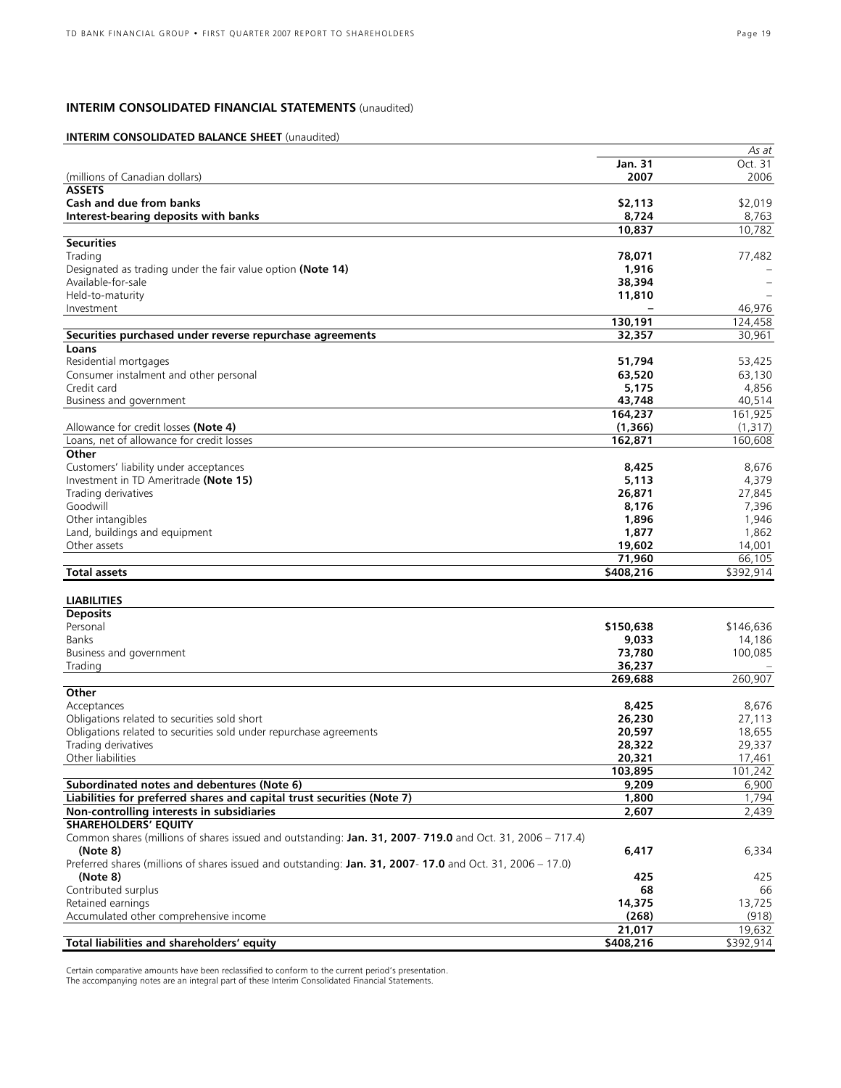# **INTERIM CONSOLIDATED FINANCIAL STATEMENTS** (unaudited)

# **INTERIM CONSOLIDATED BALANCE SHEET** (unaudited)

|                                                                                                           |           | As at     |
|-----------------------------------------------------------------------------------------------------------|-----------|-----------|
|                                                                                                           | Jan. 31   | Oct. 31   |
| (millions of Canadian dollars)                                                                            | 2007      | 2006      |
| <b>ASSETS</b>                                                                                             |           |           |
| Cash and due from banks                                                                                   | \$2,113   | \$2,019   |
| Interest-bearing deposits with banks                                                                      | 8,724     | 8,763     |
|                                                                                                           | 10,837    | 10.782    |
| <b>Securities</b>                                                                                         |           |           |
| Trading                                                                                                   | 78,071    | 77,482    |
| Designated as trading under the fair value option (Note 14)                                               | 1,916     |           |
| Available-for-sale                                                                                        | 38,394    |           |
| Held-to-maturity                                                                                          | 11,810    |           |
|                                                                                                           |           | 46,976    |
| Investment                                                                                                |           |           |
|                                                                                                           | 130,191   | 124,458   |
| Securities purchased under reverse repurchase agreements                                                  | 32,357    | 30,961    |
| Loans                                                                                                     |           |           |
| Residential mortgages                                                                                     | 51,794    | 53,425    |
| Consumer instalment and other personal                                                                    | 63,520    | 63,130    |
| Credit card                                                                                               | 5,175     | 4,856     |
| Business and government                                                                                   | 43,748    | 40,514    |
|                                                                                                           | 164,237   | 161,925   |
| Allowance for credit losses (Note 4)                                                                      | (1,366)   | (1,317)   |
| Loans, net of allowance for credit losses                                                                 | 162,871   | 160,608   |
|                                                                                                           |           |           |
| Other                                                                                                     |           |           |
| Customers' liability under acceptances                                                                    | 8,425     | 8,676     |
| Investment in TD Ameritrade (Note 15)                                                                     | 5,113     | 4,379     |
| Trading derivatives                                                                                       | 26,871    | 27,845    |
| Goodwill                                                                                                  | 8,176     | 7,396     |
| Other intangibles                                                                                         | 1,896     | 1,946     |
| Land, buildings and equipment                                                                             | 1,877     | 1,862     |
| Other assets                                                                                              | 19,602    | 14,001    |
|                                                                                                           | 71,960    | 66,105    |
| <b>Total assets</b>                                                                                       | \$408,216 | \$392,914 |
|                                                                                                           |           |           |
|                                                                                                           |           |           |
| <b>LIABILITIES</b>                                                                                        |           |           |
| <b>Deposits</b>                                                                                           |           |           |
| Personal                                                                                                  | \$150,638 | \$146,636 |
| Banks                                                                                                     | 9,033     | 14,186    |
| Business and government                                                                                   | 73,780    | 100,085   |
| Trading                                                                                                   | 36,237    |           |
|                                                                                                           | 269,688   | 260,907   |
| Other                                                                                                     |           |           |
| Acceptances                                                                                               | 8,425     | 8,676     |
| Obligations related to securities sold short                                                              | 26,230    | 27,113    |
| Obligations related to securities sold under repurchase agreements                                        | 20,597    | 18,655    |
| Trading derivatives                                                                                       | 28,322    | 29,337    |
| Other liabilities                                                                                         | 20,321    | 17,461    |
|                                                                                                           |           |           |
|                                                                                                           | 103,895   | 101,242   |
| Subordinated notes and debentures (Note 6)                                                                | 9,209     | 6,900     |
| Liabilities for preferred shares and capital trust securities (Note 7)                                    | 1,800     | 1,794     |
| Non-controlling interests in subsidiaries                                                                 | 2,607     | 2,439     |
| <b>SHAREHOLDERS' EQUITY</b>                                                                               |           |           |
| Common shares (millions of shares issued and outstanding: Jan. 31, 2007- 719.0 and Oct. 31, 2006 – 717.4) |           |           |
| (Note 8)                                                                                                  | 6,417     | 6,334     |
| Preferred shares (millions of shares issued and outstanding: Jan. 31, 2007-17.0 and Oct. 31, 2006 – 17.0) |           |           |
| (Note 8)                                                                                                  | 425       | 425       |
| Contributed surplus                                                                                       | 68        | 66        |
| Retained earnings                                                                                         | 14,375    | 13,725    |
| Accumulated other comprehensive income                                                                    | (268)     | (918)     |
|                                                                                                           |           |           |
|                                                                                                           | 21,017    | 19,632    |
| Total liabilities and shareholders' equity                                                                | \$408,216 | \$392,914 |

Certain comparative amounts have been reclassified to conform to the current period's presentation. The accompanying notes are an integral part of these Interim Consolidated Financial Statements.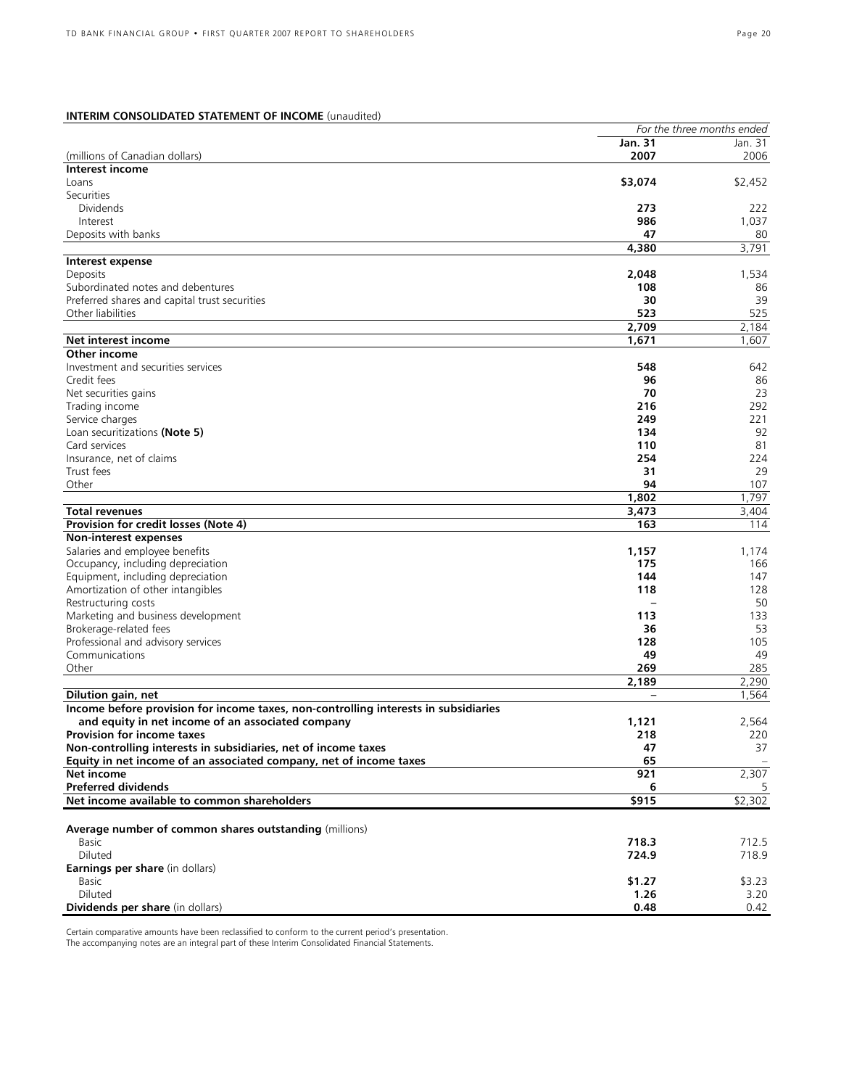# **INTERIM CONSOLIDATED STATEMENT OF INCOME** (unaudited)

|                                                                                     |          | For the three months ended |
|-------------------------------------------------------------------------------------|----------|----------------------------|
|                                                                                     | Jan. 31  | Jan. 31                    |
| (millions of Canadian dollars)                                                      | 2007     | 2006                       |
| Interest income                                                                     |          |                            |
| Loans                                                                               | \$3,074  | \$2,452                    |
| Securities                                                                          |          |                            |
| <b>Dividends</b>                                                                    | 273      | 222                        |
| Interest                                                                            | 986      | 1,037                      |
| Deposits with banks                                                                 | 47       | 80                         |
|                                                                                     | 4,380    | 3,791                      |
| Interest expense                                                                    |          |                            |
| Deposits                                                                            | 2,048    | 1,534                      |
| Subordinated notes and debentures                                                   |          |                            |
|                                                                                     | 108      | 86                         |
| Preferred shares and capital trust securities                                       | 30       | 39                         |
| Other liabilities                                                                   | 523      | 525                        |
|                                                                                     | 2,709    | 2,184                      |
| Net interest income                                                                 | 1,671    | 1,607                      |
| Other income                                                                        |          |                            |
| Investment and securities services                                                  | 548      | 642                        |
| Credit fees                                                                         | 96       | 86                         |
| Net securities gains                                                                | 70       | 23                         |
| Trading income                                                                      | 216      | 292                        |
| Service charges                                                                     | 249      | 221                        |
| Loan securitizations (Note 5)                                                       | 134      | 92                         |
| Card services                                                                       | 110      | 81                         |
| Insurance, net of claims                                                            | 254      | 224                        |
| Trust fees                                                                          | 31       | 29                         |
| Other                                                                               | 94       | 107                        |
|                                                                                     |          |                            |
|                                                                                     | 1,802    | 1,797                      |
| <b>Total revenues</b>                                                               | 3,473    | 3,404                      |
| Provision for credit losses (Note 4)                                                | 163      | 114                        |
| Non-interest expenses                                                               |          |                            |
| Salaries and employee benefits                                                      | 1,157    | 1,174                      |
| Occupancy, including depreciation                                                   | 175      | 166                        |
| Equipment, including depreciation                                                   | 144      | 147                        |
| Amortization of other intangibles                                                   | 118      | 128                        |
| Restructuring costs                                                                 |          | 50                         |
| Marketing and business development                                                  | 113      | 133                        |
| Brokerage-related fees                                                              | 36       | 53                         |
| Professional and advisory services                                                  | 128      | 105                        |
| Communications                                                                      | 49       | 49                         |
| Other                                                                               | 269      | 285                        |
|                                                                                     | 2,189    | 2,290                      |
|                                                                                     | $\equiv$ | 1,564                      |
| Dilution gain, net                                                                  |          |                            |
| Income before provision for income taxes, non-controlling interests in subsidiaries |          |                            |
| and equity in net income of an associated company                                   | 1,121    | 2,564                      |
| <b>Provision for income taxes</b>                                                   | 218      | 220                        |
| Non-controlling interests in subsidiaries, net of income taxes                      | 47       | 37                         |
| Equity in net income of an associated company, net of income taxes                  | 65       |                            |
| Net income                                                                          | 921      | 2,307                      |
| <b>Preferred dividends</b>                                                          | 6        |                            |
| Net income available to common shareholders                                         | \$915    | \$2,302                    |
|                                                                                     |          |                            |
| Average number of common shares outstanding (millions)                              |          |                            |
| Basic                                                                               | 718.3    | 712.5                      |
| Diluted                                                                             | 724.9    | 718.9                      |
| Earnings per share (in dollars)                                                     |          |                            |
| Basic                                                                               | \$1.27   | \$3.23                     |
| Diluted                                                                             | 1.26     | 3.20                       |
|                                                                                     |          |                            |
| Dividends per share (in dollars)                                                    | 0.48     | 0.42                       |

Certain comparative amounts have been reclassified to conform to the current period's presentation. The accompanying notes are an integral part of these Interim Consolidated Financial Statements.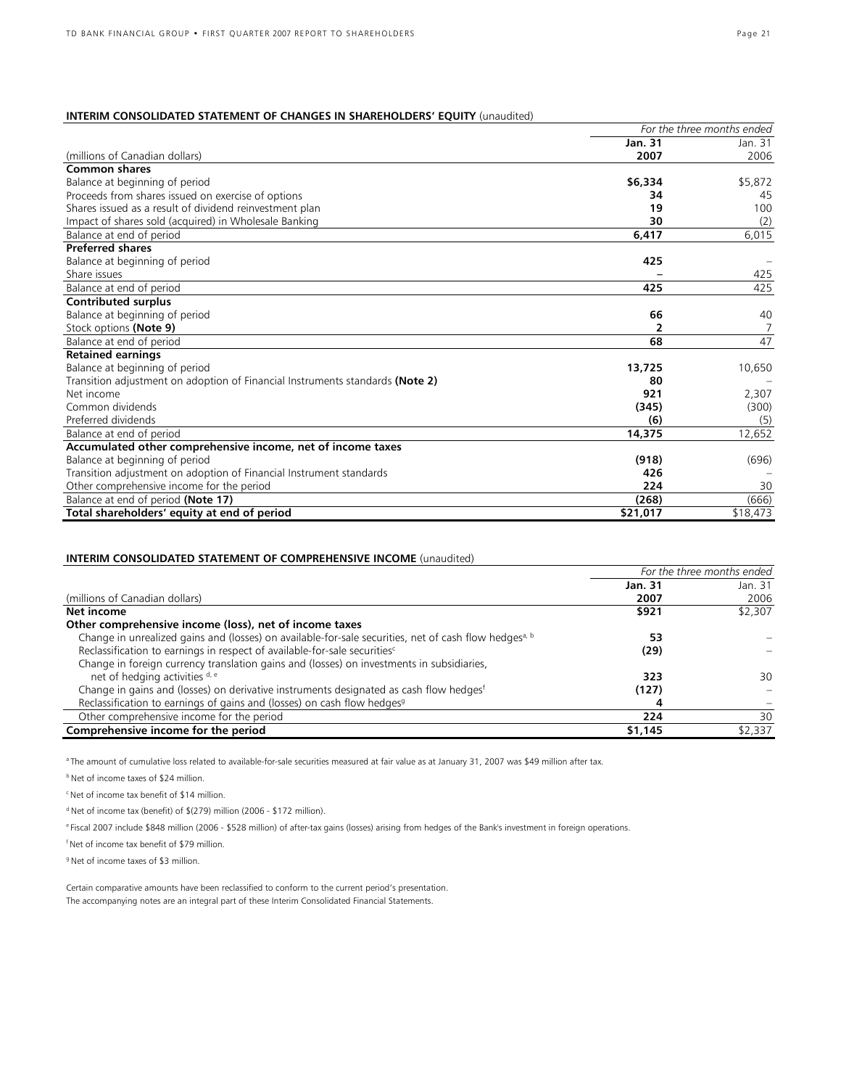# **INTERIM CONSOLIDATED STATEMENT OF CHANGES IN SHAREHOLDERS' EQUITY** (unaudited)

|                                                                               | For the three months ended |          |  |  |
|-------------------------------------------------------------------------------|----------------------------|----------|--|--|
|                                                                               | <b>Jan. 31</b>             | Jan. 31  |  |  |
| (millions of Canadian dollars)                                                | 2007                       | 2006     |  |  |
| <b>Common shares</b>                                                          |                            |          |  |  |
| Balance at beginning of period                                                | \$6,334                    | \$5,872  |  |  |
| Proceeds from shares issued on exercise of options                            | 34                         | 45       |  |  |
| Shares issued as a result of dividend reinvestment plan                       | 19                         | 100      |  |  |
| Impact of shares sold (acquired) in Wholesale Banking                         | 30                         | (2)      |  |  |
| Balance at end of period                                                      | 6,417                      | 6,015    |  |  |
| <b>Preferred shares</b>                                                       |                            |          |  |  |
| Balance at beginning of period                                                | 425                        |          |  |  |
| Share issues                                                                  |                            | 425      |  |  |
| Balance at end of period                                                      | 425                        | 425      |  |  |
| <b>Contributed surplus</b>                                                    |                            |          |  |  |
| Balance at beginning of period                                                | 66                         | 40       |  |  |
| Stock options (Note 9)                                                        | 2                          | 7        |  |  |
| Balance at end of period                                                      | 68                         | 47       |  |  |
| <b>Retained earnings</b>                                                      |                            |          |  |  |
| Balance at beginning of period                                                | 13,725                     | 10,650   |  |  |
| Transition adjustment on adoption of Financial Instruments standards (Note 2) | 80                         |          |  |  |
| Net income                                                                    | 921                        | 2,307    |  |  |
| Common dividends                                                              | (345)                      | (300)    |  |  |
| Preferred dividends                                                           | (6)                        | (5)      |  |  |
| Balance at end of period                                                      | 14,375                     | 12,652   |  |  |
| Accumulated other comprehensive income, net of income taxes                   |                            |          |  |  |
| Balance at beginning of period                                                | (918)                      | (696)    |  |  |
| Transition adjustment on adoption of Financial Instrument standards           | 426                        |          |  |  |
| Other comprehensive income for the period                                     | 224                        | 30       |  |  |
| Balance at end of period (Note 17)                                            | (268)                      | (666)    |  |  |
| Total shareholders' equity at end of period                                   | \$21,017                   | \$18,473 |  |  |

# **INTERIM CONSOLIDATED STATEMENT OF COMPREHENSIVE INCOME** (unaudited)

|                                                                                                                   | For the three months ended |         |  |  |
|-------------------------------------------------------------------------------------------------------------------|----------------------------|---------|--|--|
|                                                                                                                   | Jan. 31                    | Jan. 31 |  |  |
| (millions of Canadian dollars)                                                                                    | 2007                       | 2006    |  |  |
| Net income                                                                                                        | \$921                      | \$2,307 |  |  |
| Other comprehensive income (loss), net of income taxes                                                            |                            |         |  |  |
| Change in unrealized gains and (losses) on available-for-sale securities, net of cash flow hedges <sup>a, b</sup> | 53                         |         |  |  |
| Reclassification to earnings in respect of available-for-sale securities <sup>c</sup>                             | (29)                       |         |  |  |
| Change in foreign currency translation gains and (losses) on investments in subsidiaries,                         |                            |         |  |  |
| net of hedging activities d, e                                                                                    | 323                        | 30      |  |  |
| Change in gains and (losses) on derivative instruments designated as cash flow hedges                             | (127)                      |         |  |  |
| Reclassification to earnings of gains and (losses) on cash flow hedges <sup>9</sup>                               | 4                          |         |  |  |
| Other comprehensive income for the period                                                                         | 224                        | 30      |  |  |
| Comprehensive income for the period                                                                               | \$1,145                    | \$2,337 |  |  |

a The amount of cumulative loss related to available-for-sale securities measured at fair value as at January 31, 2007 was \$49 million after tax.

**b** Net of income taxes of \$24 million.

<sup>c</sup> Net of income tax benefit of \$14 million.

d Net of income tax (benefit) of \$(279) million (2006 - \$172 million).

e Fiscal 2007 include \$848 million (2006 - \$528 million) of after-tax gains (losses) arising from hedges of the Bank's investment in foreign operations.

f Net of income tax benefit of \$79 million.

<sup>9</sup> Net of income taxes of \$3 million.

Certain comparative amounts have been reclassified to conform to the current period's presentation. The accompanying notes are an integral part of these Interim Consolidated Financial Statements.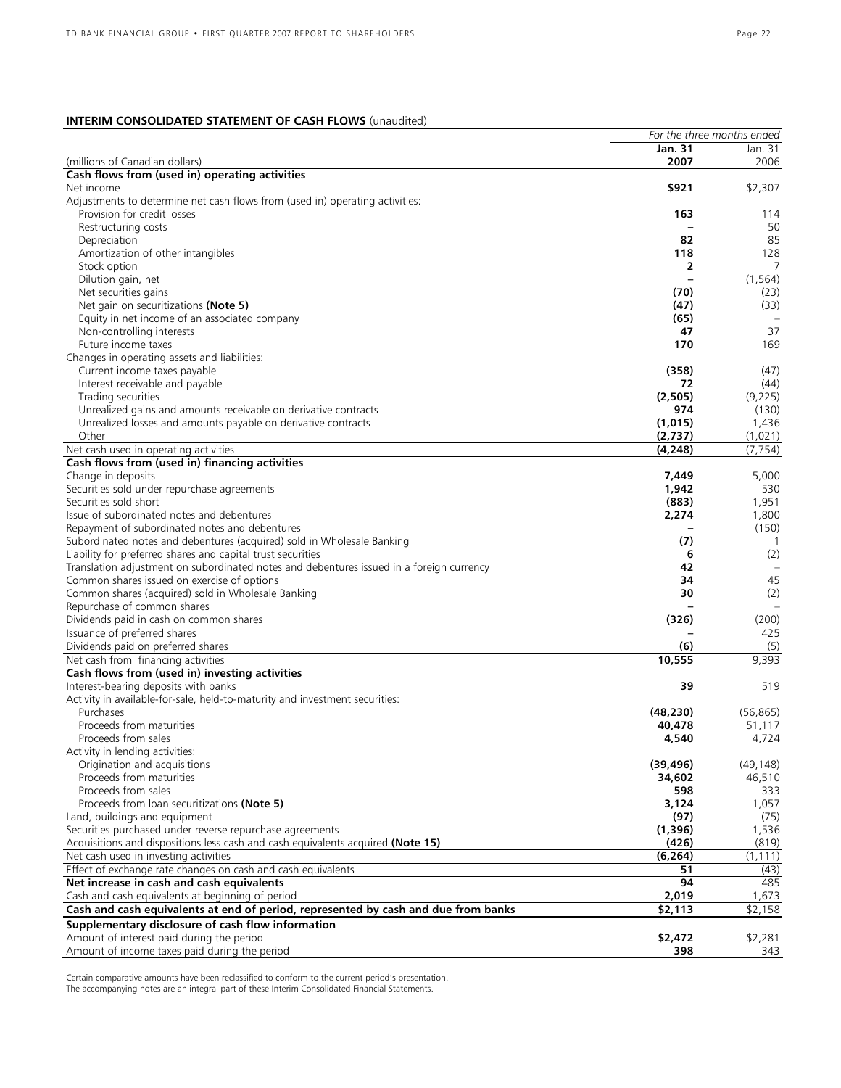# **INTERIM CONSOLIDATED STATEMENT OF CASH FLOWS** (unaudited)

|                                                                                          | For the three months ended |           |
|------------------------------------------------------------------------------------------|----------------------------|-----------|
|                                                                                          | Jan. 31                    | Jan. 31   |
| (millions of Canadian dollars)                                                           | 2007                       | 2006      |
| Cash flows from (used in) operating activities                                           |                            |           |
| Net income                                                                               | \$921                      | \$2,307   |
| Adjustments to determine net cash flows from (used in) operating activities:             |                            |           |
| Provision for credit losses                                                              | 163                        | 114       |
| Restructuring costs                                                                      |                            | 50        |
| Depreciation                                                                             | 82                         | 85        |
| Amortization of other intangibles                                                        | 118                        | 128       |
| Stock option                                                                             | 2                          | 7         |
| Dilution gain, net                                                                       | $\overline{\phantom{0}}$   | (1, 564)  |
| Net securities gains                                                                     | (70)                       | (23)      |
| Net gain on securitizations (Note 5)                                                     | (47)                       | (33)      |
|                                                                                          | (65)                       |           |
| Equity in net income of an associated company                                            |                            |           |
| Non-controlling interests                                                                | 47                         | 37        |
| Future income taxes                                                                      | 170                        | 169       |
| Changes in operating assets and liabilities:                                             |                            |           |
| Current income taxes payable                                                             | (358)                      | (47)      |
| Interest receivable and payable                                                          | 72                         | (44)      |
| Trading securities                                                                       | (2,505)                    | (9,225)   |
| Unrealized gains and amounts receivable on derivative contracts                          | 974                        | (130)     |
| Unrealized losses and amounts payable on derivative contracts                            | (1,015)                    | 1,436     |
| Other                                                                                    | (2,737)                    | (1,021)   |
| Net cash used in operating activities                                                    | (4, 248)                   | (7, 754)  |
| Cash flows from (used in) financing activities                                           |                            |           |
| Change in deposits                                                                       | 7,449                      | 5,000     |
| Securities sold under repurchase agreements                                              | 1,942                      | 530       |
| Securities sold short                                                                    | (883)                      | 1,951     |
| Issue of subordinated notes and debentures                                               | 2,274                      | 1,800     |
| Repayment of subordinated notes and debentures                                           |                            | (150)     |
|                                                                                          |                            | -1        |
| Subordinated notes and debentures (acquired) sold in Wholesale Banking                   | (7)                        |           |
| Liability for preferred shares and capital trust securities                              | 6                          | (2)       |
| Translation adjustment on subordinated notes and debentures issued in a foreign currency | 42                         |           |
| Common shares issued on exercise of options                                              | 34                         | 45        |
| Common shares (acquired) sold in Wholesale Banking                                       | 30                         | (2)       |
| Repurchase of common shares                                                              |                            |           |
| Dividends paid in cash on common shares                                                  | (326)                      | (200)     |
| Issuance of preferred shares                                                             |                            | 425       |
| Dividends paid on preferred shares                                                       | (6)                        | (5)       |
| Net cash from financing activities                                                       | 10,555                     | 9,393     |
| Cash flows from (used in) investing activities                                           |                            |           |
| Interest-bearing deposits with banks                                                     | 39                         | 519       |
| Activity in available-for-sale, held-to-maturity and investment securities:              |                            |           |
| Purchases                                                                                | (48, 230)                  | (56, 865) |
| Proceeds from maturities                                                                 | 40,478                     | 51,117    |
| Proceeds from sales                                                                      | 4,540                      | 4,724     |
|                                                                                          |                            |           |
| Activity in lending activities:                                                          |                            |           |
| Origination and acquisitions                                                             | (39, 496)                  | (49, 148) |
| Proceeds from maturities                                                                 | 34,602                     | 46,510    |
| Proceeds from sales                                                                      | 598                        | 333       |
| Proceeds from loan securitizations (Note 5)                                              | 3,124                      | 1,057     |
| Land, buildings and equipment                                                            | (97)                       | (75)      |
| Securities purchased under reverse repurchase agreements                                 | (1,396)                    | 1,536     |
| Acquisitions and dispositions less cash and cash equivalents acquired (Note 15)          | (426)                      | (819)     |
| Net cash used in investing activities                                                    | (6, 264)                   | (1, 111)  |
| Effect of exchange rate changes on cash and cash equivalents                             | 51                         | (43)      |
| Net increase in cash and cash equivalents                                                | 94                         | 485       |
| Cash and cash equivalents at beginning of period                                         | 2,019                      | 1,673     |
| Cash and cash equivalents at end of period, represented by cash and due from banks       | \$2,113                    | \$2,158   |
|                                                                                          |                            |           |
| Supplementary disclosure of cash flow information                                        |                            |           |
| Amount of interest paid during the period                                                | \$2,472                    | \$2,281   |
| Amount of income taxes paid during the period                                            | 398                        | 343       |

Certain comparative amounts have been reclassified to conform to the current period's presentation.

The accompanying notes are an integral part of these Interim Consolidated Financial Statements.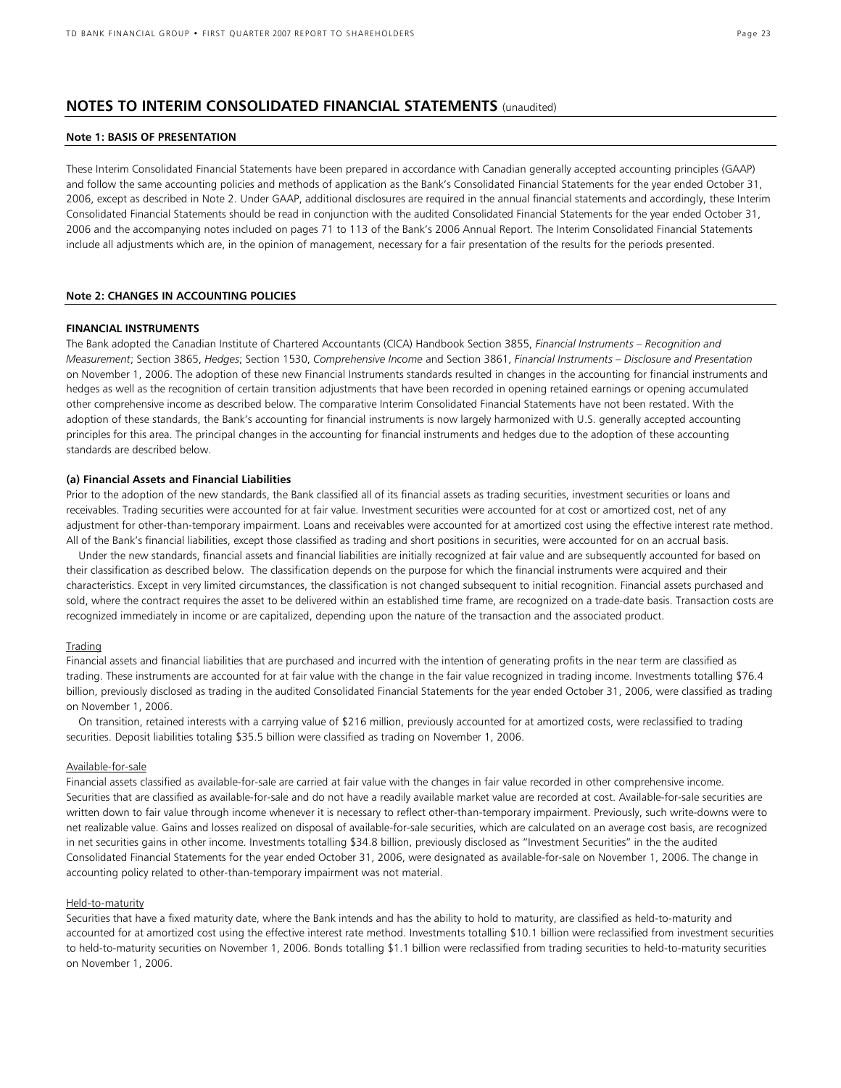# **NOTES TO INTERIM CONSOLIDATED FINANCIAL STATEMENTS** (unaudited)

# **Note 1: BASIS OF PRESENTATION**

These Interim Consolidated Financial Statements have been prepared in accordance with Canadian generally accepted accounting principles (GAAP) and follow the same accounting policies and methods of application as the Bank's Consolidated Financial Statements for the year ended October 31, 2006, except as described in Note 2. Under GAAP, additional disclosures are required in the annual financial statements and accordingly, these Interim Consolidated Financial Statements should be read in conjunction with the audited Consolidated Financial Statements for the year ended October 31, 2006 and the accompanying notes included on pages 71 to 113 of the Bank's 2006 Annual Report. The Interim Consolidated Financial Statements include all adjustments which are, in the opinion of management, necessary for a fair presentation of the results for the periods presented.

# **Note 2: CHANGES IN ACCOUNTING POLICIES**

# **FINANCIAL INSTRUMENTS**

The Bank adopted the Canadian Institute of Chartered Accountants (CICA) Handbook Section 3855, *Financial Instruments – Recognition and Measurement*; Section 3865, *Hedges*; Section 1530, *Comprehensive Income* and Section 3861, *Financial Instruments – Disclosure and Presentation* on November 1, 2006. The adoption of these new Financial Instruments standards resulted in changes in the accounting for financial instruments and hedges as well as the recognition of certain transition adjustments that have been recorded in opening retained earnings or opening accumulated other comprehensive income as described below. The comparative Interim Consolidated Financial Statements have not been restated. With the adoption of these standards, the Bank's accounting for financial instruments is now largely harmonized with U.S. generally accepted accounting principles for this area. The principal changes in the accounting for financial instruments and hedges due to the adoption of these accounting standards are described below.

# **(a) Financial Assets and Financial Liabilities**

Prior to the adoption of the new standards, the Bank classified all of its financial assets as trading securities, investment securities or loans and receivables. Trading securities were accounted for at fair value. Investment securities were accounted for at cost or amortized cost, net of any adjustment for other-than-temporary impairment. Loans and receivables were accounted for at amortized cost using the effective interest rate method. All of the Bank's financial liabilities, except those classified as trading and short positions in securities, were accounted for on an accrual basis.

Under the new standards, financial assets and financial liabilities are initially recognized at fair value and are subsequently accounted for based on their classification as described below. The classification depends on the purpose for which the financial instruments were acquired and their characteristics. Except in very limited circumstances, the classification is not changed subsequent to initial recognition. Financial assets purchased and sold, where the contract requires the asset to be delivered within an established time frame, are recognized on a trade-date basis. Transaction costs are recognized immediately in income or are capitalized, depending upon the nature of the transaction and the associated product.

### Trading

Financial assets and financial liabilities that are purchased and incurred with the intention of generating profits in the near term are classified as trading. These instruments are accounted for at fair value with the change in the fair value recognized in trading income. Investments totalling \$76.4 billion, previously disclosed as trading in the audited Consolidated Financial Statements for the year ended October 31, 2006, were classified as trading on November 1, 2006.

On transition, retained interests with a carrying value of \$216 million, previously accounted for at amortized costs, were reclassified to trading securities. Deposit liabilities totaling \$35.5 billion were classified as trading on November 1, 2006.

# Available-for-sale

Financial assets classified as available-for-sale are carried at fair value with the changes in fair value recorded in other comprehensive income. Securities that are classified as available-for-sale and do not have a readily available market value are recorded at cost. Available-for-sale securities are written down to fair value through income whenever it is necessary to reflect other-than-temporary impairment. Previously, such write-downs were to net realizable value. Gains and losses realized on disposal of available-for-sale securities, which are calculated on an average cost basis, are recognized in net securities gains in other income. Investments totalling \$34.8 billion, previously disclosed as "Investment Securities" in the the audited Consolidated Financial Statements for the year ended October 31, 2006, were designated as available-for-sale on November 1, 2006. The change in accounting policy related to other-than-temporary impairment was not material.

#### Held-to-maturity

Securities that have a fixed maturity date, where the Bank intends and has the ability to hold to maturity, are classified as held-to-maturity and accounted for at amortized cost using the effective interest rate method. Investments totalling \$10.1 billion were reclassified from investment securities to held-to-maturity securities on November 1, 2006. Bonds totalling \$1.1 billion were reclassified from trading securities to held-to-maturity securities on November 1, 2006.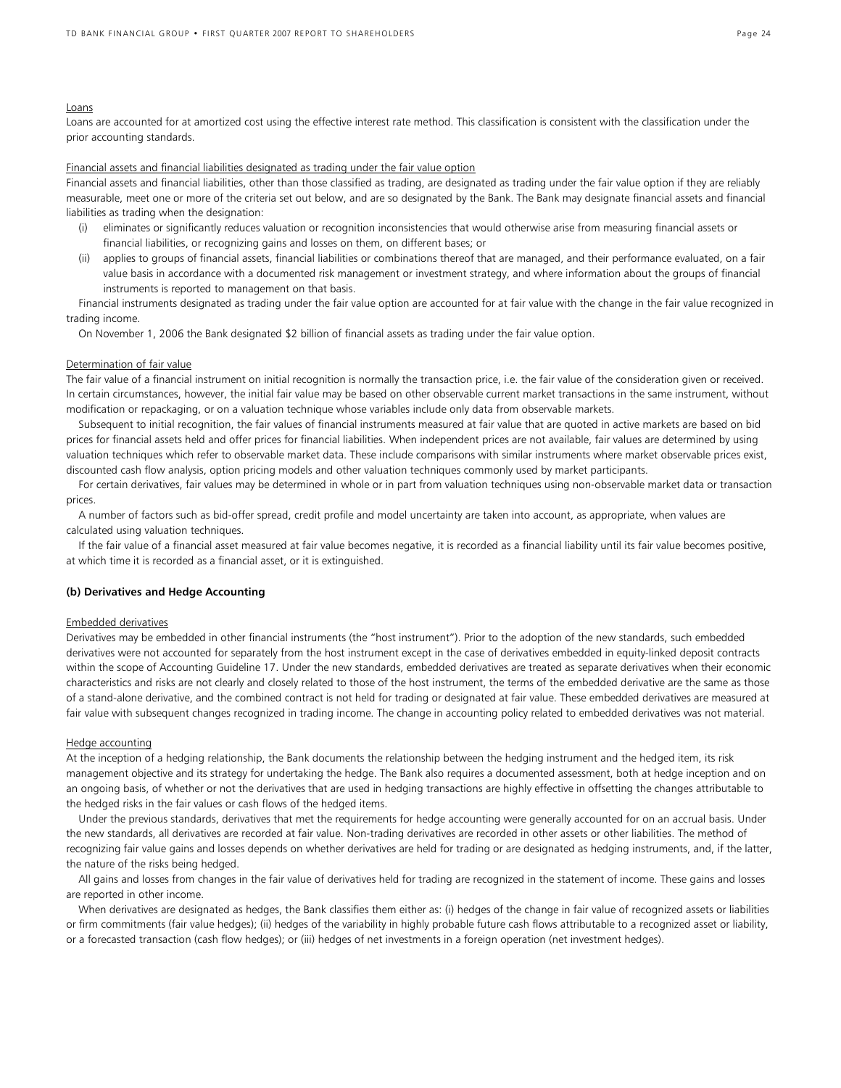#### Loans

Loans are accounted for at amortized cost using the effective interest rate method. This classification is consistent with the classification under the prior accounting standards.

# Financial assets and financial liabilities designated as trading under the fair value option

Financial assets and financial liabilities, other than those classified as trading, are designated as trading under the fair value option if they are reliably measurable, meet one or more of the criteria set out below, and are so designated by the Bank. The Bank may designate financial assets and financial liabilities as trading when the designation:

- (i) eliminates or significantly reduces valuation or recognition inconsistencies that would otherwise arise from measuring financial assets or financial liabilities, or recognizing gains and losses on them, on different bases; or
- (ii) applies to groups of financial assets, financial liabilities or combinations thereof that are managed, and their performance evaluated, on a fair value basis in accordance with a documented risk management or investment strategy, and where information about the groups of financial instruments is reported to management on that basis.

Financial instruments designated as trading under the fair value option are accounted for at fair value with the change in the fair value recognized in trading income.

On November 1, 2006 the Bank designated \$2 billion of financial assets as trading under the fair value option.

# Determination of fair value

The fair value of a financial instrument on initial recognition is normally the transaction price, i.e. the fair value of the consideration given or received. In certain circumstances, however, the initial fair value may be based on other observable current market transactions in the same instrument, without modification or repackaging, or on a valuation technique whose variables include only data from observable markets.

Subsequent to initial recognition, the fair values of financial instruments measured at fair value that are quoted in active markets are based on bid prices for financial assets held and offer prices for financial liabilities. When independent prices are not available, fair values are determined by using valuation techniques which refer to observable market data. These include comparisons with similar instruments where market observable prices exist, discounted cash flow analysis, option pricing models and other valuation techniques commonly used by market participants.

For certain derivatives, fair values may be determined in whole or in part from valuation techniques using non-observable market data or transaction prices.

A number of factors such as bid-offer spread, credit profile and model uncertainty are taken into account, as appropriate, when values are calculated using valuation techniques.

If the fair value of a financial asset measured at fair value becomes negative, it is recorded as a financial liability until its fair value becomes positive, at which time it is recorded as a financial asset, or it is extinguished.

### **(b) Derivatives and Hedge Accounting**

#### Embedded derivatives

Derivatives may be embedded in other financial instruments (the "host instrument"). Prior to the adoption of the new standards, such embedded derivatives were not accounted for separately from the host instrument except in the case of derivatives embedded in equity-linked deposit contracts within the scope of Accounting Guideline 17. Under the new standards, embedded derivatives are treated as separate derivatives when their economic characteristics and risks are not clearly and closely related to those of the host instrument, the terms of the embedded derivative are the same as those of a stand-alone derivative, and the combined contract is not held for trading or designated at fair value. These embedded derivatives are measured at fair value with subsequent changes recognized in trading income. The change in accounting policy related to embedded derivatives was not material.

#### Hedge accounting

At the inception of a hedging relationship, the Bank documents the relationship between the hedging instrument and the hedged item, its risk management objective and its strategy for undertaking the hedge. The Bank also requires a documented assessment, both at hedge inception and on an ongoing basis, of whether or not the derivatives that are used in hedging transactions are highly effective in offsetting the changes attributable to the hedged risks in the fair values or cash flows of the hedged items.

Under the previous standards, derivatives that met the requirements for hedge accounting were generally accounted for on an accrual basis. Under the new standards, all derivatives are recorded at fair value. Non-trading derivatives are recorded in other assets or other liabilities. The method of recognizing fair value gains and losses depends on whether derivatives are held for trading or are designated as hedging instruments, and, if the latter, the nature of the risks being hedged.

All gains and losses from changes in the fair value of derivatives held for trading are recognized in the statement of income. These gains and losses are reported in other income.

When derivatives are designated as hedges, the Bank classifies them either as: (i) hedges of the change in fair value of recognized assets or liabilities or firm commitments (fair value hedges); (ii) hedges of the variability in highly probable future cash flows attributable to a recognized asset or liability, or a forecasted transaction (cash flow hedges); or (iii) hedges of net investments in a foreign operation (net investment hedges).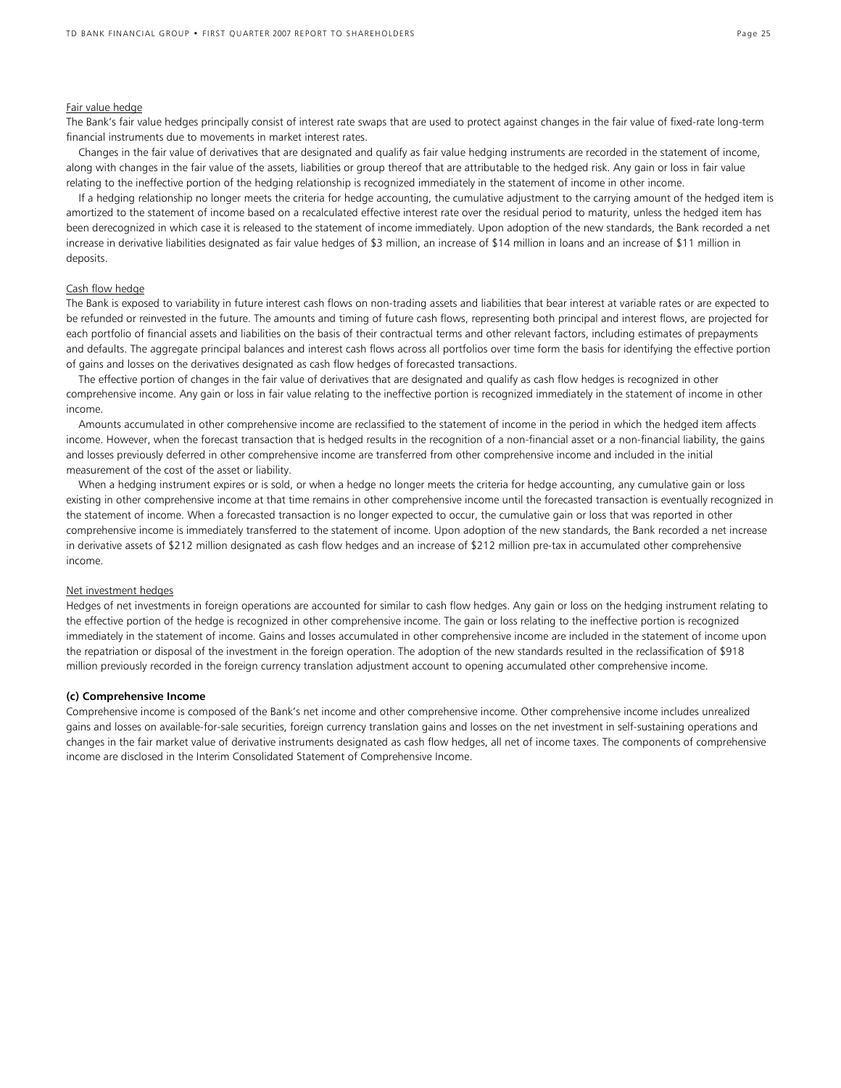### Fair value hedge

The Bank's fair value hedges principally consist of interest rate swaps that are used to protect against changes in the fair value of fixed-rate long-term financial instruments due to movements in market interest rates.

Changes in the fair value of derivatives that are designated and qualify as fair value hedging instruments are recorded in the statement of income, along with changes in the fair value of the assets, liabilities or group thereof that are attributable to the hedged risk. Any gain or loss in fair value relating to the ineffective portion of the hedging relationship is recognized immediately in the statement of income in other income.

If a hedging relationship no longer meets the criteria for hedge accounting, the cumulative adjustment to the carrying amount of the hedged item is amortized to the statement of income based on a recalculated effective interest rate over the residual period to maturity, unless the hedged item has been derecognized in which case it is released to the statement of income immediately. Upon adoption of the new standards, the Bank recorded a net increase in derivative liabilities designated as fair value hedges of \$3 million, an increase of \$14 million in loans and an increase of \$11 million in deposits.

# Cash flow hedge

The Bank is exposed to variability in future interest cash flows on non-trading assets and liabilities that bear interest at variable rates or are expected to be refunded or reinvested in the future. The amounts and timing of future cash flows, representing both principal and interest flows, are projected for each portfolio of financial assets and liabilities on the basis of their contractual terms and other relevant factors, including estimates of prepayments and defaults. The aggregate principal balances and interest cash flows across all portfolios over time form the basis for identifying the effective portion of gains and losses on the derivatives designated as cash flow hedges of forecasted transactions.

The effective portion of changes in the fair value of derivatives that are designated and qualify as cash flow hedges is recognized in other comprehensive income. Any gain or loss in fair value relating to the ineffective portion is recognized immediately in the statement of income in other income.

Amounts accumulated in other comprehensive income are reclassified to the statement of income in the period in which the hedged item affects income. However, when the forecast transaction that is hedged results in the recognition of a non-financial asset or a non-financial liability, the gains and losses previously deferred in other comprehensive income are transferred from other comprehensive income and included in the initial measurement of the cost of the asset or liability.

When a hedging instrument expires or is sold, or when a hedge no longer meets the criteria for hedge accounting, any cumulative gain or loss existing in other comprehensive income at that time remains in other comprehensive income until the forecasted transaction is eventually recognized in the statement of income. When a forecasted transaction is no longer expected to occur, the cumulative gain or loss that was reported in other comprehensive income is immediately transferred to the statement of income. Upon adoption of the new standards, the Bank recorded a net increase in derivative assets of \$212 million designated as cash flow hedges and an increase of \$212 million pre-tax in accumulated other comprehensive income.

### Net investment hedges

Hedges of net investments in foreign operations are accounted for similar to cash flow hedges. Any gain or loss on the hedging instrument relating to the effective portion of the hedge is recognized in other comprehensive income. The gain or loss relating to the ineffective portion is recognized immediately in the statement of income. Gains and losses accumulated in other comprehensive income are included in the statement of income upon the repatriation or disposal of the investment in the foreign operation. The adoption of the new standards resulted in the reclassification of \$918 million previously recorded in the foreign currency translation adjustment account to opening accumulated other comprehensive income.

### **(c) Comprehensive Income**

Comprehensive income is composed of the Bank's net income and other comprehensive income. Other comprehensive income includes unrealized gains and losses on available-for-sale securities, foreign currency translation gains and losses on the net investment in self-sustaining operations and changes in the fair market value of derivative instruments designated as cash flow hedges, all net of income taxes. The components of comprehensive income are disclosed in the Interim Consolidated Statement of Comprehensive Income.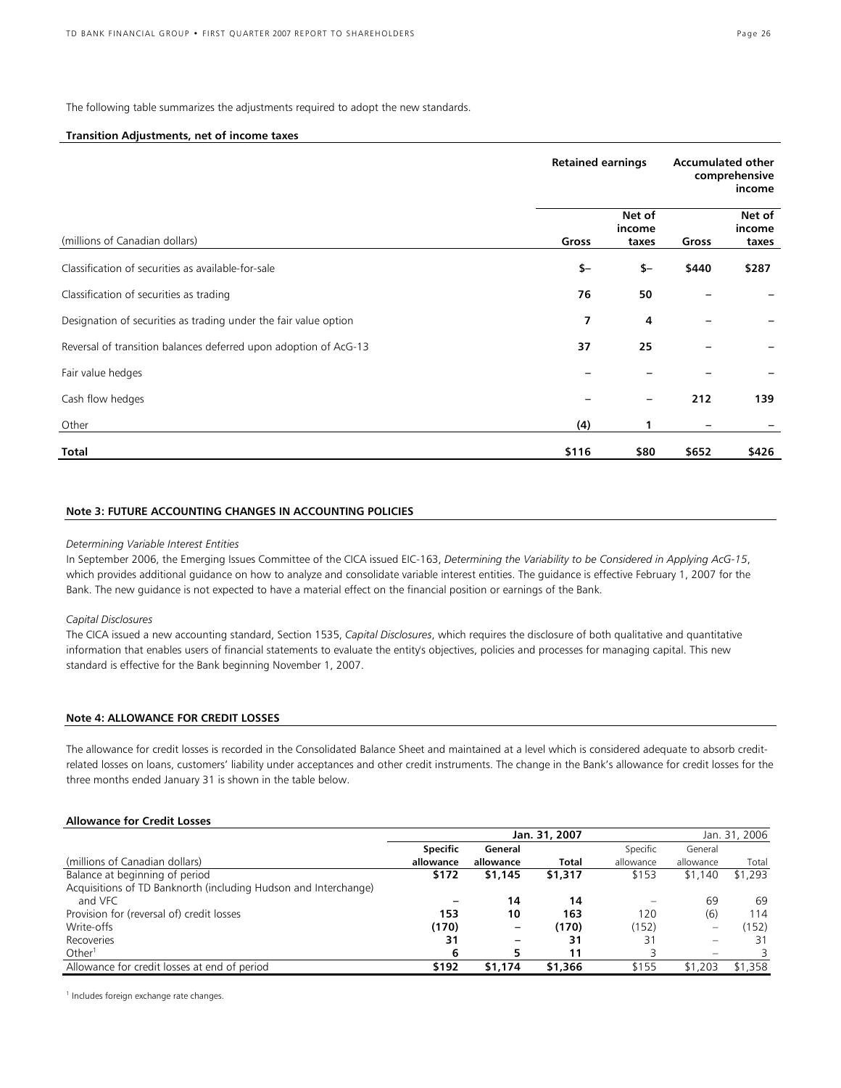The following table summarizes the adjustments required to adopt the new standards.

# **Transition Adjustments, net of income taxes**

|                                                                  | <b>Retained earnings</b> |                           | <b>Accumulated other</b><br>comprehensive<br>income |                           |
|------------------------------------------------------------------|--------------------------|---------------------------|-----------------------------------------------------|---------------------------|
| (millions of Canadian dollars)                                   | Gross                    | Net of<br>income<br>taxes | Gross                                               | Net of<br>income<br>taxes |
| Classification of securities as available-for-sale               | $$-$                     | \$-                       | \$440                                               | \$287                     |
| Classification of securities as trading                          | 76                       | 50                        |                                                     |                           |
| Designation of securities as trading under the fair value option | 7                        | 4                         |                                                     |                           |
| Reversal of transition balances deferred upon adoption of AcG-13 | 37                       | 25                        |                                                     |                           |
| Fair value hedges                                                |                          |                           |                                                     |                           |
| Cash flow hedges                                                 |                          |                           | 212                                                 | 139                       |
| Other                                                            | (4)                      |                           |                                                     |                           |
| Total                                                            | \$116                    | \$80                      | \$652                                               | \$426                     |

### **Note 3: FUTURE ACCOUNTING CHANGES IN ACCOUNTING POLICIES**

### *Determining Variable Interest Entities*

In September 2006, the Emerging Issues Committee of the CICA issued EIC-163, *Determining the Variability to be Considered in Applying AcG-15*, which provides additional guidance on how to analyze and consolidate variable interest entities. The guidance is effective February 1, 2007 for the Bank. The new guidance is not expected to have a material effect on the financial position or earnings of the Bank.

#### *Capital Disclosures*

The CICA issued a new accounting standard, Section 1535, *Capital Disclosures*, which requires the disclosure of both qualitative and quantitative information that enables users of financial statements to evaluate the entity's objectives, policies and processes for managing capital. This new standard is effective for the Bank beginning November 1, 2007.

# **Note 4: ALLOWANCE FOR CREDIT LOSSES**

The allowance for credit losses is recorded in the Consolidated Balance Sheet and maintained at a level which is considered adequate to absorb creditrelated losses on loans, customers' liability under acceptances and other credit instruments. The change in the Bank's allowance for credit losses for the three months ended January 31 is shown in the table below.

### **Allowance for Credit Losses**

|                                                                 | Jan. 31, 2007   |           |              |                        |           | Jan. 31, 2006 |  |  |
|-----------------------------------------------------------------|-----------------|-----------|--------------|------------------------|-----------|---------------|--|--|
|                                                                 | <b>Specific</b> | General   |              | Specific               | General   |               |  |  |
| (millions of Canadian dollars)                                  | allowance       | allowance | <b>Total</b> | allowance              | allowance | Total         |  |  |
| Balance at beginning of period                                  | \$172           | \$1,145   | \$1,317      | \$153                  | \$1,140   | \$1,293       |  |  |
| Acquisitions of TD Banknorth (including Hudson and Interchange) |                 |           |              |                        |           |               |  |  |
| and VFC                                                         |                 | 14        | 14           | $\qquad \qquad \qquad$ | 69        | 69            |  |  |
| Provision for (reversal of) credit losses                       | 153             | 10        | 163          | 120                    | (6)       | 114           |  |  |
| Write-offs                                                      | (170)           |           | (170)        | (152)                  |           | (152)         |  |  |
| Recoveries                                                      | 31              |           | 31           | 31                     |           | 31            |  |  |
| Other <sup>1</sup>                                              | 6               |           | 11           |                        |           |               |  |  |
| Allowance for credit losses at end of period                    | \$192           | \$1,174   | \$1,366      | \$155                  | \$1,203   | \$1,358       |  |  |

<sup>1</sup> Includes foreign exchange rate changes.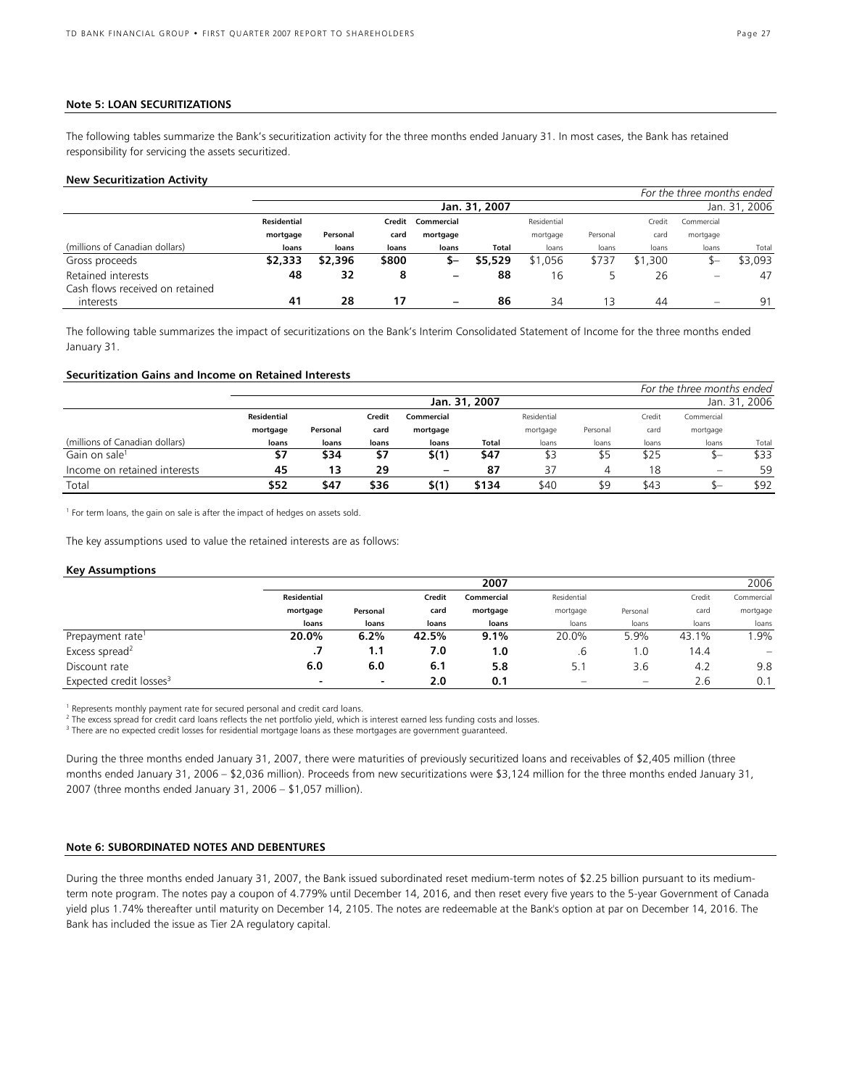### **Note 5: LOAN SECURITIZATIONS**

The following tables summarize the Bank's securitization activity for the three months ended January 31. In most cases, the Bank has retained responsibility for servicing the assets securitized.

#### **New Securitization Activity**

|                                 |             |                                |        |            |         |             |          |         | For the three months ended |         |
|---------------------------------|-------------|--------------------------------|--------|------------|---------|-------------|----------|---------|----------------------------|---------|
|                                 |             | Jan. 31, 2007<br>Jan. 31, 2006 |        |            |         |             |          |         |                            |         |
|                                 | Residential |                                | Credit | Commercial |         | Residential |          | Credit  | Commercial                 |         |
|                                 | mortgage    | Personal                       | card   | mortgage   |         | mortgage    | Personal | card    | mortgage                   |         |
| (millions of Canadian dollars)  | loans       | loans                          | loans  | loans      | Total   | loans       | loans    | loans   | loans                      | Total   |
| Gross proceeds                  | \$2,333     | \$2,396                        | \$800  | —ב         | \$5,529 | \$1,056     | \$737    | \$1,300 | ъ–                         | \$3,093 |
| Retained interests              | 48          | 32                             | 8      | -          | 88      | 16          |          | 26      | $\equiv$                   | 47      |
| Cash flows received on retained |             |                                |        |            |         |             |          |         |                            |         |
| interests                       | 41          | 28                             | 17     |            | 86      | 34          | 13       | 44      | $\equiv$                   | 91      |

The following table summarizes the impact of securitizations on the Bank's Interim Consolidated Statement of Income for the three months ended January 31.

### **Securitization Gains and Income on Retained Interests**

|                                |                    |          |        | For the three months ended |               |             |          |        |                          |               |
|--------------------------------|--------------------|----------|--------|----------------------------|---------------|-------------|----------|--------|--------------------------|---------------|
|                                |                    |          |        |                            | Jan. 31, 2007 |             |          |        |                          | Jan. 31, 2006 |
|                                | <b>Residential</b> |          | Credit | Commercial                 |               | Residential |          | Credit | Commercial               |               |
|                                | mortgage           | Personal | card   | mortgage                   |               | mortgage    | Personal | card   | mortgage                 |               |
| (millions of Canadian dollars) | loans              | loans    | loans  | loans                      | Total         | loans       | loans    | loans  | loans                    | Total         |
| Gain on sale <sup>1</sup>      | \$7                | \$34     | \$7    | \$(1)                      | \$47          | \$3         | \$5      | \$25   |                          | \$33          |
| Income on retained interests   | 45                 | 13       | 29     | $\qquad \qquad$            | 87            | 37          |          | 18     | $\overline{\phantom{0}}$ | 59            |
| Total                          | \$52               | \$47     | \$36   | \$(1)                      | \$134         | \$40        | \$9      | \$43   |                          | \$92          |

<sup>1</sup> For term loans, the gain on sale is after the impact of hedges on assets sold.

The key assumptions used to value the retained interests are as follows:

### **Key Assumptions**

|                                     |                    | 2007                     |       |            |             |          |        |                                |  |
|-------------------------------------|--------------------|--------------------------|-------|------------|-------------|----------|--------|--------------------------------|--|
|                                     | <b>Residential</b> |                          |       | Commercial | Residential |          | Credit | Commercial                     |  |
|                                     | mortgage           | Personal                 | card  | mortgage   | mortgage    | Personal | card   | mortgage                       |  |
|                                     | loans              | loans                    | loans | loans      | loans       | loans    | loans  | loans                          |  |
| Prepayment rate <sup>1</sup>        | 20.0%              | 6.2%                     | 42.5% | $9.1\%$    | 20.0%       | 5.9%     | 43.1%  | .9%                            |  |
| Excess spread <sup>2</sup>          | .,                 | 1.1                      | 7.0   | 1.0        | .6          | l .O     | 14.4   | $\qquad \qquad \longleftarrow$ |  |
| Discount rate                       | 6.0                | 6.0                      | 6.1   | 5.8        | 5.1         | 3.6      | 4.2    | 9.8                            |  |
| Expected credit losses <sup>3</sup> | -                  | $\overline{\phantom{a}}$ | 2.0   | 0.1        |             |          | 2.6    | 0.1                            |  |

<sup>1</sup> Represents monthly payment rate for secured personal and credit card loans.

 $^2$  The excess spread for credit card loans reflects the net portfolio yield, which is interest earned less funding costs and losses.<br><sup>3</sup> There are no expected credit losses for residential mestage loans as these mestage

<sup>3</sup> There are no expected credit losses for residential mortgage loans as these mortgages are government guaranteed.

During the three months ended January 31, 2007, there were maturities of previously securitized loans and receivables of \$2,405 million (three months ended January 31, 2006 – \$2,036 million). Proceeds from new securitizations were \$3,124 million for the three months ended January 31, 2007 (three months ended January 31, 2006 – \$1,057 million).

# **Note 6: SUBORDINATED NOTES AND DEBENTURES**

During the three months ended January 31, 2007, the Bank issued subordinated reset medium-term notes of \$2.25 billion pursuant to its mediumterm note program. The notes pay a coupon of 4.779% until December 14, 2016, and then reset every five years to the 5-year Government of Canada yield plus 1.74% thereafter until maturity on December 14, 2105. The notes are redeemable at the Bank's option at par on December 14, 2016. The Bank has included the issue as Tier 2A regulatory capital.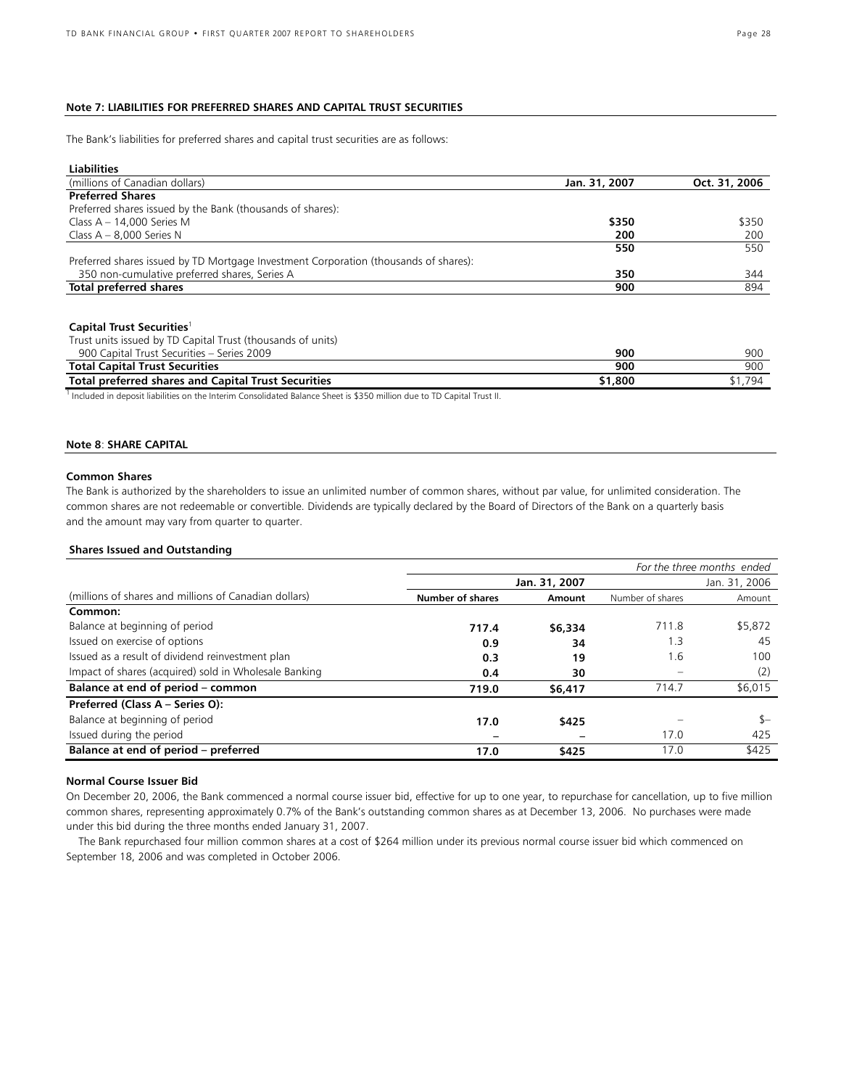# **Note 7: LIABILITIES FOR PREFERRED SHARES AND CAPITAL TRUST SECURITIES**

The Bank's liabilities for preferred shares and capital trust securities are as follows:

| <b>Liabilities</b>                                                                                                 |               |               |
|--------------------------------------------------------------------------------------------------------------------|---------------|---------------|
| (millions of Canadian dollars)                                                                                     | Jan. 31, 2007 | Oct. 31, 2006 |
| <b>Preferred Shares</b>                                                                                            |               |               |
| Preferred shares issued by the Bank (thousands of shares):                                                         |               |               |
| Class $A - 14,000$ Series M                                                                                        | \$350         | \$350         |
| Class $A - 8.000$ Series N                                                                                         | 200           | 200           |
|                                                                                                                    | 550           | 550           |
| Preferred shares issued by TD Mortgage Investment Corporation (thousands of shares):                               |               |               |
| 350 non-cumulative preferred shares, Series A                                                                      | 350           | 344           |
| Total preferred shares                                                                                             | 900           | 894           |
|                                                                                                                    |               |               |
| Capital Trust Securities <sup>1</sup>                                                                              |               |               |
| Trust units issued by TD Capital Trust (thousands of units)                                                        |               |               |
| 900 Capital Trust Securities - Series 2009                                                                         | 900           | 900           |
| <b>Total Capital Trust Securities</b>                                                                              | 900           | 900           |
| <b>Total preferred shares and Capital Trust Securities</b>                                                         | \$1,800       | \$1,794       |
| Induded in depart lightliche an the Interim Conselidated Delance Chast is \$250 million due to TD Conital Trust II |               |               |

Included in deposit liabilities on the Interim Consolidated Balance Sheet is \$350 million due to TD Capital Trust II.

# **Note 8**: **SHARE CAPITAL**

# **Common Shares**

The Bank is authorized by the shareholders to issue an unlimited number of common shares, without par value, for unlimited consideration. The common shares are not redeemable or convertible. Dividends are typically declared by the Board of Directors of the Bank on a quarterly basis and the amount may vary from quarter to quarter.

# **Shares Issued and Outstanding**

|                                                       | For the three months ended     |         |                  |         |  |  |
|-------------------------------------------------------|--------------------------------|---------|------------------|---------|--|--|
|                                                       | Jan. 31, 2007<br>Jan. 31, 2006 |         |                  |         |  |  |
| (millions of shares and millions of Canadian dollars) | <b>Number of shares</b>        | Amount  | Number of shares | Amount  |  |  |
| Common:                                               |                                |         |                  |         |  |  |
| Balance at beginning of period                        | 717.4                          | \$6,334 | 711.8            | \$5,872 |  |  |
| Issued on exercise of options                         | 0.9                            | 34      | . .3             | 45      |  |  |
| Issued as a result of dividend reinvestment plan      | 0.3                            | 19      | 1.6              | 100     |  |  |
| Impact of shares (acquired) sold in Wholesale Banking | 0.4                            | 30      |                  | (2)     |  |  |
| Balance at end of period – common                     | 719.0                          | \$6,417 | 714.7            | \$6,015 |  |  |
| Preferred (Class A - Series O):                       |                                |         |                  |         |  |  |
| Balance at beginning of period                        | 17.0                           | \$425   |                  | $S-$    |  |  |
| Issued during the period                              |                                |         | 17.0             | 425     |  |  |
| Balance at end of period - preferred                  | 17.0                           | \$425   | 17.0             | \$425   |  |  |

# **Normal Course Issuer Bid**

On December 20, 2006, the Bank commenced a normal course issuer bid, effective for up to one year, to repurchase for cancellation, up to five million common shares, representing approximately 0.7% of the Bank's outstanding common shares as at December 13, 2006. No purchases were made under this bid during the three months ended January 31, 2007.

The Bank repurchased four million common shares at a cost of \$264 million under its previous normal course issuer bid which commenced on September 18, 2006 and was completed in October 2006.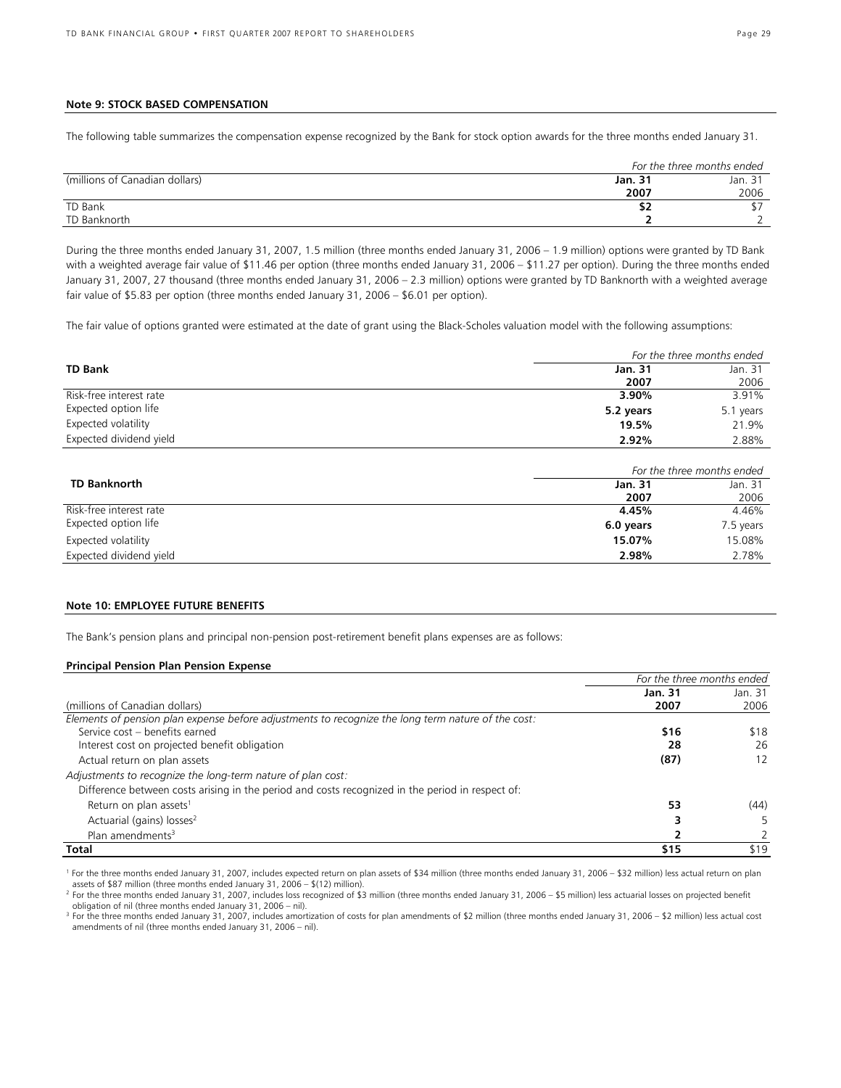# **Note 9: STOCK BASED COMPENSATION**

The following table summarizes the compensation expense recognized by the Bank for stock option awards for the three months ended January 31.

|                                |                | For the three months ended |  |  |
|--------------------------------|----------------|----------------------------|--|--|
| (millions of Canadian dollars) | <b>Jan. 31</b> | Jan. 31                    |  |  |
|                                | 2007           | 2006                       |  |  |
| TD Bank                        | ₽∠             |                            |  |  |
| TD Banknorth                   |                |                            |  |  |

During the three months ended January 31, 2007, 1.5 million (three months ended January 31, 2006 – 1.9 million) options were granted by TD Bank with a weighted average fair value of \$11.46 per option (three months ended January 31, 2006 – \$11.27 per option). During the three months ended January 31, 2007, 27 thousand (three months ended January 31, 2006 – 2.3 million) options were granted by TD Banknorth with a weighted average fair value of \$5.83 per option (three months ended January 31, 2006 – \$6.01 per option).

The fair value of options granted were estimated at the date of grant using the Black-Scholes valuation model with the following assumptions:

|                         |                | For the three months ended |
|-------------------------|----------------|----------------------------|
| <b>TD Bank</b>          | <b>Jan. 31</b> | Jan. 31                    |
|                         | 2007           | 2006                       |
| Risk-free interest rate | 3.90%          | 3.91%                      |
| Expected option life    | 5.2 years      | 5.1 years                  |
| Expected volatility     | 19.5%          | 21.9%                      |
| Expected dividend yield | 2.92%          | 2.88%                      |

|                         |           | For the three months ended |
|-------------------------|-----------|----------------------------|
| <b>TD Banknorth</b>     | Jan. 31   | Jan. 31                    |
|                         | 2007      | 2006                       |
| Risk-free interest rate | 4.45%     | 4.46%                      |
| Expected option life    | 6.0 years | 7.5 years                  |
| Expected volatility     | 15.07%    | 15.08%                     |
| Expected dividend yield | 2.98%     | 2.78%                      |

# **Note 10: EMPLOYEE FUTURE BENEFITS**

The Bank's pension plans and principal non-pension post-retirement benefit plans expenses are as follows:

### **Principal Pension Plan Pension Expense**

|                                                                                                    | For the three months ended |         |
|----------------------------------------------------------------------------------------------------|----------------------------|---------|
|                                                                                                    | <b>Jan. 31</b>             | Jan. 31 |
| (millions of Canadian dollars)                                                                     | 2007                       | 2006    |
| Elements of pension plan expense before adjustments to recognize the long term nature of the cost: |                            |         |
| Service cost - benefits earned                                                                     | \$16                       | \$18    |
| Interest cost on projected benefit obligation                                                      | 28                         | 26      |
| Actual return on plan assets                                                                       | (87)                       | 12      |
| Adjustments to recognize the long-term nature of plan cost:                                        |                            |         |
| Difference between costs arising in the period and costs recognized in the period in respect of:   |                            |         |
| Return on plan assets <sup>1</sup>                                                                 | 53                         | (44)    |
| Actuarial (gains) losses <sup>2</sup>                                                              |                            |         |
| Plan amendments <sup>3</sup>                                                                       |                            |         |
| Total                                                                                              | \$15                       | \$19    |

<sup>1</sup> For the three months ended January 31, 2007, includes expected return on plan assets of \$34 million (three months ended January 31, 2006 - \$32 million) less actual return on plan assets of \$87 million (three months ended January 31, 2006 – \$(12) million).

<sup>3</sup> For the three months ended January 31, 2007, includes amortization of costs for plan amendments of \$2 million (three months ended January 31, 2006 – \$2 million) less actual cost amendments of nil (three months ended January 31, 2006 – nil).

<sup>&</sup>lt;sup>2</sup> For the three months ended January 31, 2007, includes loss recognized of \$3 million (three months ended January 31, 2006 – \$5 million) less actuarial losses on projected benefit obligation of nil (three months ended January 31, 2006 – nil).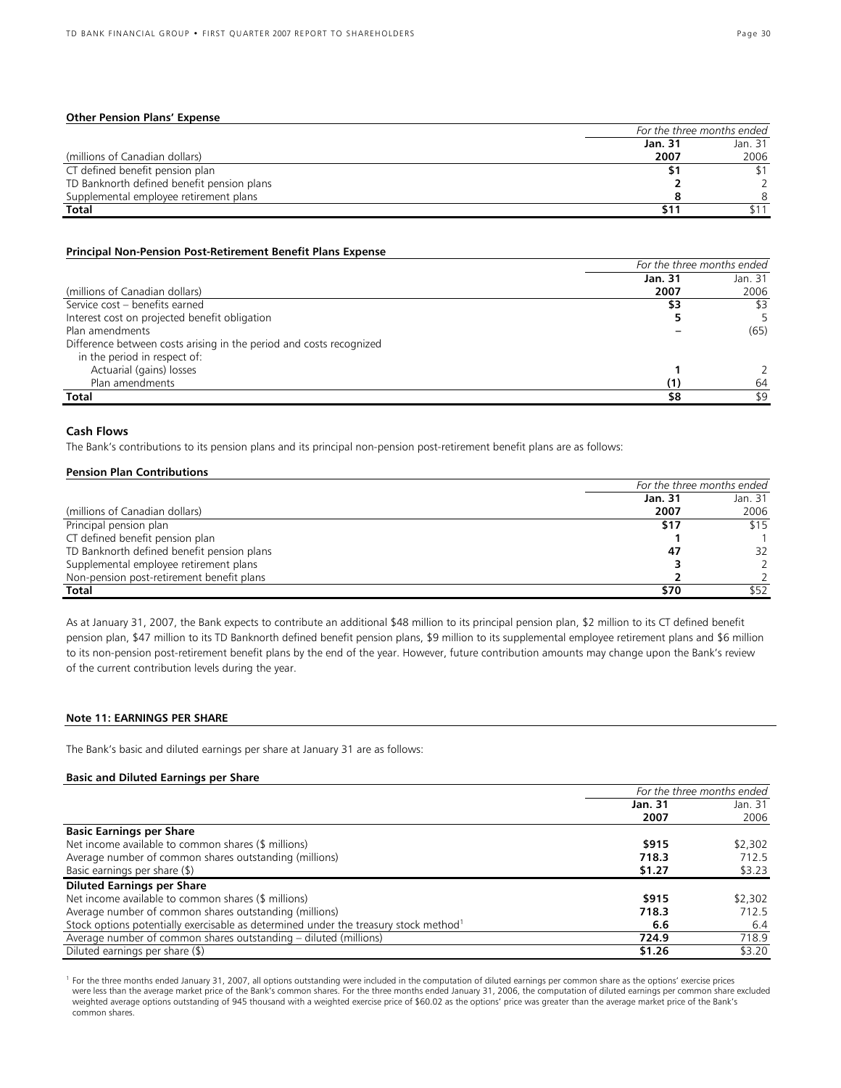|                                            | For the three months ended |         |  |
|--------------------------------------------|----------------------------|---------|--|
|                                            | Jan. 31                    | Jan. 31 |  |
| (millions of Canadian dollars)             | 2007                       | 2006    |  |
| CT defined benefit pension plan            | Ъ.                         |         |  |
| TD Banknorth defined benefit pension plans |                            |         |  |
| Supplemental employee retirement plans     |                            |         |  |
| Total                                      | 511                        |         |  |

# **Principal Non-Pension Post-Retirement Benefit Plans Expense**

|                                                                     | For the three months ended |         |  |
|---------------------------------------------------------------------|----------------------------|---------|--|
|                                                                     | Jan. 31                    | Jan. 31 |  |
| (millions of Canadian dollars)                                      | 2007                       | 2006    |  |
| Service cost - benefits earned                                      | \$3                        | \$3     |  |
| Interest cost on projected benefit obligation                       |                            |         |  |
| Plan amendments                                                     |                            | (65)    |  |
| Difference between costs arising in the period and costs recognized |                            |         |  |
| in the period in respect of:                                        |                            |         |  |
| Actuarial (gains) losses                                            |                            |         |  |
| Plan amendments                                                     | (1)                        | 64      |  |
| Total                                                               | \$8                        | \$9     |  |

# **Cash Flows**

The Bank's contributions to its pension plans and its principal non-pension post-retirement benefit plans are as follows:

#### **Pension Plan Contributions**

|                                            | For the three months ended |         |  |
|--------------------------------------------|----------------------------|---------|--|
|                                            | Jan. 31                    | Jan. 31 |  |
| (millions of Canadian dollars)             | 2007                       | 2006    |  |
| Principal pension plan                     | \$17                       | \$15    |  |
| CT defined benefit pension plan            |                            |         |  |
| TD Banknorth defined benefit pension plans | 47                         | 32      |  |
| Supplemental employee retirement plans     |                            |         |  |
| Non-pension post-retirement benefit plans  |                            |         |  |
| <b>Total</b>                               | \$70                       | \$52    |  |

As at January 31, 2007, the Bank expects to contribute an additional \$48 million to its principal pension plan, \$2 million to its CT defined benefit pension plan, \$47 million to its TD Banknorth defined benefit pension plans, \$9 million to its supplemental employee retirement plans and \$6 million to its non-pension post-retirement benefit plans by the end of the year. However, future contribution amounts may change upon the Bank's review of the current contribution levels during the year.

# **Note 11: EARNINGS PER SHARE**

The Bank's basic and diluted earnings per share at January 31 are as follows:

# **Basic and Diluted Earnings per Share**

|                                                                                                  | For the three months ended |                 |
|--------------------------------------------------------------------------------------------------|----------------------------|-----------------|
|                                                                                                  | Jan. 31<br>2007            | Jan. 31<br>2006 |
| <b>Basic Earnings per Share</b>                                                                  |                            |                 |
| Net income available to common shares (\$ millions)                                              | \$915                      | \$2,302         |
| Average number of common shares outstanding (millions)                                           | 718.3                      | 712.5           |
| Basic earnings per share (\$)                                                                    | \$1.27                     | \$3.23          |
| <b>Diluted Earnings per Share</b>                                                                |                            |                 |
| Net income available to common shares (\$ millions)                                              | \$915                      | \$2,302         |
| Average number of common shares outstanding (millions)                                           | 718.3                      | 712.5           |
| Stock options potentially exercisable as determined under the treasury stock method <sup>1</sup> | 6.6                        | 6.4             |
| Average number of common shares outstanding – diluted (millions)                                 | 724.9                      | 718.9           |
| Diluted earnings per share (\$)                                                                  | \$1.26                     | \$3.20          |

<sup>1</sup> For the three months ended January 31, 2007, all options outstanding were included in the computation of diluted earnings per common share as the options' exercise prices were less than the average market price of the Bank's common shares. For the three months ended January 31, 2006, the computation of diluted earnings per common share excluded weighted average options outstanding of 945 thousand with a weighted exercise price of \$60.02 as the options' price was greater than the average market price of the Bank's common shares.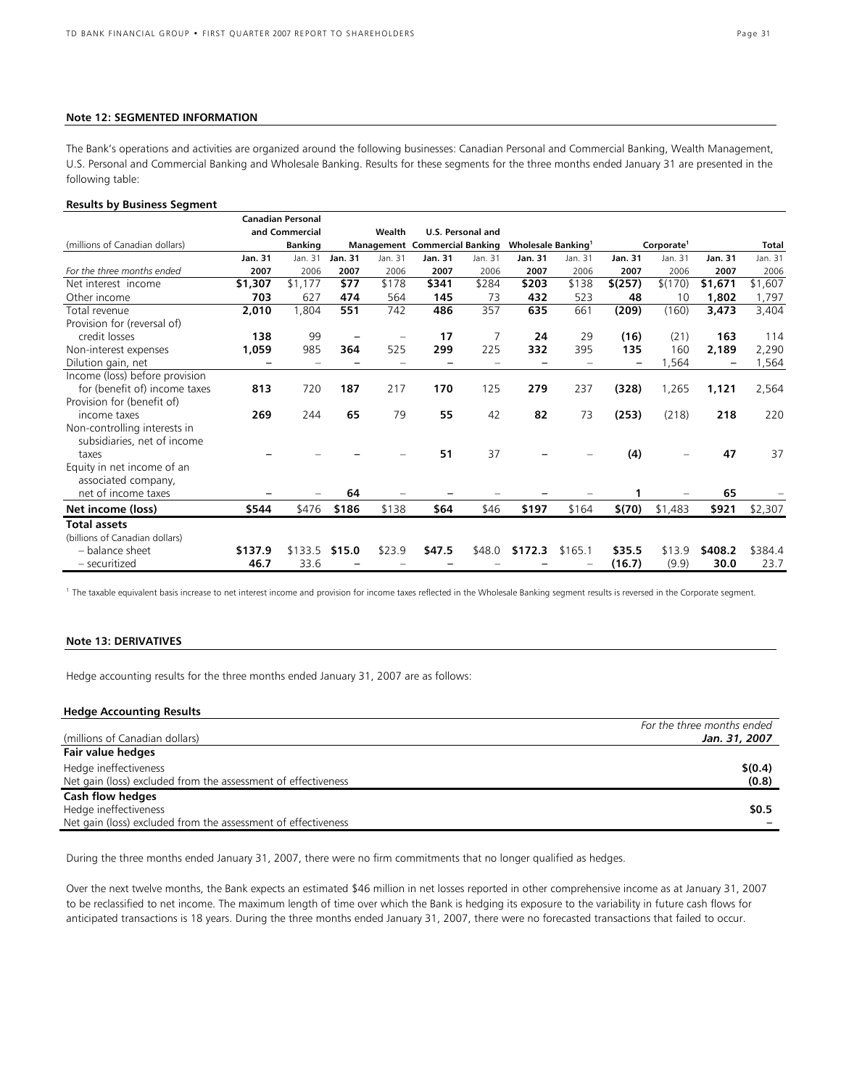# **Note 12: SEGMENTED INFORMATION**

The Bank's operations and activities are organized around the following businesses: Canadian Personal and Commercial Banking, Wealth Management, U.S. Personal and Commercial Banking and Wholesale Banking. Results for these segments for the three months ended January 31 are presented in the following table:

### **Results by Business Segment**

|                                |                | <b>Canadian Personal</b> |                          |         |                                      |                   |                                |         |                |                        |                |              |
|--------------------------------|----------------|--------------------------|--------------------------|---------|--------------------------------------|-------------------|--------------------------------|---------|----------------|------------------------|----------------|--------------|
|                                |                | and Commercial           |                          | Wealth  |                                      | U.S. Personal and |                                |         |                |                        |                |              |
| (millions of Canadian dollars) |                | <b>Banking</b>           |                          |         | <b>Management Commercial Banking</b> |                   | Wholesale Banking <sup>1</sup> |         |                | Corporate <sup>1</sup> |                | <b>Total</b> |
|                                | <b>Jan. 31</b> | Jan. 31                  | <b>Jan. 31</b>           | Jan. 31 | <b>Jan. 31</b>                       | Jan. 31           | <b>Jan. 31</b>                 | Jan. 31 | <b>Jan. 31</b> | Jan. 31                | <b>Jan. 31</b> | Jan. 31      |
| For the three months ended     | 2007           | 2006                     | 2007                     | 2006    | 2007                                 | 2006              | 2007                           | 2006    | 2007           | 2006                   | 2007           | 2006         |
| Net interest income            | \$1,307        | \$1,177                  | \$77                     | \$178   | \$341                                | \$284             | \$203                          | \$138   | \$(257)        | \$(170)                | \$1,671        | \$1,607      |
| Other income                   | 703            | 627                      | 474                      | 564     | 145                                  | 73                | 432                            | 523     | 48             | 10                     | 1,802          | 1,797        |
| Total revenue                  | 2,010          | 1,804                    | 551                      | 742     | 486                                  | 357               | 635                            | 661     | (209)          | (160)                  | 3,473          | 3,404        |
| Provision for (reversal of)    |                |                          |                          |         |                                      |                   |                                |         |                |                        |                |              |
| credit losses                  | 138            | 99                       | $\overline{\phantom{0}}$ |         | 17                                   |                   | 24                             | 29      | (16)           | (21)                   | 163            | 114          |
| Non-interest expenses          | 1,059          | 985                      | 364                      | 525     | 299                                  | 225               | 332                            | 395     | 135            | 160                    | 2,189          | 2,290        |
| Dilution gain, net             |                |                          |                          |         |                                      |                   |                                |         |                | .564                   |                | 1,564        |
| Income (loss) before provision |                |                          |                          |         |                                      |                   |                                |         |                |                        |                |              |
| for (benefit of) income taxes  | 813            | 720                      | 187                      | 217     | 170                                  | 125               | 279                            | 237     | (328)          | 1,265                  | 1,121          | 2,564        |
| Provision for (benefit of)     |                |                          |                          |         |                                      |                   |                                |         |                |                        |                |              |
| income taxes                   | 269            | 244                      | 65                       | 79      | 55                                   | 42                | 82                             | 73      | (253)          | (218)                  | 218            | 220          |
| Non-controlling interests in   |                |                          |                          |         |                                      |                   |                                |         |                |                        |                |              |
| subsidiaries, net of income    |                |                          |                          |         |                                      |                   |                                |         |                |                        |                |              |
| taxes                          |                |                          |                          |         | 51                                   | 37                |                                |         | (4)            |                        | 47             | 37           |
| Equity in net income of an     |                |                          |                          |         |                                      |                   |                                |         |                |                        |                |              |
| associated company,            |                |                          |                          |         |                                      |                   |                                |         |                |                        |                |              |
| net of income taxes            |                |                          | 64                       |         |                                      |                   |                                |         |                |                        | 65             |              |
| Net income (loss)              | \$544          | \$476                    | \$186                    | \$138   | \$64                                 | \$46              | \$197                          | \$164   | \$(70)         | \$1,483                | \$921          | \$2,307      |
| <b>Total assets</b>            |                |                          |                          |         |                                      |                   |                                |         |                |                        |                |              |
| (billions of Canadian dollars) |                |                          |                          |         |                                      |                   |                                |         |                |                        |                |              |
| - balance sheet                | \$137.9        | \$133.5                  | \$15.0                   | \$23.9  | \$47.5                               | \$48.0            | \$172.3                        | \$165.1 | \$35.5         | \$13.9                 | \$408.2        | \$384.4      |
| - securitized                  | 46.7           | 33.6                     |                          |         |                                      |                   |                                |         | (16.7)         | (9.9)                  | 30.0           | 23.7         |

<sup>1</sup> The taxable equivalent basis increase to net interest income and provision for income taxes reflected in the Wholesale Banking segment results is reversed in the Corporate segment.

# **Note 13: DERIVATIVES**

Hedge accounting results for the three months ended January 31, 2007 are as follows:

| For the three months ended |
|----------------------------|
| Jan. 31, 2007              |
|                            |
| \$(0.4)                    |
| (0.8)                      |
|                            |
| \$0.5                      |
|                            |
|                            |

During the three months ended January 31, 2007, there were no firm commitments that no longer qualified as hedges.

Over the next twelve months, the Bank expects an estimated \$46 million in net losses reported in other comprehensive income as at January 31, 2007 to be reclassified to net income. The maximum length of time over which the Bank is hedging its exposure to the variability in future cash flows for anticipated transactions is 18 years. During the three months ended January 31, 2007, there were no forecasted transactions that failed to occur.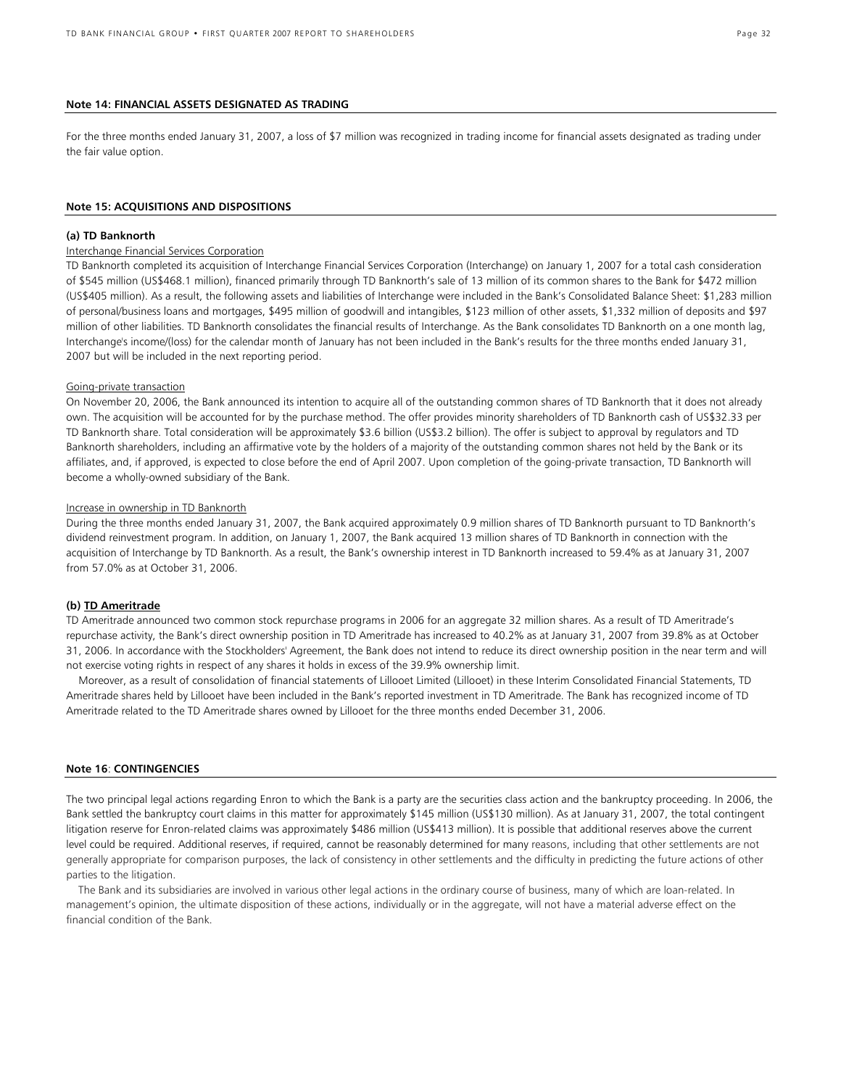#### **Note 14: FINANCIAL ASSETS DESIGNATED AS TRADING**

For the three months ended January 31, 2007, a loss of \$7 million was recognized in trading income for financial assets designated as trading under the fair value option.

#### **Note 15: ACQUISITIONS AND DISPOSITIONS**

### **(a) TD Banknorth**

# Interchange Financial Services Corporation

TD Banknorth completed its acquisition of Interchange Financial Services Corporation (Interchange) on January 1, 2007 for a total cash consideration of \$545 million (US\$468.1 million), financed primarily through TD Banknorth's sale of 13 million of its common shares to the Bank for \$472 million (US\$405 million). As a result, the following assets and liabilities of Interchange were included in the Bank's Consolidated Balance Sheet: \$1,283 million of personal/business loans and mortgages, \$495 million of goodwill and intangibles, \$123 million of other assets, \$1,332 million of deposits and \$97 million of other liabilities. TD Banknorth consolidates the financial results of Interchange. As the Bank consolidates TD Banknorth on a one month lag, Interchange's income/(loss) for the calendar month of January has not been included in the Bank's results for the three months ended January 31, 2007 but will be included in the next reporting period.

#### Going-private transaction

On November 20, 2006, the Bank announced its intention to acquire all of the outstanding common shares of TD Banknorth that it does not already own. The acquisition will be accounted for by the purchase method. The offer provides minority shareholders of TD Banknorth cash of US\$32.33 per TD Banknorth share. Total consideration will be approximately \$3.6 billion (US\$3.2 billion). The offer is subject to approval by regulators and TD Banknorth shareholders, including an affirmative vote by the holders of a majority of the outstanding common shares not held by the Bank or its affiliates, and, if approved, is expected to close before the end of April 2007. Upon completion of the going-private transaction, TD Banknorth will become a wholly-owned subsidiary of the Bank.

### Increase in ownership in TD Banknorth

During the three months ended January 31, 2007, the Bank acquired approximately 0.9 million shares of TD Banknorth pursuant to TD Banknorth's dividend reinvestment program. In addition, on January 1, 2007, the Bank acquired 13 million shares of TD Banknorth in connection with the acquisition of Interchange by TD Banknorth. As a result, the Bank's ownership interest in TD Banknorth increased to 59.4% as at January 31, 2007 from 57.0% as at October 31, 2006.

### **(b) TD Ameritrade**

TD Ameritrade announced two common stock repurchase programs in 2006 for an aggregate 32 million shares. As a result of TD Ameritrade's repurchase activity, the Bank's direct ownership position in TD Ameritrade has increased to 40.2% as at January 31, 2007 from 39.8% as at October 31, 2006. In accordance with the Stockholders' Agreement, the Bank does not intend to reduce its direct ownership position in the near term and will not exercise voting rights in respect of any shares it holds in excess of the 39.9% ownership limit.

 Moreover, as a result of consolidation of financial statements of Lillooet Limited (Lillooet) in these Interim Consolidated Financial Statements, TD Ameritrade shares held by Lillooet have been included in the Bank's reported investment in TD Ameritrade. The Bank has recognized income of TD Ameritrade related to the TD Ameritrade shares owned by Lillooet for the three months ended December 31, 2006.

# **Note 16**: **CONTINGENCIES**

The two principal legal actions regarding Enron to which the Bank is a party are the securities class action and the bankruptcy proceeding. In 2006, the Bank settled the bankruptcy court claims in this matter for approximately \$145 million (US\$130 million). As at January 31, 2007, the total contingent litigation reserve for Enron-related claims was approximately \$486 million (US\$413 million). It is possible that additional reserves above the current level could be required. Additional reserves, if required, cannot be reasonably determined for many reasons, including that other settlements are not generally appropriate for comparison purposes, the lack of consistency in other settlements and the difficulty in predicting the future actions of other parties to the litigation.

 The Bank and its subsidiaries are involved in various other legal actions in the ordinary course of business, many of which are loan-related. In management's opinion, the ultimate disposition of these actions, individually or in the aggregate, will not have a material adverse effect on the financial condition of the Bank.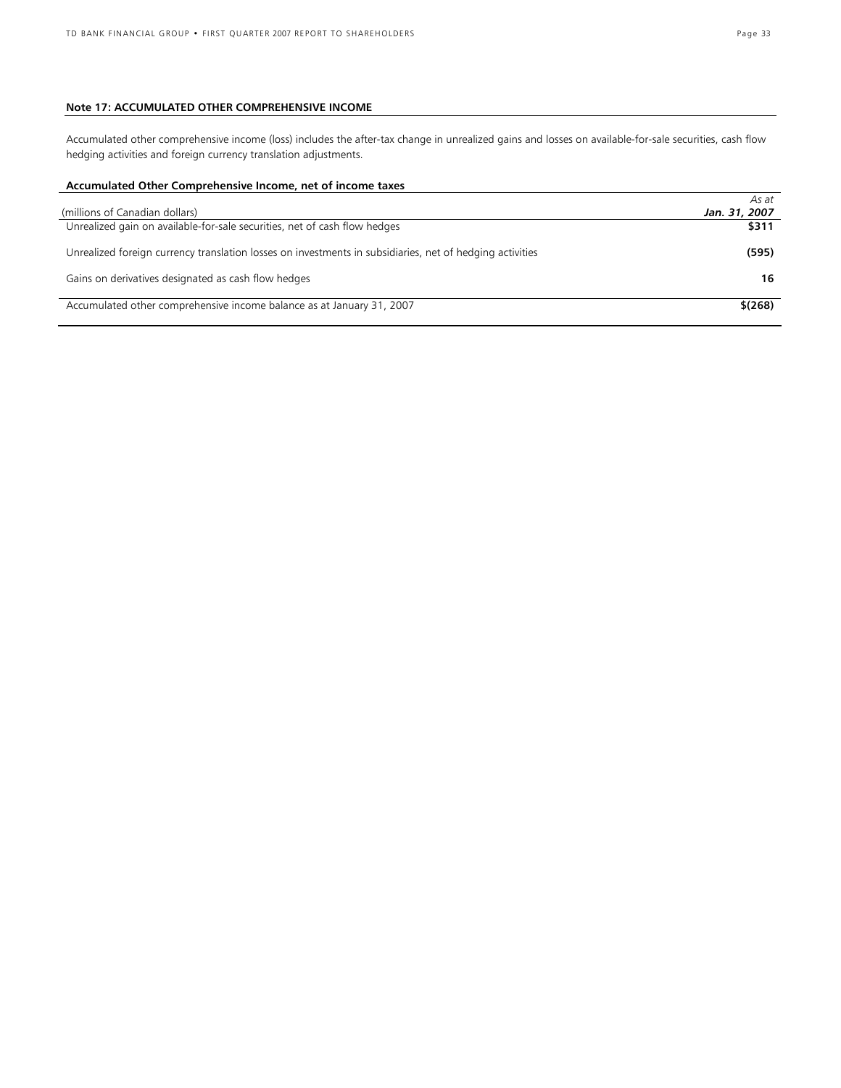# **Note 17: ACCUMULATED OTHER COMPREHENSIVE INCOME**

Accumulated other comprehensive income (loss) includes the after-tax change in unrealized gains and losses on available-for-sale securities, cash flow hedging activities and foreign currency translation adjustments.

# **Accumulated Other Comprehensive Income, net of income taxes**

|                                                                                                          | As at         |
|----------------------------------------------------------------------------------------------------------|---------------|
| (millions of Canadian dollars)                                                                           | Jan. 31, 2007 |
| Unrealized gain on available-for-sale securities, net of cash flow hedges                                | \$311         |
| Unrealized foreign currency translation losses on investments in subsidiaries, net of hedging activities | (595)         |
| Gains on derivatives designated as cash flow hedges                                                      | 16            |
| Accumulated other comprehensive income balance as at January 31, 2007                                    | \$(268)       |